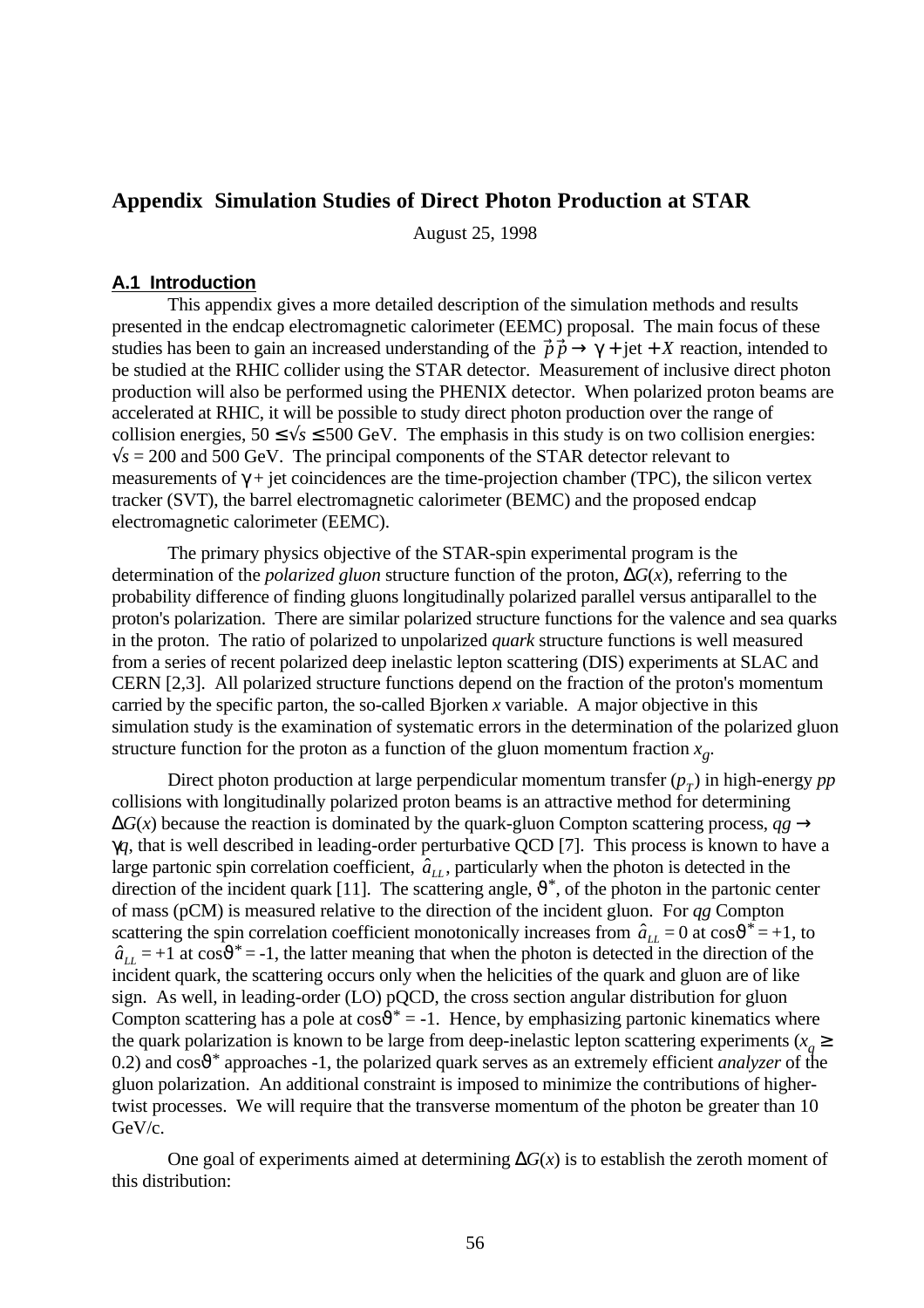# **Appendix Simulation Studies of Direct Photon Production at STAR**

August 25, 1998

### **A.1 Introduction**

This appendix gives a more detailed description of the simulation methods and results presented in the endcap electromagnetic calorimeter (EEMC) proposal. The main focus of these studies has been to gain an increased understanding of the  $\vec{p}\cdot\vec{p} \rightarrow \gamma + \text{jet} + X$  reaction, intended to be studied at the RHIC collider using the STAR detector. Measurement of inclusive direct photon production will also be performed using the PHENIX detector. When polarized proton beams are accelerated at RHIC, it will be possible to study direct photon production over the range of collision energies,  $50 \le \sqrt{s} \le 500$  GeV. The emphasis in this study is on two collision energies:  $\sqrt{s}$  = 200 and 500 GeV. The principal components of the STAR detector relevant to measurements of  $\gamma$  + jet coincidences are the time-projection chamber (TPC), the silicon vertex tracker (SVT), the barrel electromagnetic calorimeter (BEMC) and the proposed endcap electromagnetic calorimeter (EEMC).

The primary physics objective of the STAR-spin experimental program is the determination of the *polarized gluon* structure function of the proton, ∆*G*(*x*), referring to the probability difference of finding gluons longitudinally polarized parallel versus antiparallel to the proton's polarization. There are similar polarized structure functions for the valence and sea quarks in the proton. The ratio of polarized to unpolarized *quark* structure functions is well measured from a series of recent polarized deep inelastic lepton scattering (DIS) experiments at SLAC and CERN [2,3]. All polarized structure functions depend on the fraction of the proton's momentum carried by the specific parton, the so-called Bjorken *x* variable. A major objective in this simulation study is the examination of systematic errors in the determination of the polarized gluon structure function for the proton as a function of the gluon momentum fraction *x<sup>g</sup>* .

Direct photon production at large perpendicular momentum transfer (*p<sup>T</sup>* ) in high-energy *pp* collisions with longitudinally polarized proton beams is an attractive method for determining  $\Delta G(x)$  because the reaction is dominated by the quark-gluon Compton scattering process,  $qg \rightarrow$ γ*q*, that is well described in leading-order perturbative QCD [7]. This process is known to have a large partonic spin correlation coefficient,  $\hat{a}_{LL}$ , particularly when the photon is detected in the direction of the incident quark [11]. The scattering angle,  $\vartheta^*$ , of the photon in the partonic center of mass (pCM) is measured relative to the direction of the incident gluon. For *qg* Compton scattering the spin correlation coefficient monotonically increases from  $\hat{a}_{LL} = 0$  at  $\cos \theta^* = +1$ , to  $\hat{a}_{LL} = +1$  at  $\cos \theta^* = -1$ , the latter meaning that when the photon is detected in the direction of the incident quark, the scattering occurs only when the helicities of the quark and gluon are of like sign. As well, in leading-order (LO) pQCD, the cross section angular distribution for gluon Compton scattering has a pole at  $cos\theta^* = -1$ . Hence, by emphasizing partonic kinematics where the quark polarization is known to be large from deep-inelastic lepton scattering experiments ( $x_q \geq$ 0.2) and cosϑ\* approaches -1, the polarized quark serves as an extremely efficient *analyzer* of the gluon polarization. An additional constraint is imposed to minimize the contributions of highertwist processes. We will require that the transverse momentum of the photon be greater than 10 GeV/c.

One goal of experiments aimed at determining ∆*G*(*x*) is to establish the zeroth moment of this distribution: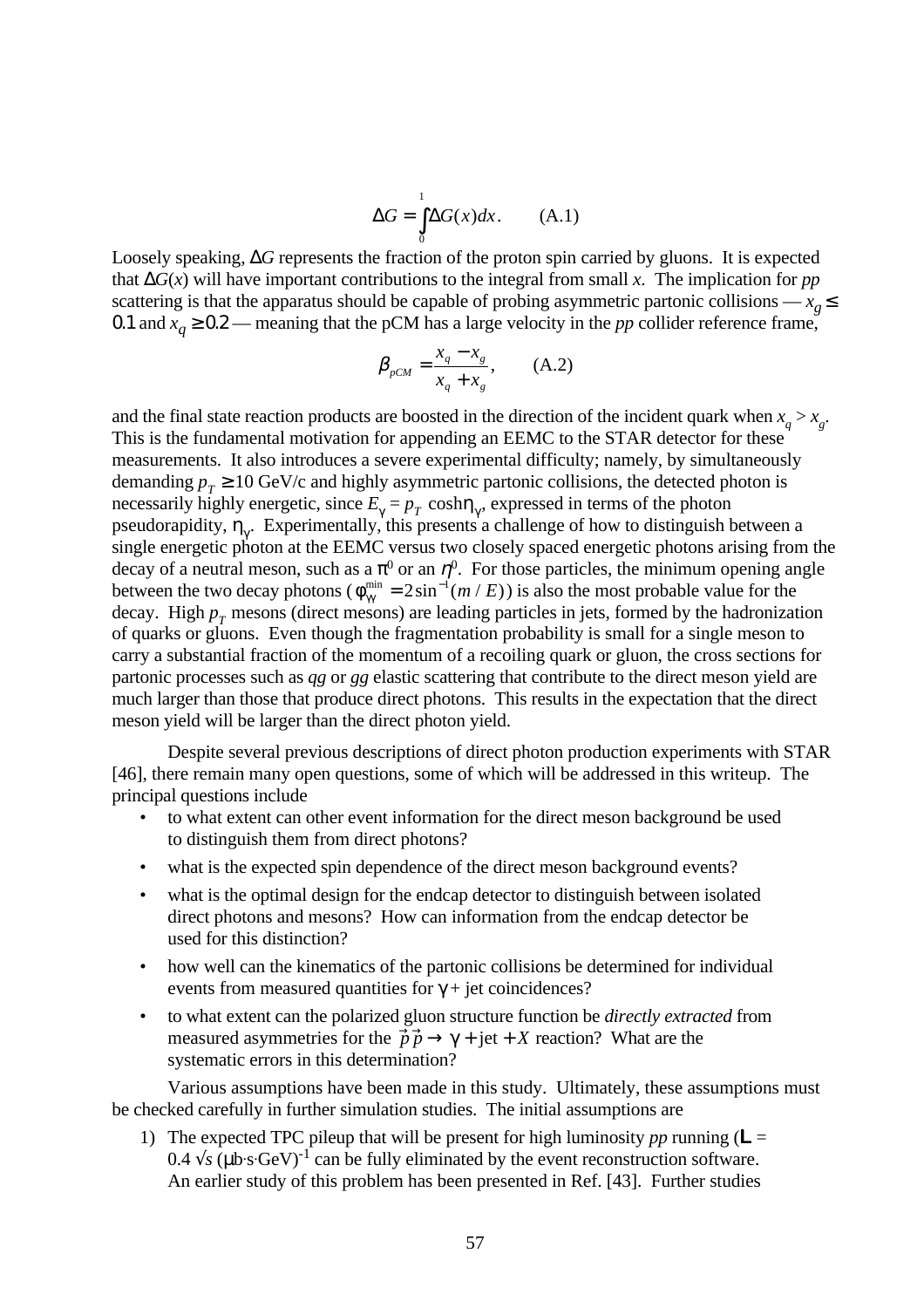$$
\Delta G = \int_{0}^{1} \Delta G(x) dx. \quad (A.1)
$$

Loosely speaking, ∆*G* represents the fraction of the proton spin carried by gluons. It is expected that ∆*G*(*x*) will have important contributions to the integral from small *x*. The implication for *pp* scattering is that the apparatus should be capable of probing asymmetric partonic collisions —  $x_p \leq$ 0.1 and  $x_q \ge 0.2$  — meaning that the pCM has a large velocity in the *pp* collider reference frame,

$$
\beta_{pCM} = \frac{x_q - x_g}{x_q + x_g}, \qquad (A.2)
$$

and the final state reaction products are boosted in the direction of the incident quark when  $x_q > x_g$ . This is the fundamental motivation for appending an EEMC to the STAR detector for these measurements. It also introduces a severe experimental difficulty; namely, by simultaneously demanding  $p_T \ge 10$  GeV/c and highly asymmetric partonic collisions, the detected photon is necessarily highly energetic, since  $E_{\gamma} = p_T \cosh \eta_{\gamma}$ , expressed in terms of the photon pseudorapidity,  $\eta_{\gamma}$ . Experimentally, this presents a challenge of how to distinguish between a single energetic photon at the EEMC versus two closely spaced energetic photons arising from the decay of a neutral meson, such as a  $\pi^0$  or an  $\eta^0$ . For those particles, the minimum opening angle between the two decay photons ( $\phi_{\gamma\gamma}^{\min} = 2\sin^{-1}(m / E)$ ) is also the most probable value for the decay. High  $p_T$  mesons (direct mesons) are leading particles in jets, formed by the hadronization of quarks or gluons. Even though the fragmentation probability is small for a single meson to carry a substantial fraction of the momentum of a recoiling quark or gluon, the cross sections for partonic processes such as *qg* or *gg* elastic scattering that contribute to the direct meson yield are much larger than those that produce direct photons. This results in the expectation that the direct meson yield will be larger than the direct photon yield.

Despite several previous descriptions of direct photon production experiments with STAR [46], there remain many open questions, some of which will be addressed in this writeup. The principal questions include

- to what extent can other event information for the direct meson background be used to distinguish them from direct photons?
- what is the expected spin dependence of the direct meson background events?
- what is the optimal design for the endcap detector to distinguish between isolated direct photons and mesons? How can information from the endcap detector be used for this distinction?
- how well can the kinematics of the partonic collisions be determined for individual events from measured quantities for  $\gamma$  + jet coincidences?
- to what extent can the polarized gluon structure function be *directly extracted* from measured asymmetries for the  $\vec{p} \cdot \vec{p} \rightarrow \gamma + \text{jet} + X$  reaction? What are the systematic errors in this determination?

Various assumptions have been made in this study. Ultimately, these assumptions must be checked carefully in further simulation studies. The initial assumptions are

1) The expected TPC pileup that will be present for high luminosity *pp* running ( $\mathsf{L} =$ 0.4  $\sqrt{s}$  (µb·s·GeV)<sup>-1</sup> can be fully eliminated by the event reconstruction software. An earlier study of this problem has been presented in Ref. [43]. Further studies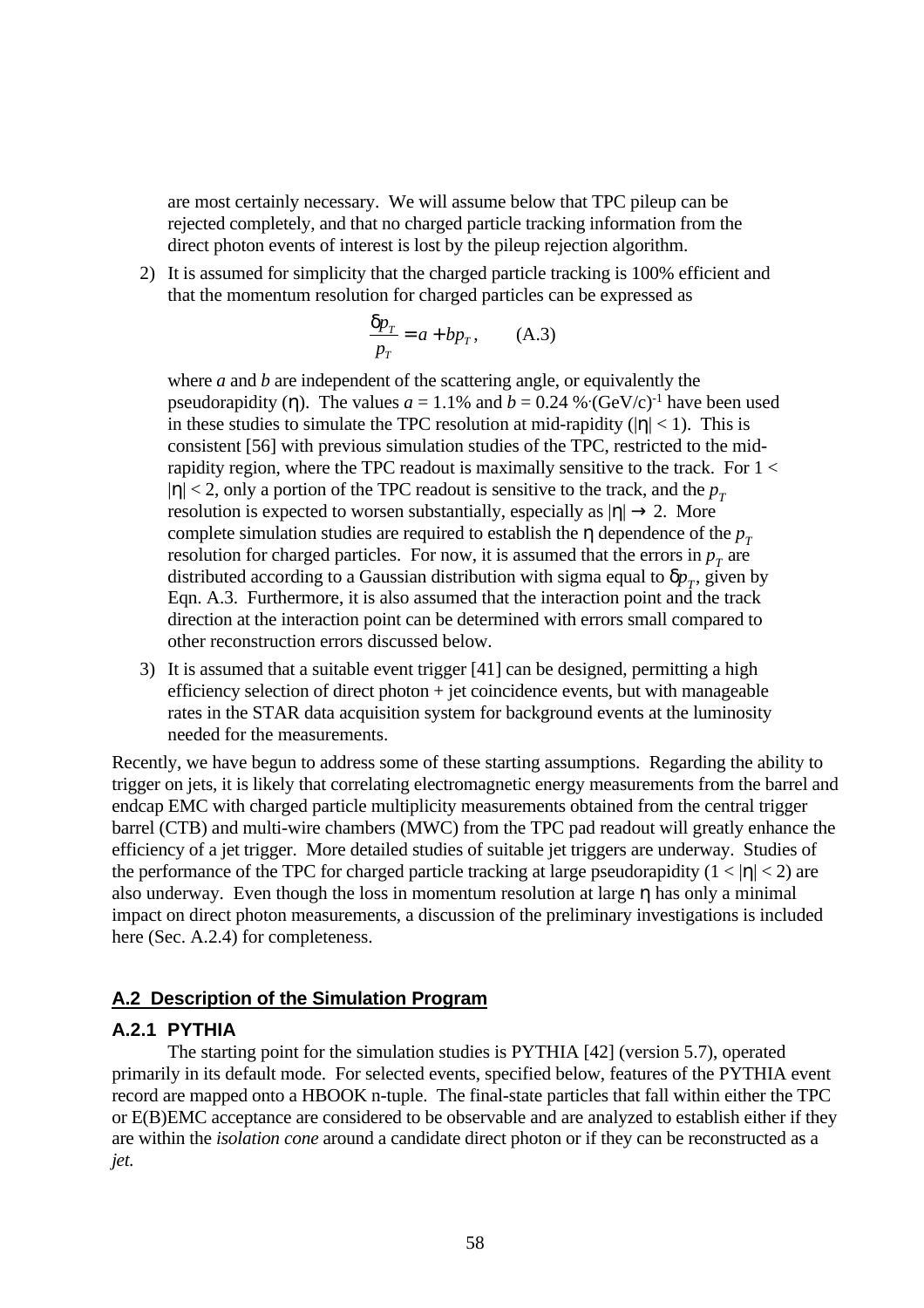are most certainly necessary. We will assume below that TPC pileup can be rejected completely, and that no charged particle tracking information from the direct photon events of interest is lost by the pileup rejection algorithm.

2) It is assumed for simplicity that the charged particle tracking is 100% efficient and that the momentum resolution for charged particles can be expressed as

$$
\frac{\delta p_T}{p_T} = a + bp_T, \qquad (A.3)
$$

where *a* and *b* are independent of the scattering angle, or equivalently the pseudorapidity (η). The values  $a = 1.1\%$  and  $b = 0.24\%$  (GeV/c)<sup>-1</sup> have been used in these studies to simulate the TPC resolution at mid-rapidity ( $|\eta|$  < 1). This is consistent [56] with previous simulation studies of the TPC, restricted to the midrapidity region, where the TPC readout is maximally sensitive to the track. For  $1 <$  $|\eta|$  < 2, only a portion of the TPC readout is sensitive to the track, and the  $p<sub>T</sub>$ resolution is expected to worsen substantially, especially as  $|\eta| \rightarrow 2$ . More complete simulation studies are required to establish the  $\eta$  dependence of the  $p_T$ resolution for charged particles. For now, it is assumed that the errors in  $p<sub>T</sub>$  are distributed according to a Gaussian distribution with sigma equal to  $\delta p_{T}^{}$ , given by Eqn. A.3. Furthermore, it is also assumed that the interaction point and the track direction at the interaction point can be determined with errors small compared to other reconstruction errors discussed below.

3) It is assumed that a suitable event trigger [41] can be designed, permitting a high efficiency selection of direct photon + jet coincidence events, but with manageable rates in the STAR data acquisition system for background events at the luminosity needed for the measurements.

Recently, we have begun to address some of these starting assumptions. Regarding the ability to trigger on jets, it is likely that correlating electromagnetic energy measurements from the barrel and endcap EMC with charged particle multiplicity measurements obtained from the central trigger barrel (CTB) and multi-wire chambers (MWC) from the TPC pad readout will greatly enhance the efficiency of a jet trigger. More detailed studies of suitable jet triggers are underway. Studies of the performance of the TPC for charged particle tracking at large pseudorapidity  $(1 < |\eta| < 2)$  are also underway. Even though the loss in momentum resolution at large η has only a minimal impact on direct photon measurements, a discussion of the preliminary investigations is included here (Sec. A.2.4) for completeness.

## **A.2 Description of the Simulation Program**

## **A.2.1 PYTHIA**

The starting point for the simulation studies is PYTHIA [42] (version 5.7), operated primarily in its default mode. For selected events, specified below, features of the PYTHIA event record are mapped onto a HBOOK n-tuple. The final-state particles that fall within either the TPC or E(B)EMC acceptance are considered to be observable and are analyzed to establish either if they are within the *isolation cone* around a candidate direct photon or if they can be reconstructed as a *jet*.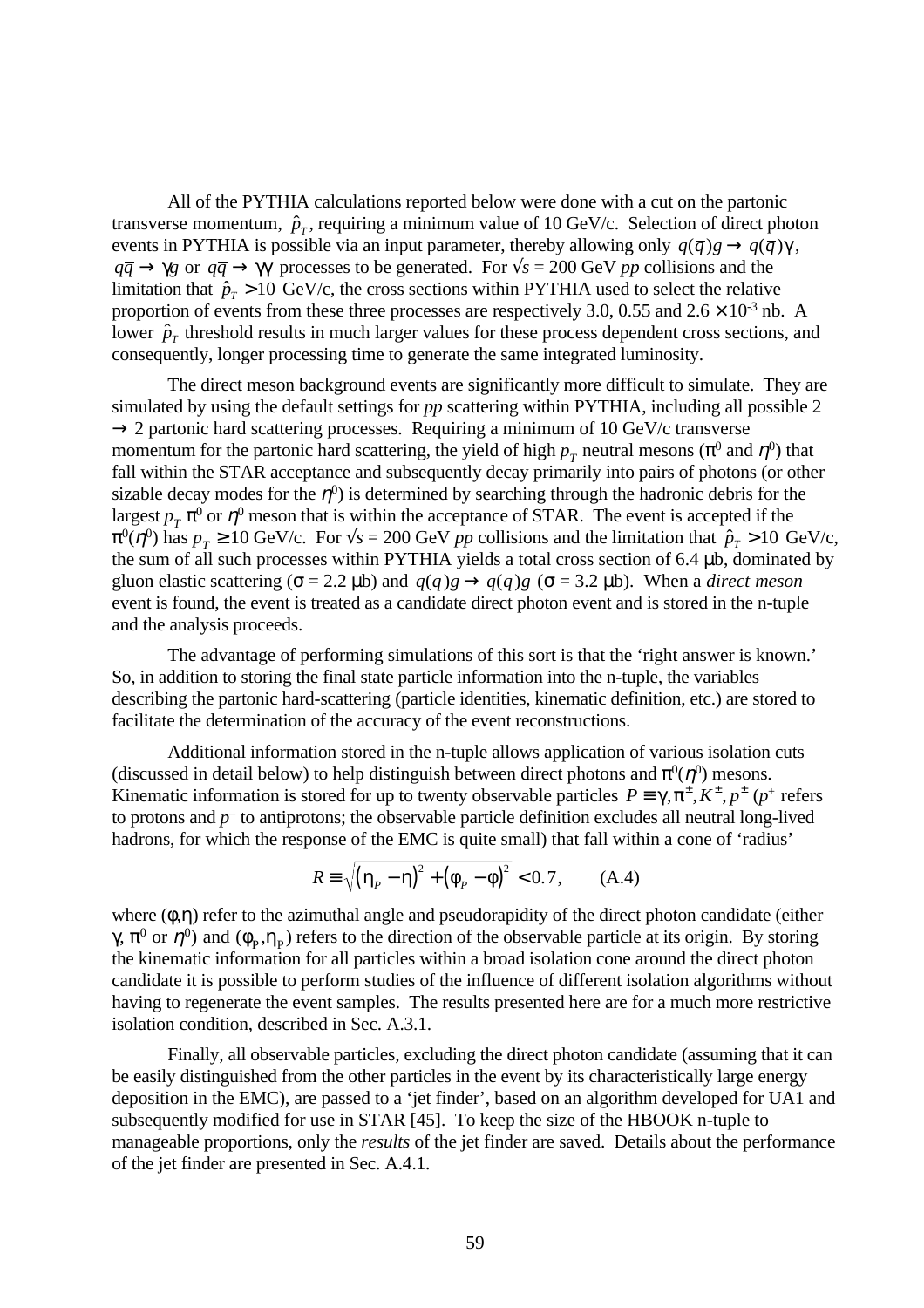All of the PYTHIA calculations reported below were done with a cut on the partonic transverse momentum,  $\hat{p}_T$ , requiring a minimum value of 10 GeV/c. Selection of direct photon events in PYTHIA is possible via an input parameter, thereby allowing only  $q(\bar{q})g \rightarrow q(\bar{q})\gamma$ ,  $q\bar{q} \rightarrow \gamma g$  or  $q\bar{q} \rightarrow \gamma \gamma$  processes to be generated. For  $\sqrt{s} = 200$  GeV *pp* collisions and the limitation that  $\hat{p}_T > 10 \text{ GeV/c}$ , the cross sections within PYTHIA used to select the relative proportion of events from these three processes are respectively 3.0, 0.55 and  $2.6 \times 10^{-3}$  nb. A lower  $\hat{p}_T$  threshold results in much larger values for these process dependent cross sections, and consequently, longer processing time to generate the same integrated luminosity.

The direct meson background events are significantly more difficult to simulate. They are simulated by using the default settings for *pp* scattering within PYTHIA, including all possible 2  $\rightarrow$  2 partonic hard scattering processes. Requiring a minimum of 10 GeV/c transverse momentum for the partonic hard scattering, the yield of high  $p_T^{\,}$  neutral mesons ( $\pi^0$  and  $\eta^0$ ) that fall within the STAR acceptance and subsequently decay primarily into pairs of photons (or other sizable decay modes for the  $\eta^0$ ) is determined by searching through the hadronic debris for the largest  $p_T \pi^0$  or  $\eta^0$  meson that is within the acceptance of STAR. The event is accepted if the  $\pi^0(\eta^0)$  has  $p_T \ge 10$  GeV/c. For  $\sqrt{s} = 200$  GeV *pp* collisions and the limitation that  $\hat{p}_T > 10$  GeV/c, the sum of all such processes within PYTHIA yields a total cross section of 6.4 µb, dominated by gluon elastic scattering ( $\sigma$  = 2.2 µb) and  $q(\bar{q})g \rightarrow q(\bar{q})g$  ( $\sigma$  = 3.2 µb). When a *direct meson* event is found, the event is treated as a candidate direct photon event and is stored in the n-tuple and the analysis proceeds.

The advantage of performing simulations of this sort is that the 'right answer is known.' So, in addition to storing the final state particle information into the n-tuple, the variables describing the partonic hard-scattering (particle identities, kinematic definition, etc.) are stored to facilitate the determination of the accuracy of the event reconstructions.

Additional information stored in the n-tuple allows application of various isolation cuts (discussed in detail below) to help distinguish between direct photons and  $\pi^0(\eta^0)$  mesons. Kinematic information is stored for up to twenty observable particles  $P = \gamma, \pi^{\pm}, K^{\pm}, p^{\pm}$  ( $p^{\pm}$  refers to protons and  $p<sup>-</sup>$  to antiprotons; the observable particle definition excludes all neutral long-lived hadrons, for which the response of the EMC is quite small) that fall within a cone of 'radius'

$$
R \equiv \sqrt{\left(\eta_{P} - \eta\right)^{2} + \left(\phi_{P} - \phi\right)^{2}} < 0.7, \quad (A.4)
$$

where  $(\phi, \eta)$  refer to the azimuthal angle and pseudorapidity of the direct photon candidate (either γ,  $\pi^0$  or  $\eta^0$ ) and ( $\phi_p$ , $\eta_p$ ) refers to the direction of the observable particle at its origin. By storing the kinematic information for all particles within a broad isolation cone around the direct photon candidate it is possible to perform studies of the influence of different isolation algorithms without having to regenerate the event samples. The results presented here are for a much more restrictive isolation condition, described in Sec. A.3.1.

Finally, all observable particles, excluding the direct photon candidate (assuming that it can be easily distinguished from the other particles in the event by its characteristically large energy deposition in the EMC), are passed to a 'jet finder', based on an algorithm developed for UA1 and subsequently modified for use in STAR [45]. To keep the size of the HBOOK n-tuple to manageable proportions, only the *results* of the jet finder are saved. Details about the performance of the jet finder are presented in Sec. A.4.1.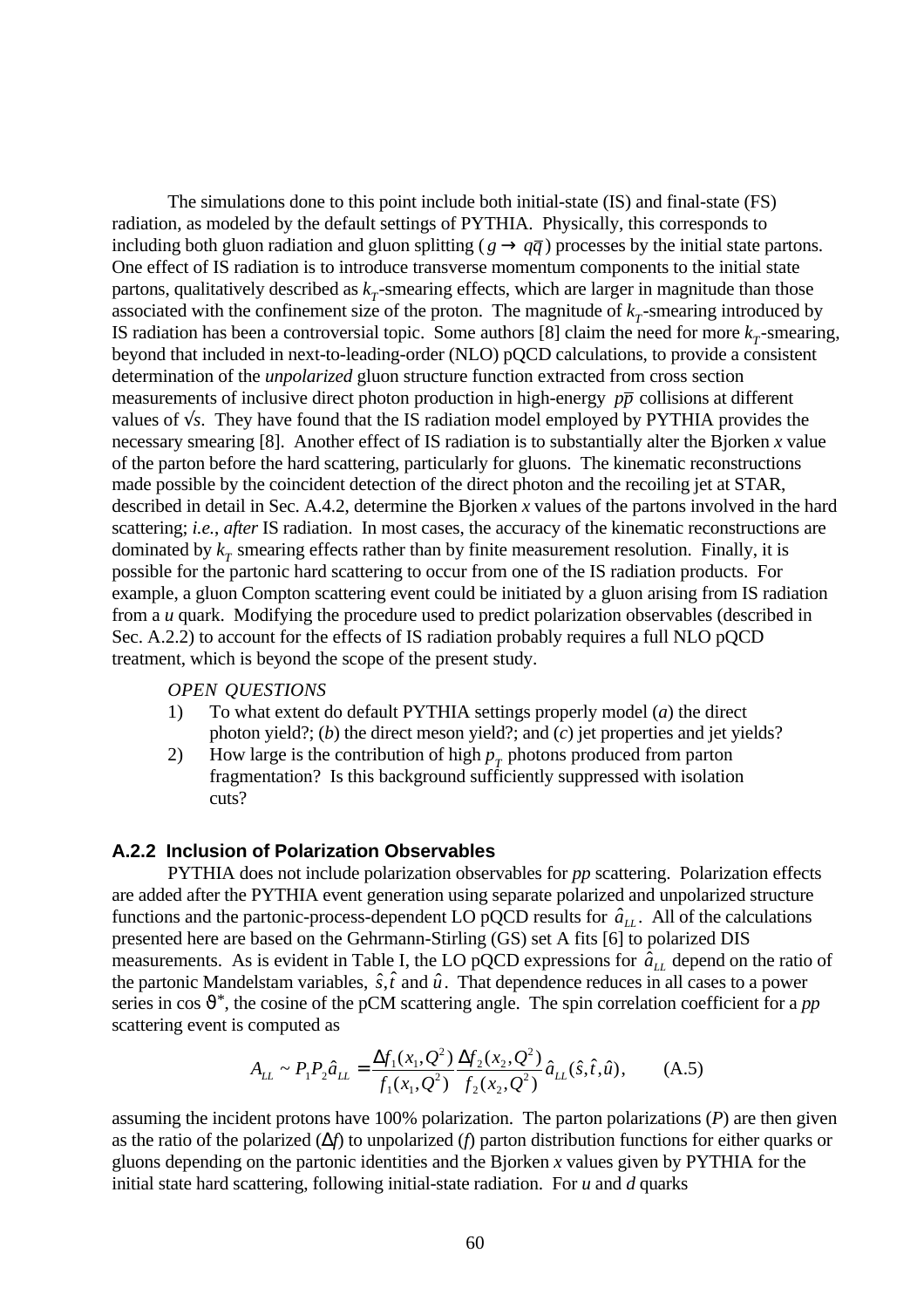The simulations done to this point include both initial-state (IS) and final-state (FS) radiation, as modeled by the default settings of PYTHIA. Physically, this corresponds to including both gluon radiation and gluon splitting ( $g \rightarrow q\bar{q}$ ) processes by the initial state partons. One effect of IS radiation is to introduce transverse momentum components to the initial state partons, qualitatively described as  $k<sub>T</sub>$ -smearing effects, which are larger in magnitude than those associated with the confinement size of the proton. The magnitude of  $k<sub>T</sub>$ -smearing introduced by IS radiation has been a controversial topic. Some authors [8] claim the need for more  $k<sub>T</sub>$ -smearing, beyond that included in next-to-leading-order (NLO) pQCD calculations, to provide a consistent determination of the *unpolarized* gluon structure function extracted from cross section measurements of inclusive direct photon production in high-energy *pp* collisions at different values of √*s*. They have found that the IS radiation model employed by PYTHIA provides the necessary smearing [8]. Another effect of IS radiation is to substantially alter the Bjorken *x* value of the parton before the hard scattering, particularly for gluons. The kinematic reconstructions made possible by the coincident detection of the direct photon and the recoiling jet at STAR, described in detail in Sec. A.4.2, determine the Bjorken *x* values of the partons involved in the hard scattering; *i.e.*, *after* IS radiation. In most cases, the accuracy of the kinematic reconstructions are dominated by  $k_T^{\text{}}$  smearing effects rather than by finite measurement resolution. Finally, it is possible for the partonic hard scattering to occur from one of the IS radiation products. For example, a gluon Compton scattering event could be initiated by a gluon arising from IS radiation from a *u* quark. Modifying the procedure used to predict polarization observables (described in Sec. A.2.2) to account for the effects of IS radiation probably requires a full NLO pQCD treatment, which is beyond the scope of the present study.

#### *OPEN QUESTIONS*

- 1) To what extent do default PYTHIA settings properly model (*a*) the direct photon yield?; (*b*) the direct meson yield?; and (*c*) jet properties and jet yields?
- 2) How large is the contribution of high  $p<sub>T</sub>$  photons produced from parton fragmentation? Is this background sufficiently suppressed with isolation cuts?

### **A.2.2 Inclusion of Polarization Observables**

PYTHIA does not include polarization observables for *pp* scattering. Polarization effects are added after the PYTHIA event generation using separate polarized and unpolarized structure functions and the partonic-process-dependent LO pQCD results for  $\hat{a}_{LL}$ . All of the calculations presented here are based on the Gehrmann-Stirling (GS) set A fits [6] to polarized DIS measurements. As is evident in Table I, the LO pQCD expressions for  $\hat{a}_{LL}$  depend on the ratio of the partonic Mandelstam variables,  $\hat{s}$ ,  $\hat{t}$  and  $\hat{u}$ . That dependence reduces in all cases to a power series in cos  $\vartheta^*$ , the cosine of the pCM scattering angle. The spin correlation coefficient for a *pp* scattering event is computed as

$$
A_{LL} \sim P_1 P_2 \hat{a}_{LL} = \frac{\Delta f_1(x_1, Q^2)}{f_1(x_1, Q^2)} \frac{\Delta f_2(x_2, Q^2)}{f_2(x_2, Q^2)} \hat{a}_{LL}(\hat{s}, \hat{t}, \hat{u}), \tag{A.5}
$$

assuming the incident protons have 100% polarization. The parton polarizations (*P*) are then given as the ratio of the polarized (∆*f*) to unpolarized (*f*) parton distribution functions for either quarks or gluons depending on the partonic identities and the Bjorken *x* values given by PYTHIA for the initial state hard scattering, following initial-state radiation. For *u* and *d* quarks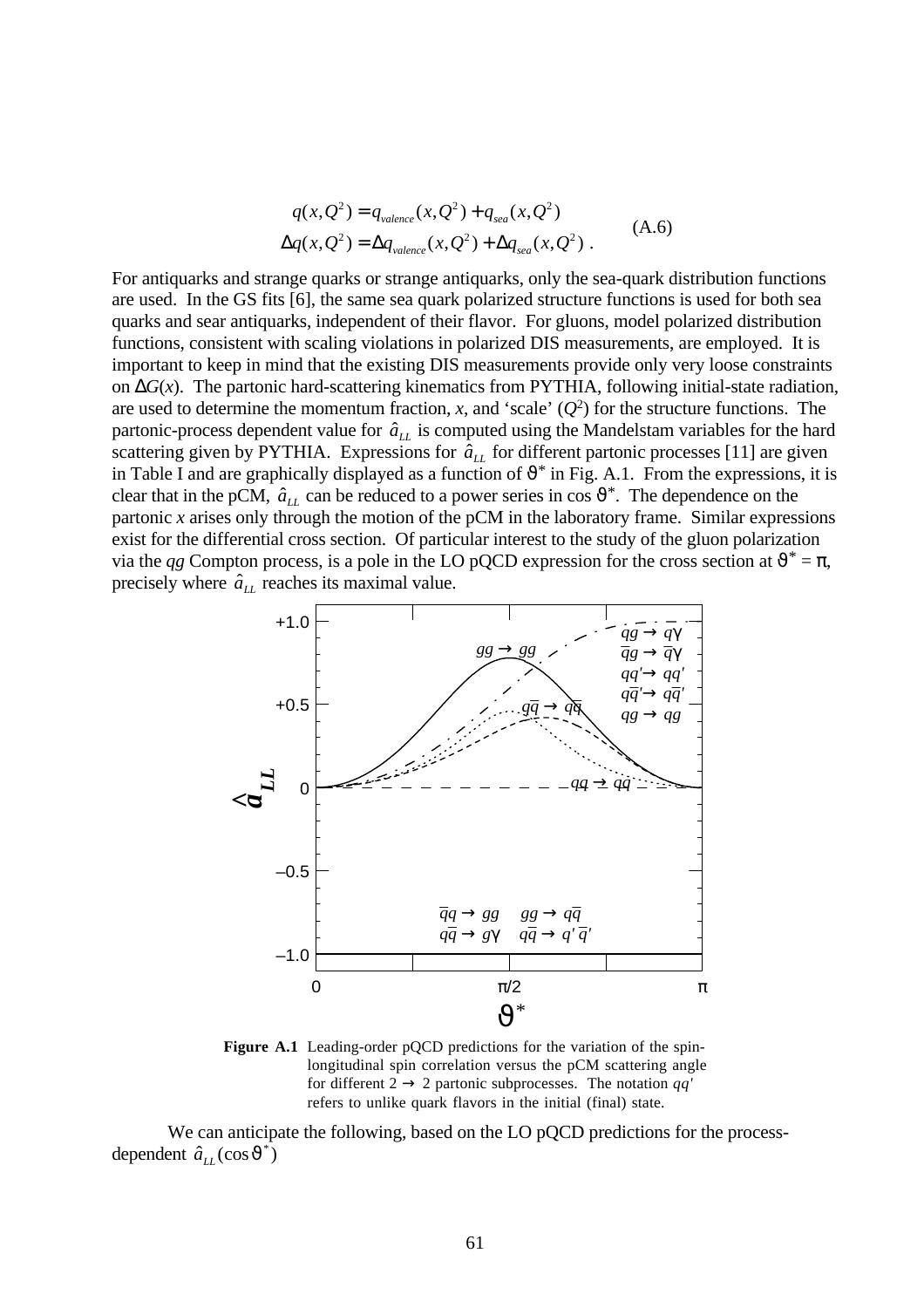$$
q(x,Q^2) = q_{valence}(x,Q^2) + q_{sea}(x,Q^2)
$$
  
\n
$$
\Delta q(x,Q^2) = \Delta q_{valence}(x,Q^2) + \Delta q_{sea}(x,Q^2)
$$
 (A.6)

For antiquarks and strange quarks or strange antiquarks, only the sea-quark distribution functions are used. In the GS fits [6], the same sea quark polarized structure functions is used for both sea quarks and sear antiquarks, independent of their flavor. For gluons, model polarized distribution functions, consistent with scaling violations in polarized DIS measurements, are employed. It is important to keep in mind that the existing DIS measurements provide only very loose constraints on ∆*G*(*x*). The partonic hard-scattering kinematics from PYTHIA, following initial-state radiation, are used to determine the momentum fraction,  $x$ , and 'scale'  $(Q^2)$  for the structure functions. The partonic-process dependent value for  $\hat{a}_{LL}$  is computed using the Mandelstam variables for the hard scattering given by PYTHIA. Expressions for  $\hat{a}_{LL}$  for different partonic processes [11] are given in Table I and are graphically displayed as a function of  $\vartheta^*$  in Fig. A.1. From the expressions, it is clear that in the pCM,  $\hat{a}_{LL}$  can be reduced to a power series in cos  $\vartheta^*$ . The dependence on the partonic *x* arises only through the motion of the pCM in the laboratory frame. Similar expressions exist for the differential cross section. Of particular interest to the study of the gluon polarization via the *qg* Compton process, is a pole in the LO pQCD expression for the cross section at  $\vartheta^* = \pi$ , precisely where  $\hat{a}_{LL}$  reaches its maximal value.



**Figure A.1** Leading-order pOCD predictions for the variation of the spinlongitudinal spin correlation versus the pCM scattering angle for different  $2 \rightarrow 2$  partonic subprocesses. The notation *qq'* refers to unlike quark flavors in the initial (final) state.

We can anticipate the following, based on the LO pQCD predictions for the processdependent  $\hat{a}_{LL}(\cos \vartheta^*)$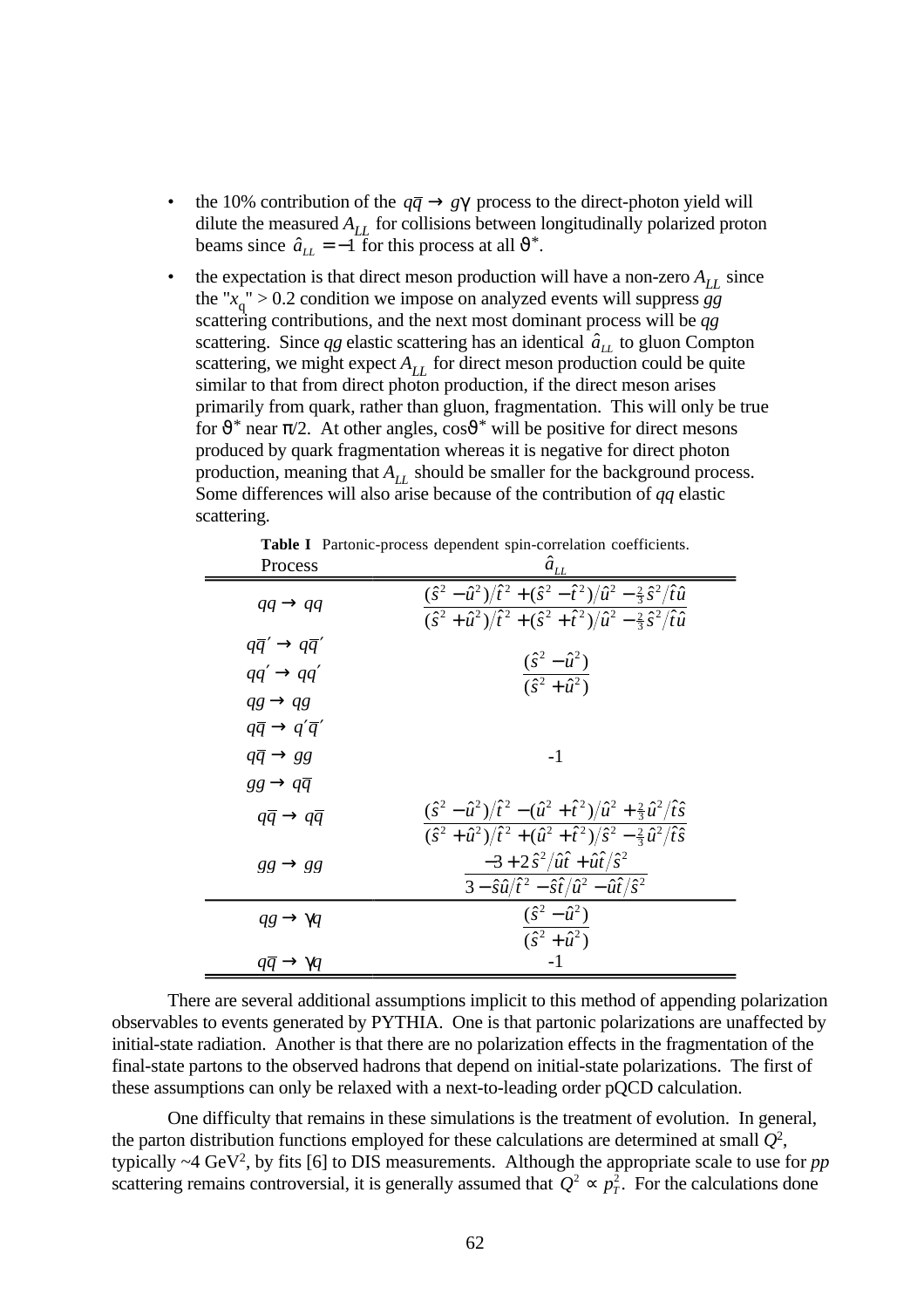- the 10% contribution of the  $q\bar{q} \rightarrow g\gamma$  process to the direct-photon yield will dilute the measured  $A_{LL}$  for collisions between longitudinally polarized proton beams since  $\hat{a}_{LL} = -1$  for this process at all  $\vartheta^*$ .
- the expectation is that direct meson production will have a non-zero  $A_{LL}$  since the "*x* q " > 0.2 condition we impose on analyzed events will suppress *gg* scattering contributions, and the next most dominant process will be *qg* scattering. Since  $qg$  elastic scattering has an identical  $\hat{a}_{LL}$  to gluon Compton scattering, we might expect  $A_{LL}$  for direct meson production could be quite similar to that from direct photon production, if the direct meson arises primarily from quark, rather than gluon, fragmentation. This will only be true for  $\vartheta^*$  near  $\pi/2$ . At other angles,  $\cos \vartheta^*$  will be positive for direct mesons produced by quark fragmentation whereas it is negative for direct photon production, meaning that  $A_{LL}$  should be smaller for the background process. Some differences will also arise because of the contribution of *qq* elastic scattering.

**Table I** Partonic-process dependent spin-correlation coefficients.

| Process                                                                                          | $\hat{a}_{LL}$                                                                                                                                                                                                                                            |
|--------------------------------------------------------------------------------------------------|-----------------------------------------------------------------------------------------------------------------------------------------------------------------------------------------------------------------------------------------------------------|
| $qq \rightarrow qq$                                                                              | $(\hat{s}^2 - \hat{u}^2)/\hat{t}^2 + (\hat{s}^2 - \hat{t}^2)/\hat{u}^2 - \frac{2}{3}\hat{s}^2/\hat{t}\hat{u}$<br>$\frac{\widehat{(\hat{s}^2 + \hat{u}^2)}\widehat{t}^2 + \widehat{s}^2 + \hat{t}^2}{\widehat{u}^2 - \frac{2}{3}\hat{s}^2/\hat{t}\hat{u}}$ |
| $q\bar{q}' \rightarrow q\bar{q}'$<br>$qq' \rightarrow qq'$<br>$qg \rightarrow qg$                | $\frac{(\hat{s}^2 - \hat{u}^2)}{(\hat{s}^2 + \hat{u}^2)}$                                                                                                                                                                                                 |
| $q\bar{q} \rightarrow q'\bar{q}'$<br>$q\bar{q} \rightarrow gg$<br>$gg \rightarrow q\overline{q}$ | $-1$                                                                                                                                                                                                                                                      |
| $q\bar{q} \rightarrow q\bar{q}$                                                                  | $(\hat{s}^2 - \hat{u}^2)/\hat{t}^2 - (\hat{u}^2 + \hat{t}^2)/\hat{u}^2 + \frac{2}{3}\hat{u}^2/\hat{t}\hat{s}$<br>$\frac{1}{(\hat{s}^2 + \hat{u}^2)/\hat{t}^2 + (\hat{u}^2 + \hat{t}^2)/\hat{s}^2 - \frac{2}{3}\hat{u}^2/\hat{t}\hat{s}}$                  |
| $gg \rightarrow gg$                                                                              | $-3 + 2 \hat{s}^2 / \hat{u} \hat{t} + \hat{u} \hat{t} / \hat{s}^2$<br>$3-\hat{s}\hat{u}/\hat{t}^2-\hat{s}\hat{t}/\hat{u}^2-\hat{u}\hat{t}/\hat{s}^2$                                                                                                      |
| $qg \rightarrow \gamma q$                                                                        | $(\hat{s}^2 - \hat{u}^2)$<br>$(\hat{s}^2 + \hat{u}^2)$                                                                                                                                                                                                    |
| $qq \rightarrow \gamma q$                                                                        | $-1$                                                                                                                                                                                                                                                      |

There are several additional assumptions implicit to this method of appending polarization observables to events generated by PYTHIA. One is that partonic polarizations are unaffected by initial-state radiation. Another is that there are no polarization effects in the fragmentation of the final-state partons to the observed hadrons that depend on initial-state polarizations. The first of these assumptions can only be relaxed with a next-to-leading order pQCD calculation.

One difficulty that remains in these simulations is the treatment of evolution. In general, the parton distribution functions employed for these calculations are determined at small  $Q^2$ , typically  $\sim$ 4 GeV<sup>2</sup>, by fits [6] to DIS measurements. Although the appropriate scale to use for *pp* scattering remains controversial, it is generally assumed that  $Q^2 \propto p_T^2$ . For the calculations done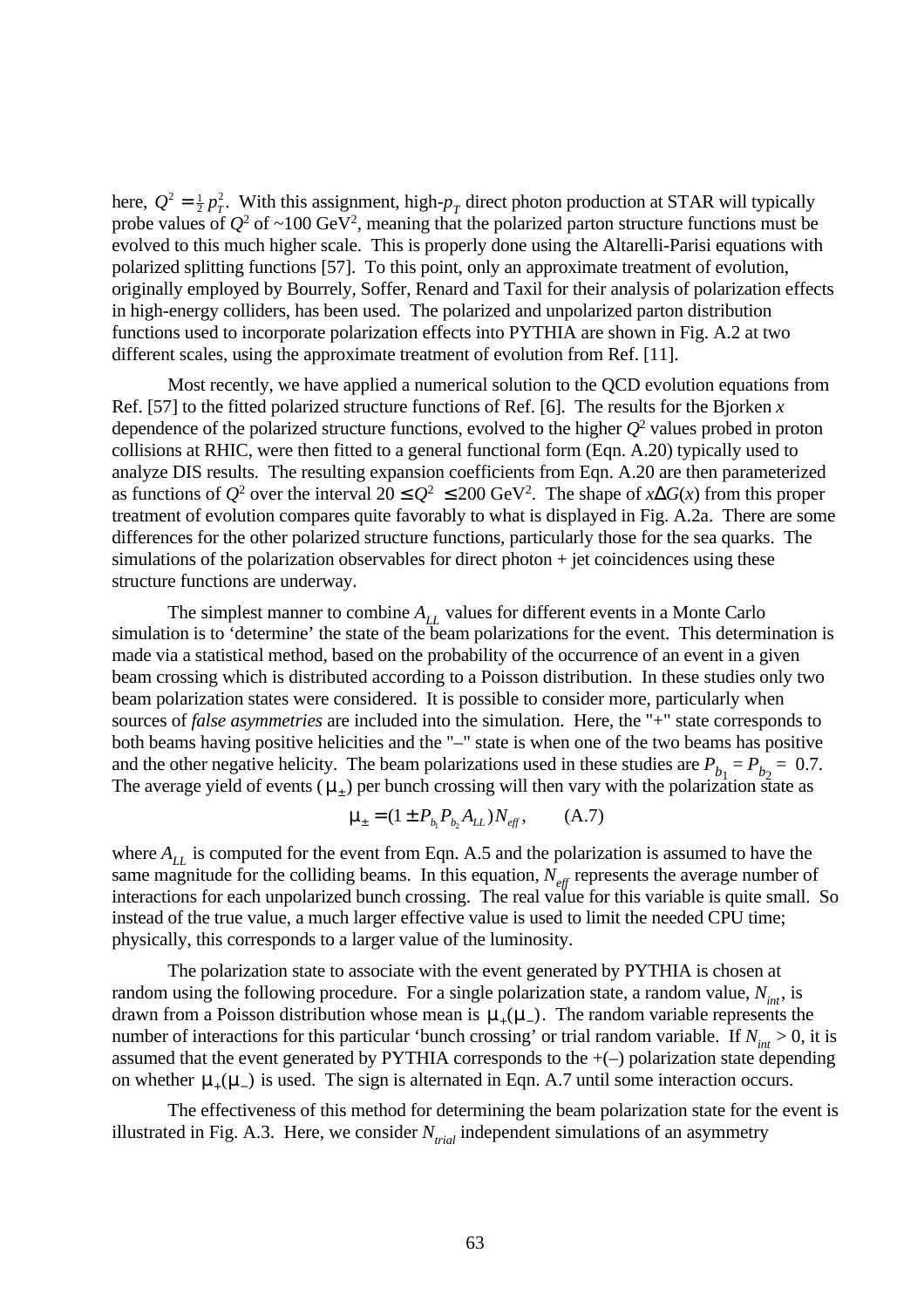here,  $Q^2 = \frac{1}{2} p_T^2$ . With this assignment, high- $p_T$  direct photon production at STAR will typically probe values of  $Q^2$  of  $\sim$ 100 GeV<sup>2</sup>, meaning that the polarized parton structure functions must be evolved to this much higher scale. This is properly done using the Altarelli-Parisi equations with polarized splitting functions [57]. To this point, only an approximate treatment of evolution, originally employed by Bourrely, Soffer, Renard and Taxil for their analysis of polarization effects in high-energy colliders, has been used. The polarized and unpolarized parton distribution functions used to incorporate polarization effects into PYTHIA are shown in Fig. A.2 at two different scales, using the approximate treatment of evolution from Ref. [11].

Most recently, we have applied a numerical solution to the QCD evolution equations from Ref. [57] to the fitted polarized structure functions of Ref. [6]. The results for the Bjorken *x* dependence of the polarized structure functions, evolved to the higher *Q*<sup>2</sup> values probed in proton collisions at RHIC, were then fitted to a general functional form (Eqn. A.20) typically used to analyze DIS results. The resulting expansion coefficients from Eqn. A.20 are then parameterized as functions of  $Q^2$  over the interval  $20 \leq Q^2 \leq 200 \text{ GeV}^2$ . The shape of *x*∆*G*(*x*) from this proper treatment of evolution compares quite favorably to what is displayed in Fig. A.2a. There are some differences for the other polarized structure functions, particularly those for the sea quarks. The simulations of the polarization observables for direct photon  $+$  jet coincidences using these structure functions are underway.

The simplest manner to combine  $A_{LL}$  values for different events in a Monte Carlo simulation is to 'determine' the state of the beam polarizations for the event. This determination is made via a statistical method, based on the probability of the occurrence of an event in a given beam crossing which is distributed according to a Poisson distribution. In these studies only two beam polarization states were considered. It is possible to consider more, particularly when sources of *false asymmetries* are included into the simulation. Here, the "+" state corresponds to both beams having positive helicities and the "–" state is when one of the two beams has positive and the other negative helicity. The beam polarizations used in these studies are  $P_{b_1} = P_{b_2} = 0.7$ . The average yield of events  $(\mu_{\pm})$  per bunch crossing will then vary with the polarization state as

$$
\mu_{\pm} = (1 \pm P_{b_1} P_{b_2} A_{LL}) N_{eff}, \qquad (A.7)
$$

where  $A_{LL}$  is computed for the event from Eqn. A.5 and the polarization is assumed to have the same magnitude for the colliding beams. In this equation,  $N_{\text{eff}}$  represents the average number of interactions for each unpolarized bunch crossing. The real value for this variable is quite small. So instead of the true value, a much larger effective value is used to limit the needed CPU time; physically, this corresponds to a larger value of the luminosity.

The polarization state to associate with the event generated by PYTHIA is chosen at random using the following procedure. For a single polarization state, a random value,  $N_{int}$ , is drawn from a Poisson distribution whose mean is  $\mu_+(\mu_-)$ . The random variable represents the number of interactions for this particular 'bunch crossing' or trial random variable. If  $N_{int} > 0$ , it is assumed that the event generated by PYTHIA corresponds to the +(–) polarization state depending on whether  $\mu_+(\mu_-)$  is used. The sign is alternated in Eqn. A.7 until some interaction occurs.

The effectiveness of this method for determining the beam polarization state for the event is illustrated in Fig. A.3. Here, we consider *Ntrial* independent simulations of an asymmetry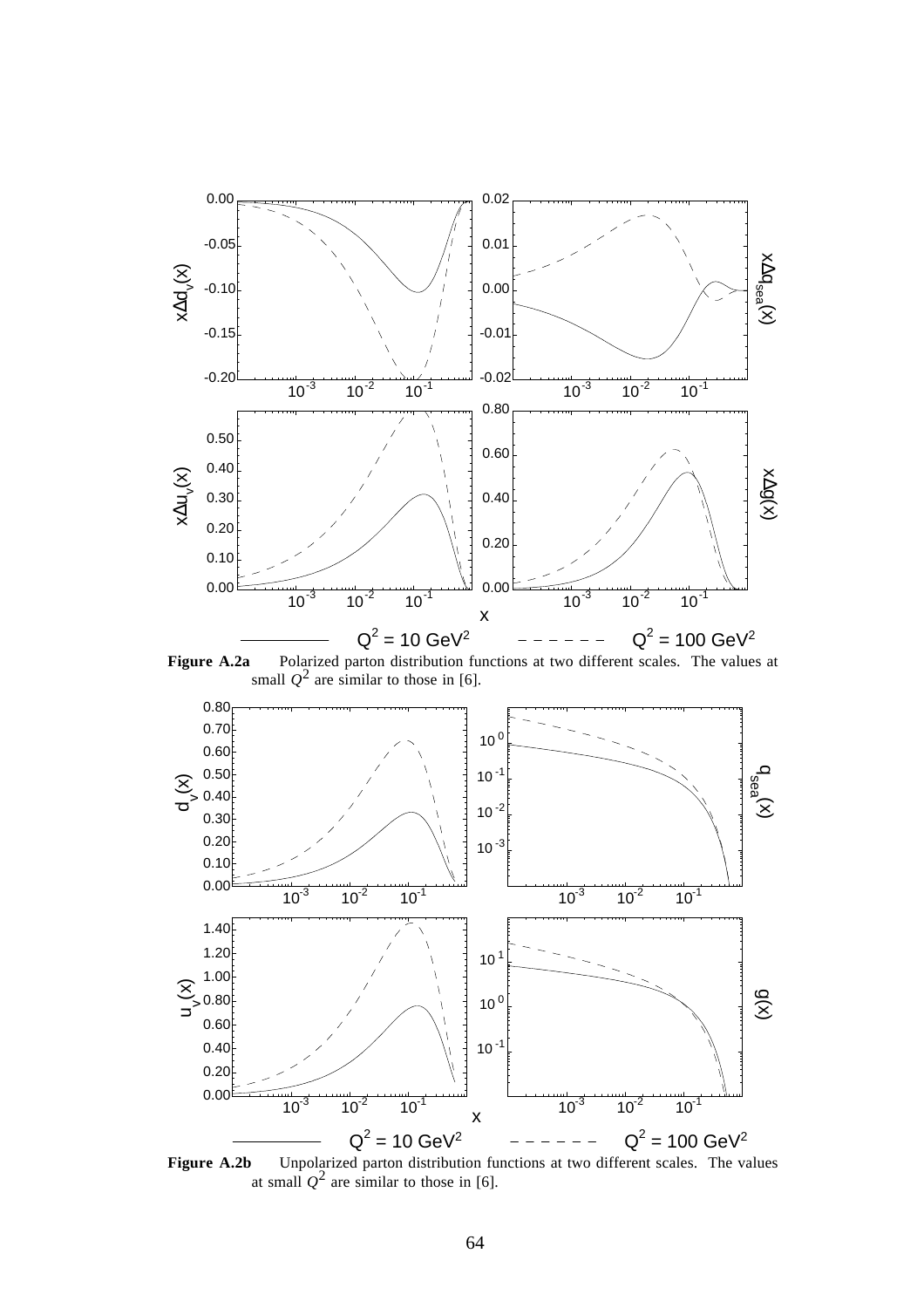

**Figure A.2a** Polarized parton distribution functions at two different scales. The values at small  $Q^2$  are similar to those in [6].



**Figure A.2b** Unpolarized parton distribution functions at two different scales. The values at small  $Q^2$  are similar to those in [6].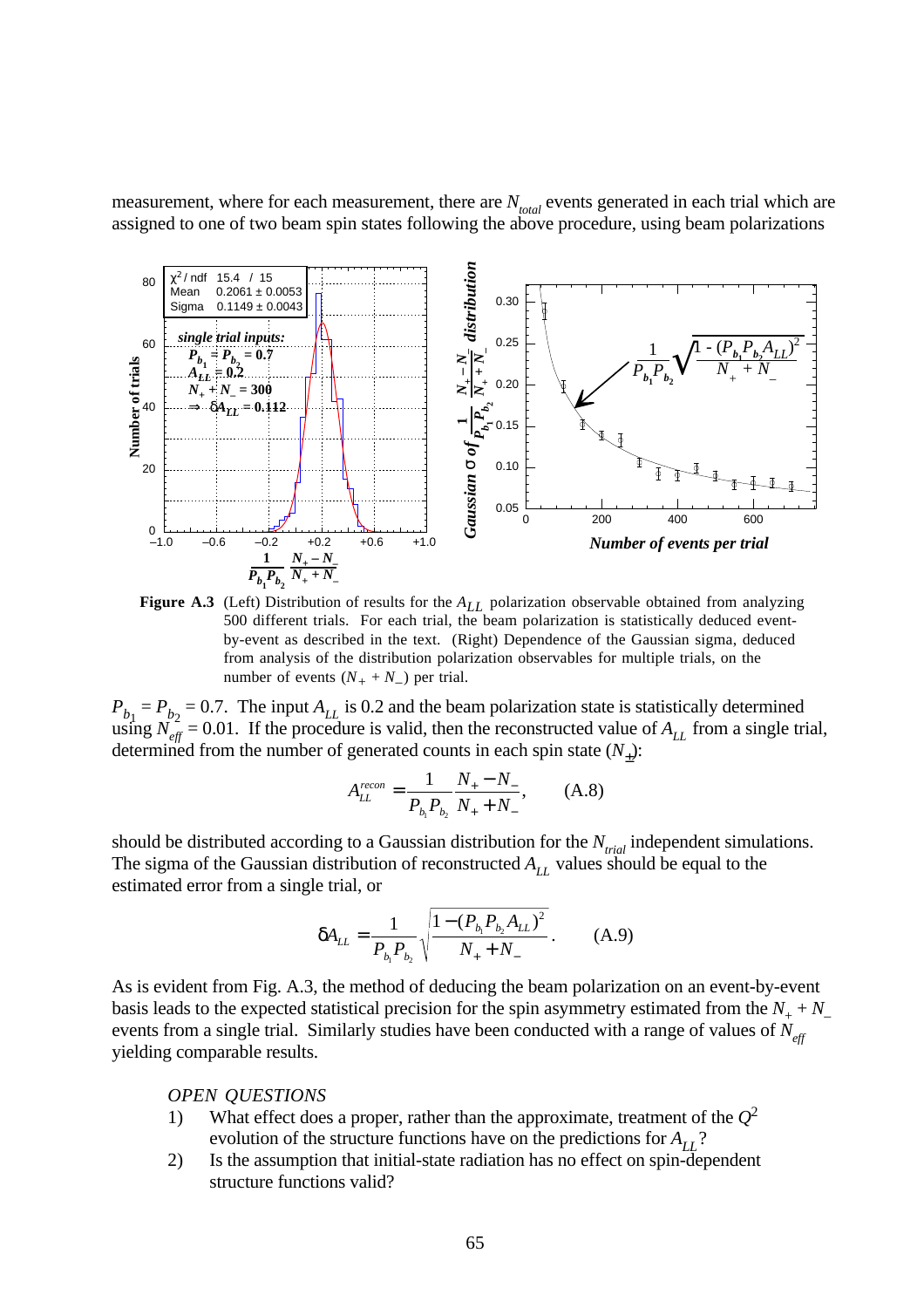measurement, where for each measurement, there are  $N_{total}$  events generated in each trial which are assigned to one of two beam spin states following the above procedure, using beam polarizations



**Figure A.3** (Left) Distribution of results for the  $A_{LL}$  polarization observable obtained from analyzing 500 different trials. For each trial, the beam polarization is statistically deduced eventby-event as described in the text. (Right) Dependence of the Gaussian sigma, deduced from analysis of the distribution polarization observables for multiple trials, on the number of events  $(N_{+} + N_{-})$  per trial.

 $P_{b_1} = P_{b_2} = 0.7$ . The input  $A_{LL}$  is 0.2 and the beam polarization state is statistically determined using  $N_{\text{eff}}^2 = 0.01$ . If the procedure is valid, then the reconstructed value of  $A_{LL}$  from a single trial, determined from the number of generated counts in each spin state  $(N_{\pm})$ :

$$
A_{LL}^{recon} = \frac{1}{P_{b_1} P_{b_2}} \frac{N_+ - N_-}{N_+ + N_-}, \quad (A.8)
$$

should be distributed according to a Gaussian distribution for the *Ntrial* independent simulations. The sigma of the Gaussian distribution of reconstructed  $A_{LL}$  values should be equal to the estimated error from a single trial, or

$$
\delta A_{LL} = \frac{1}{P_{b_1} P_{b_2}} \sqrt{\frac{1 - (P_{b_1} P_{b_2} A_{LL})^2}{N_+ + N_-}}.
$$
 (A.9)

As is evident from Fig. A.3, the method of deducing the beam polarization on an event-by-event basis leads to the expected statistical precision for the spin asymmetry estimated from the  $N_{+} + N_{-}$ events from a single trial. Similarly studies have been conducted with a range of values of *Neff* yielding comparable results.

*OPEN QUESTIONS*

- 1) What effect does a proper, rather than the approximate, treatment of the  $Q^2$ evolution of the structure functions have on the predictions for  $A_{LL}$ ?
- 2) Is the assumption that initial-state radiation has no effect on spin-dependent structure functions valid?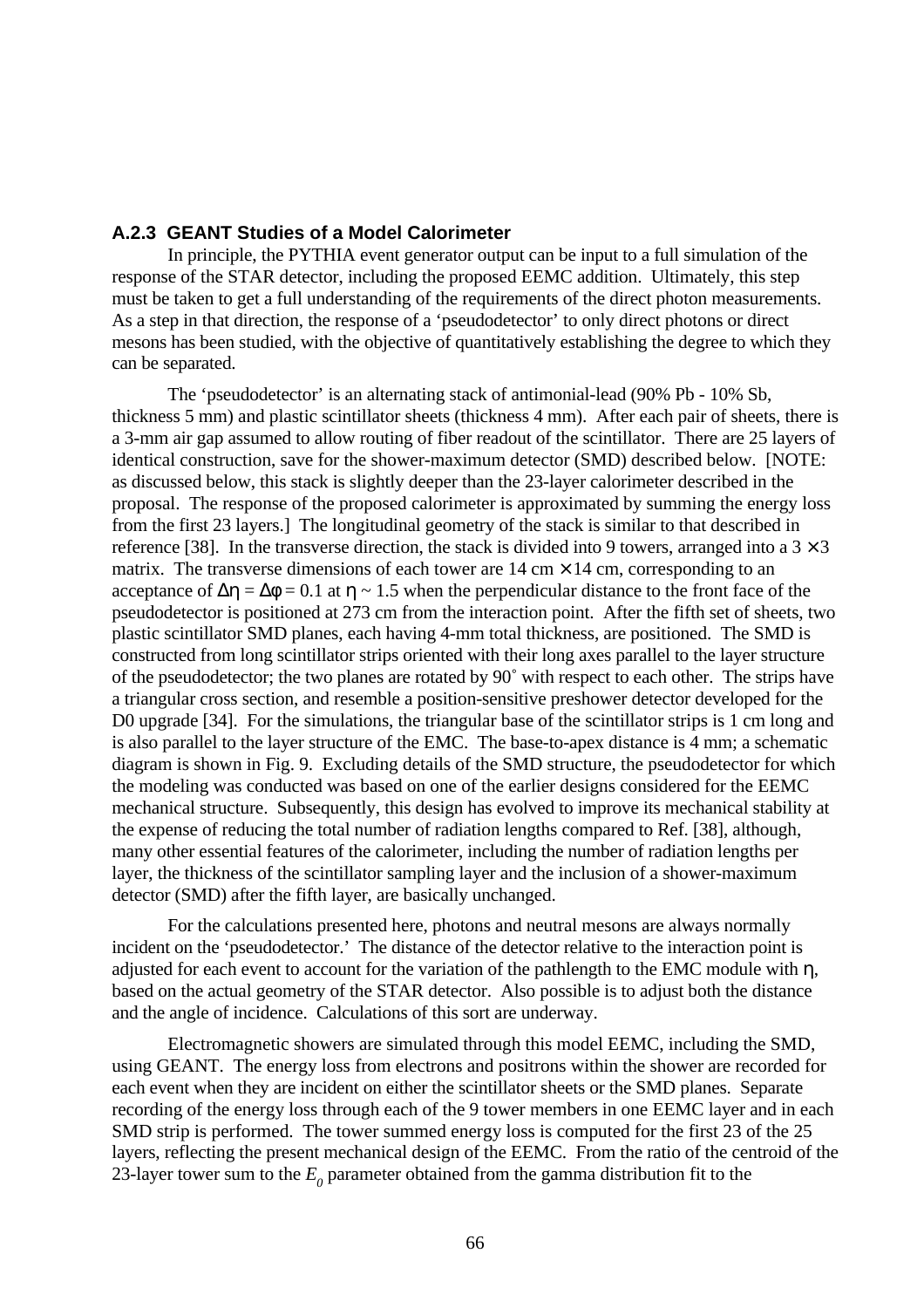### **A.2.3 GEANT Studies of a Model Calorimeter**

In principle, the PYTHIA event generator output can be input to a full simulation of the response of the STAR detector, including the proposed EEMC addition. Ultimately, this step must be taken to get a full understanding of the requirements of the direct photon measurements. As a step in that direction, the response of a 'pseudodetector' to only direct photons or direct mesons has been studied, with the objective of quantitatively establishing the degree to which they can be separated.

The 'pseudodetector' is an alternating stack of antimonial-lead (90% Pb - 10% Sb, thickness 5 mm) and plastic scintillator sheets (thickness 4 mm). After each pair of sheets, there is a 3-mm air gap assumed to allow routing of fiber readout of the scintillator. There are 25 layers of identical construction, save for the shower-maximum detector (SMD) described below. [NOTE: as discussed below, this stack is slightly deeper than the 23-layer calorimeter described in the proposal. The response of the proposed calorimeter is approximated by summing the energy loss from the first 23 layers.] The longitudinal geometry of the stack is similar to that described in reference [38]. In the transverse direction, the stack is divided into 9 towers, arranged into a  $3 \times 3$ matrix. The transverse dimensions of each tower are  $14 \text{ cm} \times 14 \text{ cm}$ , corresponding to an acceptance of  $\Delta \eta = \Delta \phi = 0.1$  at  $\eta \sim 1.5$  when the perpendicular distance to the front face of the pseudodetector is positioned at 273 cm from the interaction point. After the fifth set of sheets, two plastic scintillator SMD planes, each having 4-mm total thickness, are positioned. The SMD is constructed from long scintillator strips oriented with their long axes parallel to the layer structure of the pseudodetector; the two planes are rotated by 90˚ with respect to each other. The strips have a triangular cross section, and resemble a position-sensitive preshower detector developed for the D0 upgrade [34]. For the simulations, the triangular base of the scintillator strips is 1 cm long and is also parallel to the layer structure of the EMC. The base-to-apex distance is 4 mm; a schematic diagram is shown in Fig. 9. Excluding details of the SMD structure, the pseudodetector for which the modeling was conducted was based on one of the earlier designs considered for the EEMC mechanical structure. Subsequently, this design has evolved to improve its mechanical stability at the expense of reducing the total number of radiation lengths compared to Ref. [38], although, many other essential features of the calorimeter, including the number of radiation lengths per layer, the thickness of the scintillator sampling layer and the inclusion of a shower-maximum detector (SMD) after the fifth layer, are basically unchanged.

For the calculations presented here, photons and neutral mesons are always normally incident on the 'pseudodetector.' The distance of the detector relative to the interaction point is adjusted for each event to account for the variation of the pathlength to the EMC module with  $\eta$ , based on the actual geometry of the STAR detector. Also possible is to adjust both the distance and the angle of incidence. Calculations of this sort are underway.

Electromagnetic showers are simulated through this model EEMC, including the SMD, using GEANT. The energy loss from electrons and positrons within the shower are recorded for each event when they are incident on either the scintillator sheets or the SMD planes. Separate recording of the energy loss through each of the 9 tower members in one EEMC layer and in each SMD strip is performed. The tower summed energy loss is computed for the first 23 of the 25 layers, reflecting the present mechanical design of the EEMC. From the ratio of the centroid of the 23-layer tower sum to the  $E_{0}$  parameter obtained from the gamma distribution fit to the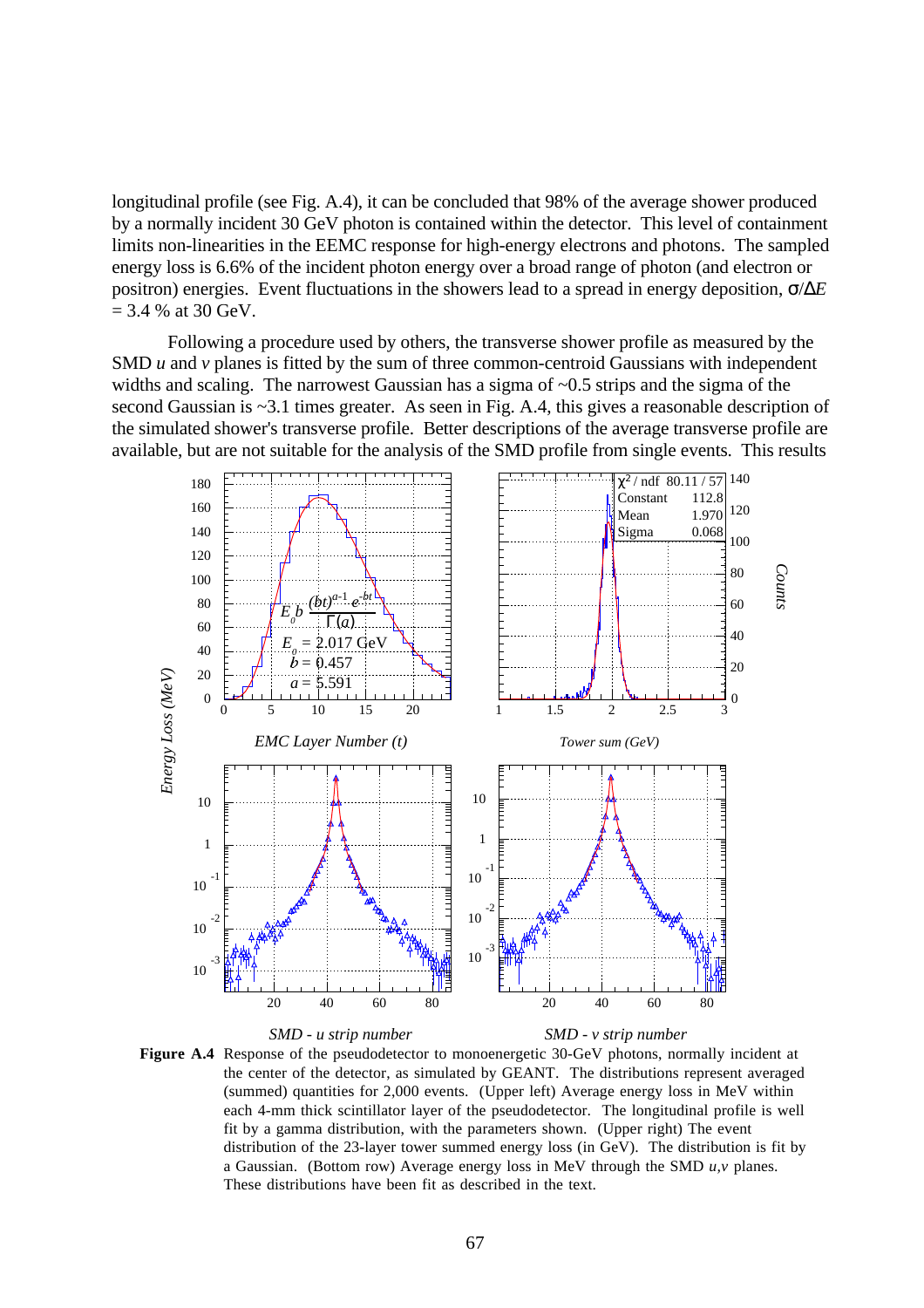longitudinal profile (see Fig. A.4), it can be concluded that 98% of the average shower produced by a normally incident 30 GeV photon is contained within the detector. This level of containment limits non-linearities in the EEMC response for high-energy electrons and photons. The sampled energy loss is 6.6% of the incident photon energy over a broad range of photon (and electron or positron) energies. Event fluctuations in the showers lead to a spread in energy deposition, σ/∆*E*  $= 3.4$  % at 30 GeV.

Following a procedure used by others, the transverse shower profile as measured by the SMD *u* and *v* planes is fitted by the sum of three common-centroid Gaussians with independent widths and scaling. The narrowest Gaussian has a sigma of  $\sim 0.5$  strips and the sigma of the second Gaussian is ~3.1 times greater. As seen in Fig. A.4, this gives a reasonable description of the simulated shower's transverse profile. Better descriptions of the average transverse profile are available, but are not suitable for the analysis of the SMD profile from single events. This results



*SMD - u strip number SMD - v strip number* **Figure A.4** Response of the pseudodetector to monoenergetic 30-GeV photons, normally incident at the center of the detector, as simulated by GEANT. The distributions represent averaged (summed) quantities for 2,000 events. (Upper left) Average energy loss in MeV within each 4-mm thick scintillator layer of the pseudodetector. The longitudinal profile is well fit by a gamma distribution, with the parameters shown. (Upper right) The event distribution of the 23-layer tower summed energy loss (in GeV). The distribution is fit by a Gaussian. (Bottom row) Average energy loss in MeV through the SMD *u,v* planes. These distributions have been fit as described in the text.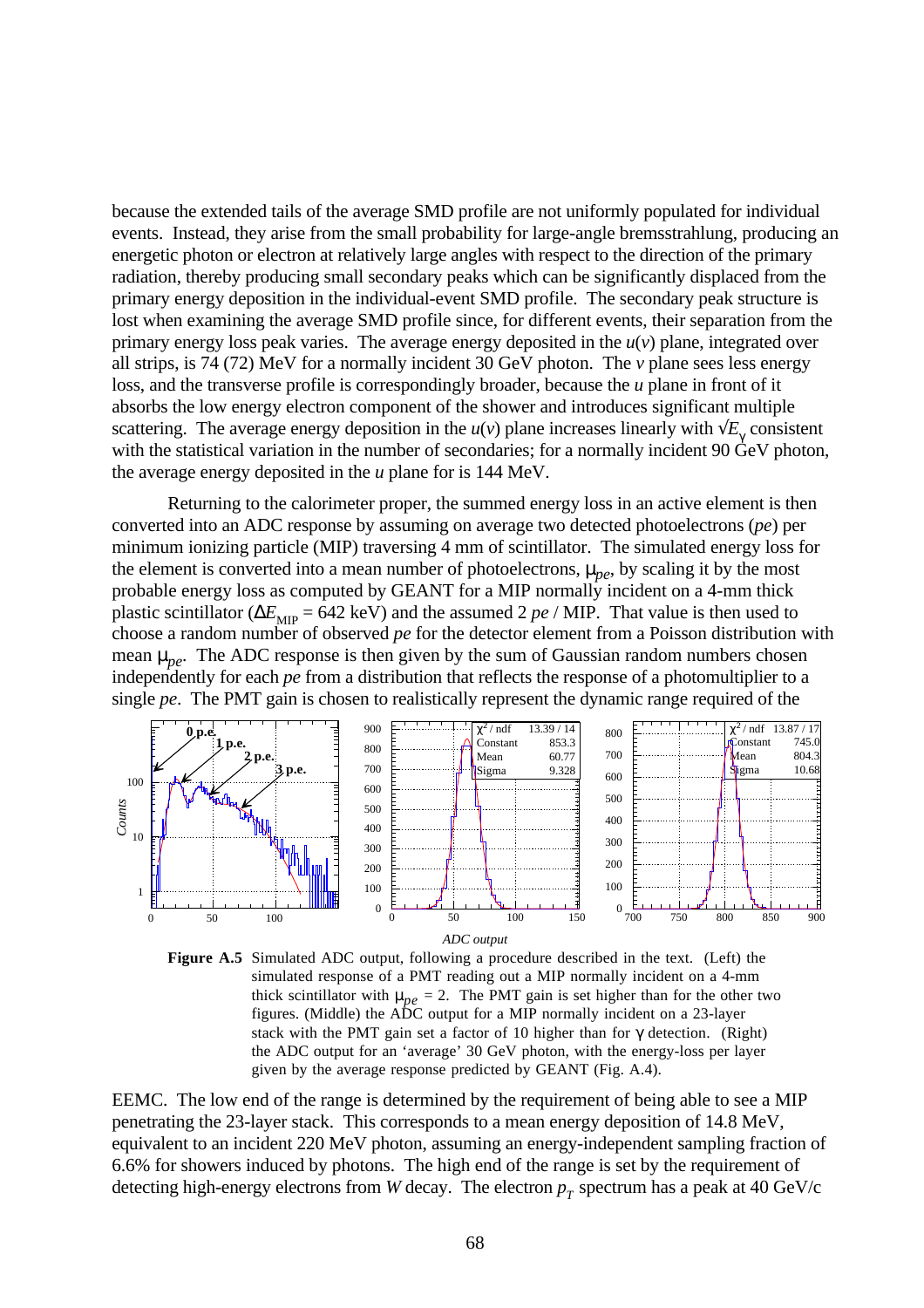because the extended tails of the average SMD profile are not uniformly populated for individual events. Instead, they arise from the small probability for large-angle bremsstrahlung, producing an energetic photon or electron at relatively large angles with respect to the direction of the primary radiation, thereby producing small secondary peaks which can be significantly displaced from the primary energy deposition in the individual-event SMD profile. The secondary peak structure is lost when examining the average SMD profile since, for different events, their separation from the primary energy loss peak varies. The average energy deposited in the *u*(*v*) plane, integrated over all strips, is 74 (72) MeV for a normally incident 30 GeV photon. The *v* plane sees less energy loss, and the transverse profile is correspondingly broader, because the *u* plane in front of it absorbs the low energy electron component of the shower and introduces significant multiple scattering. The average energy deposition in the  $u(v)$  plane increases linearly with  $\sqrt{E_{\gamma}}$  consistent with the statistical variation in the number of secondaries; for a normally incident 90 GeV photon, the average energy deposited in the *u* plane for is 144 MeV.

Returning to the calorimeter proper, the summed energy loss in an active element is then converted into an ADC response by assuming on average two detected photoelectrons (*pe*) per minimum ionizing particle (MIP) traversing 4 mm of scintillator. The simulated energy loss for the element is converted into a mean number of photoelectrons,  $\mu_{p\rho}$ , by scaling it by the most probable energy loss as computed by GEANT for a MIP normally incident on a 4-mm thick plastic scintillator ( $\Delta E_{\text{MIP}}$  = 642 keV) and the assumed 2 *pe* / MIP. That value is then used to choose a random number of observed *pe* for the detector element from a Poisson distribution with mean  $\mu_{pe}$ . The ADC response is then given by the sum of Gaussian random numbers chosen independently for each *pe* from a distribution that reflects the response of a photomultiplier to a single *pe*. The PMT gain is chosen to realistically represent the dynamic range required of the





EEMC. The low end of the range is determined by the requirement of being able to see a MIP penetrating the 23-layer stack. This corresponds to a mean energy deposition of 14.8 MeV, equivalent to an incident 220 MeV photon, assuming an energy-independent sampling fraction of 6.6% for showers induced by photons. The high end of the range is set by the requirement of detecting high-energy electrons from *W* decay. The electron  $p<sub>T</sub>$  spectrum has a peak at 40 GeV/c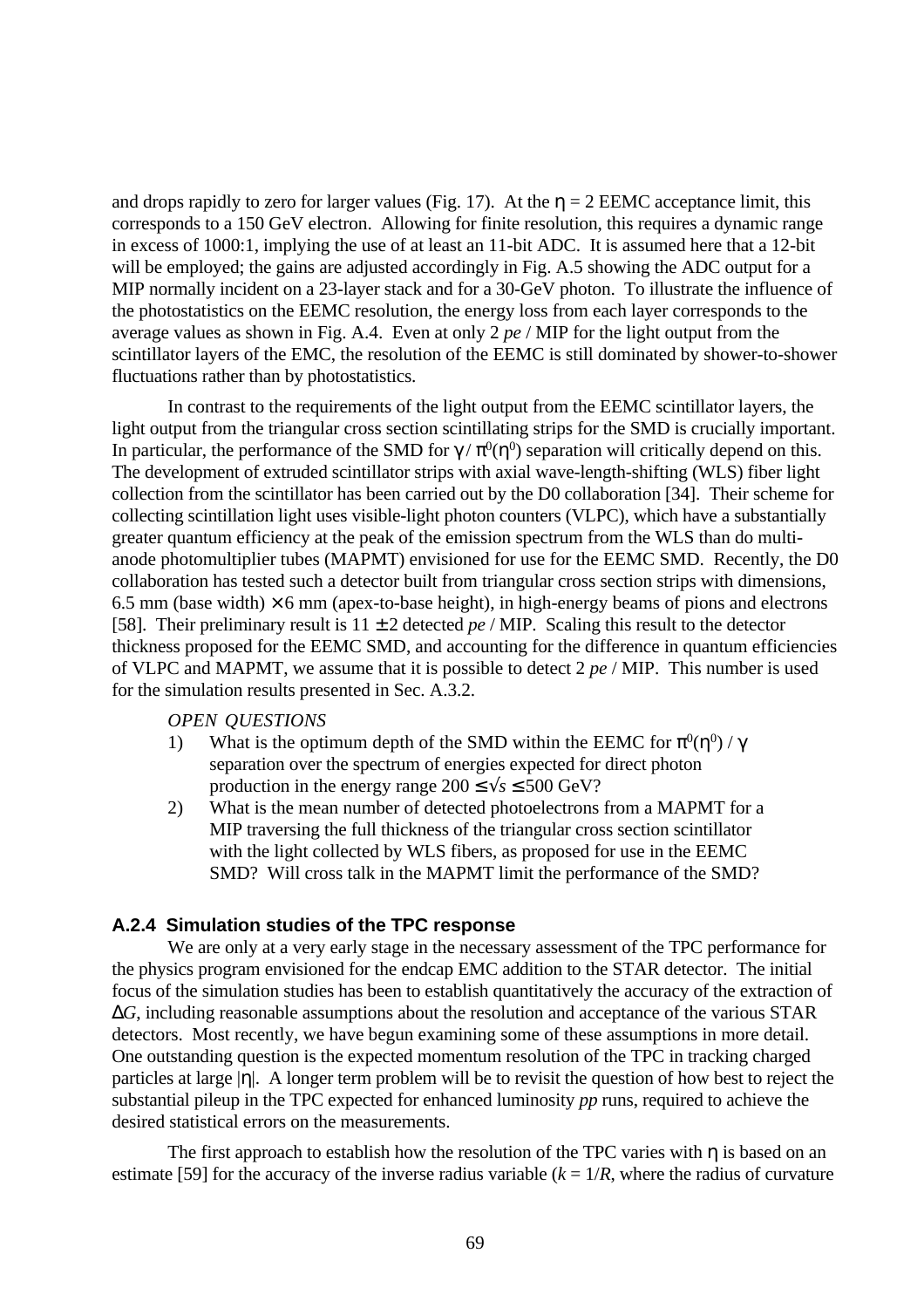and drops rapidly to zero for larger values (Fig. 17). At the  $\eta = 2$  EEMC acceptance limit, this corresponds to a 150 GeV electron. Allowing for finite resolution, this requires a dynamic range in excess of 1000:1, implying the use of at least an 11-bit ADC. It is assumed here that a 12-bit will be employed; the gains are adjusted accordingly in Fig. A.5 showing the ADC output for a MIP normally incident on a 23-layer stack and for a 30-GeV photon. To illustrate the influence of the photostatistics on the EEMC resolution, the energy loss from each layer corresponds to the average values as shown in Fig. A.4. Even at only 2 *pe* / MIP for the light output from the scintillator layers of the EMC, the resolution of the EEMC is still dominated by shower-to-shower fluctuations rather than by photostatistics.

In contrast to the requirements of the light output from the EEMC scintillator layers, the light output from the triangular cross section scintillating strips for the SMD is crucially important. In particular, the performance of the SMD for  $\gamma / \pi^0(\eta^0)$  separation will critically depend on this. The development of extruded scintillator strips with axial wave-length-shifting (WLS) fiber light collection from the scintillator has been carried out by the D0 collaboration [34]. Their scheme for collecting scintillation light uses visible-light photon counters (VLPC), which have a substantially greater quantum efficiency at the peak of the emission spectrum from the WLS than do multianode photomultiplier tubes (MAPMT) envisioned for use for the EEMC SMD. Recently, the D0 collaboration has tested such a detector built from triangular cross section strips with dimensions, 6.5 mm (base width)  $\times$  6 mm (apex-to-base height), in high-energy beams of pions and electrons [58]. Their preliminary result is  $11 \pm 2$  detected *pe* / MIP. Scaling this result to the detector thickness proposed for the EEMC SMD, and accounting for the difference in quantum efficiencies of VLPC and MAPMT, we assume that it is possible to detect 2 *pe* / MIP. This number is used for the simulation results presented in Sec. A.3.2.

### *OPEN QUESTIONS*

- 1) What is the optimum depth of the SMD within the EEMC for  $\pi^0(\eta^0) / \gamma$ separation over the spectrum of energies expected for direct photon production in the energy range  $200 \le \sqrt{s} \le 500$  GeV?
- 2) What is the mean number of detected photoelectrons from a MAPMT for a MIP traversing the full thickness of the triangular cross section scintillator with the light collected by WLS fibers, as proposed for use in the EEMC SMD? Will cross talk in the MAPMT limit the performance of the SMD?

## **A.2.4 Simulation studies of the TPC response**

We are only at a very early stage in the necessary assessment of the TPC performance for the physics program envisioned for the endcap EMC addition to the STAR detector. The initial focus of the simulation studies has been to establish quantitatively the accuracy of the extraction of ∆*G*, including reasonable assumptions about the resolution and acceptance of the various STAR detectors. Most recently, we have begun examining some of these assumptions in more detail. One outstanding question is the expected momentum resolution of the TPC in tracking charged particles at large |η|. A longer term problem will be to revisit the question of how best to reject the substantial pileup in the TPC expected for enhanced luminosity *pp* runs, required to achieve the desired statistical errors on the measurements.

The first approach to establish how the resolution of the TPC varies with  $\eta$  is based on an estimate [59] for the accuracy of the inverse radius variable  $(k = 1/R)$ , where the radius of curvature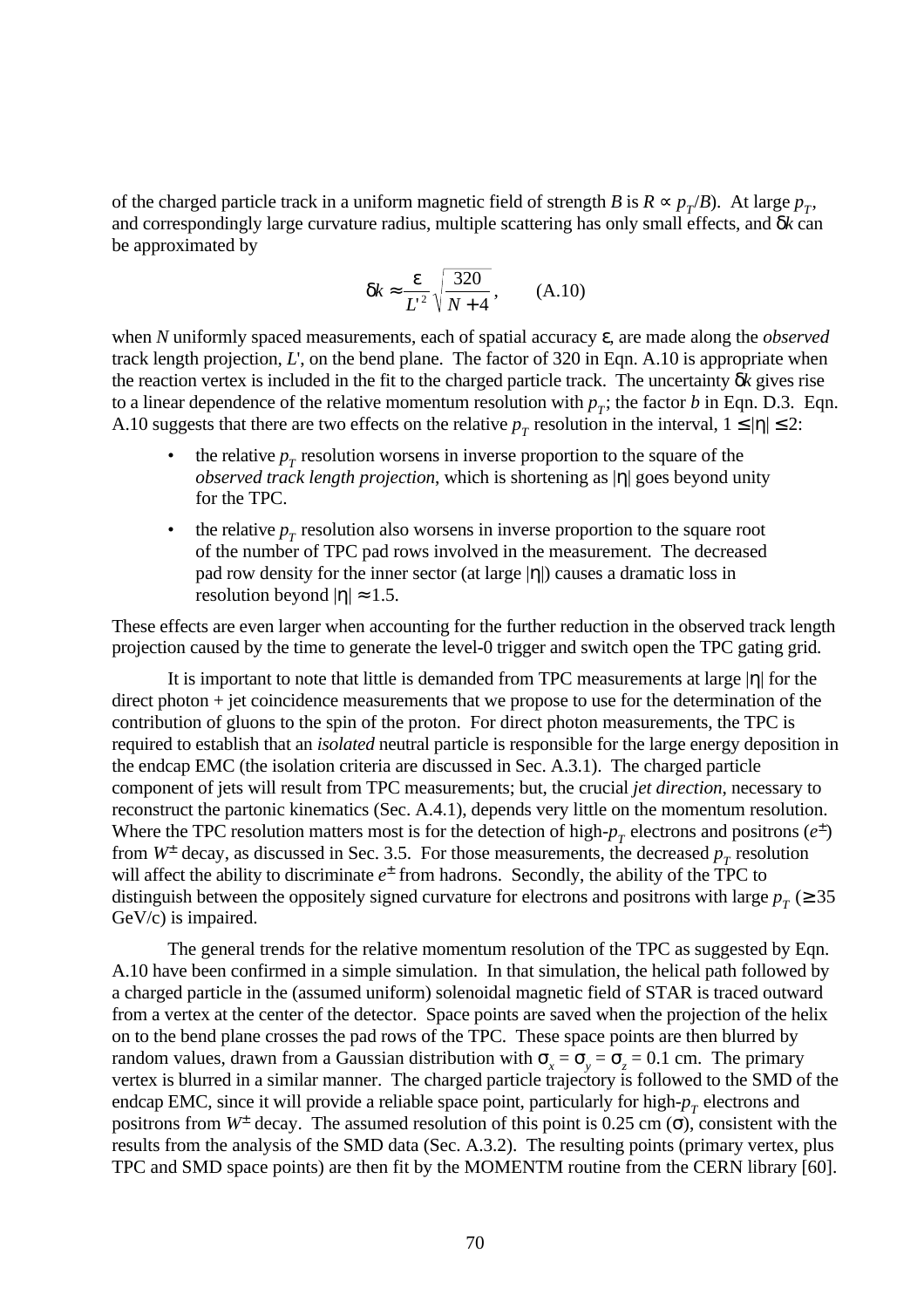of the charged particle track in a uniform magnetic field of strength *B* is  $R \propto p_T/B$ ). At large  $p_T$ , and correspondingly large curvature radius, multiple scattering has only small effects, and δ*k* can be approximated by

$$
\delta k \approx \frac{\varepsilon}{L^2} \sqrt{\frac{320}{N+4}}, \qquad (A.10)
$$

when *N* uniformly spaced measurements, each of spatial accuracy ε, are made along the *observed* track length projection, *L*', on the bend plane. The factor of 320 in Eqn. A.10 is appropriate when the reaction vertex is included in the fit to the charged particle track. The uncertainty δ*k* gives rise to a linear dependence of the relative momentum resolution with  $p<sub>T</sub>$ ; the factor *b* in Eqn. D.3. Eqn. A.10 suggests that there are two effects on the relative  $p_T$  resolution in the interval,  $1 \le |\eta| \le 2$ :

- the relative  $p_T$  resolution worsens in inverse proportion to the square of the *observed track length projection*, which is shortening as |η| goes beyond unity for the TPC.
- the relative  $p_T$  resolution also worsens in inverse proportion to the square root of the number of TPC pad rows involved in the measurement. The decreased pad row density for the inner sector (at large |η|) causes a dramatic loss in resolution beyond  $|\eta| \approx 1.5$ .

These effects are even larger when accounting for the further reduction in the observed track length projection caused by the time to generate the level-0 trigger and switch open the TPC gating grid.

It is important to note that little is demanded from TPC measurements at large |η| for the direct photon + jet coincidence measurements that we propose to use for the determination of the contribution of gluons to the spin of the proton. For direct photon measurements, the TPC is required to establish that an *isolated* neutral particle is responsible for the large energy deposition in the endcap EMC (the isolation criteria are discussed in Sec. A.3.1). The charged particle component of jets will result from TPC measurements; but, the crucial *jet direction*, necessary to reconstruct the partonic kinematics (Sec. A.4.1), depends very little on the momentum resolution. Where the TPC resolution matters most is for the detection of high- $p_T$  electrons and positrons ( $e^{\pm}$ ) from  $W^{\pm}$  decay, as discussed in Sec. 3.5. For those measurements, the decreased  $p_T$  resolution will affect the ability to discriminate  $e^{\pm}$  from hadrons. Secondly, the ability of the TPC to distinguish between the oppositely signed curvature for electrons and positrons with large  $p_T \approx 35$ GeV/c) is impaired.

The general trends for the relative momentum resolution of the TPC as suggested by Eqn. A.10 have been confirmed in a simple simulation. In that simulation, the helical path followed by a charged particle in the (assumed uniform) solenoidal magnetic field of STAR is traced outward from a vertex at the center of the detector. Space points are saved when the projection of the helix on to the bend plane crosses the pad rows of the TPC. These space points are then blurred by random values, drawn from a Gaussian distribution with  $\sigma_x = \sigma_y = \sigma_z = 0.1$  cm. The primary vertex is blurred in a similar manner. The charged particle trajectory is followed to the SMD of the endcap EMC, since it will provide a reliable space point, particularly for high- $p<sub>T</sub>$  electrons and positrons from  $W^{\pm}$  decay. The assumed resolution of this point is 0.25 cm ( $\sigma$ ), consistent with the results from the analysis of the SMD data (Sec. A.3.2). The resulting points (primary vertex, plus TPC and SMD space points) are then fit by the MOMENTM routine from the CERN library [60].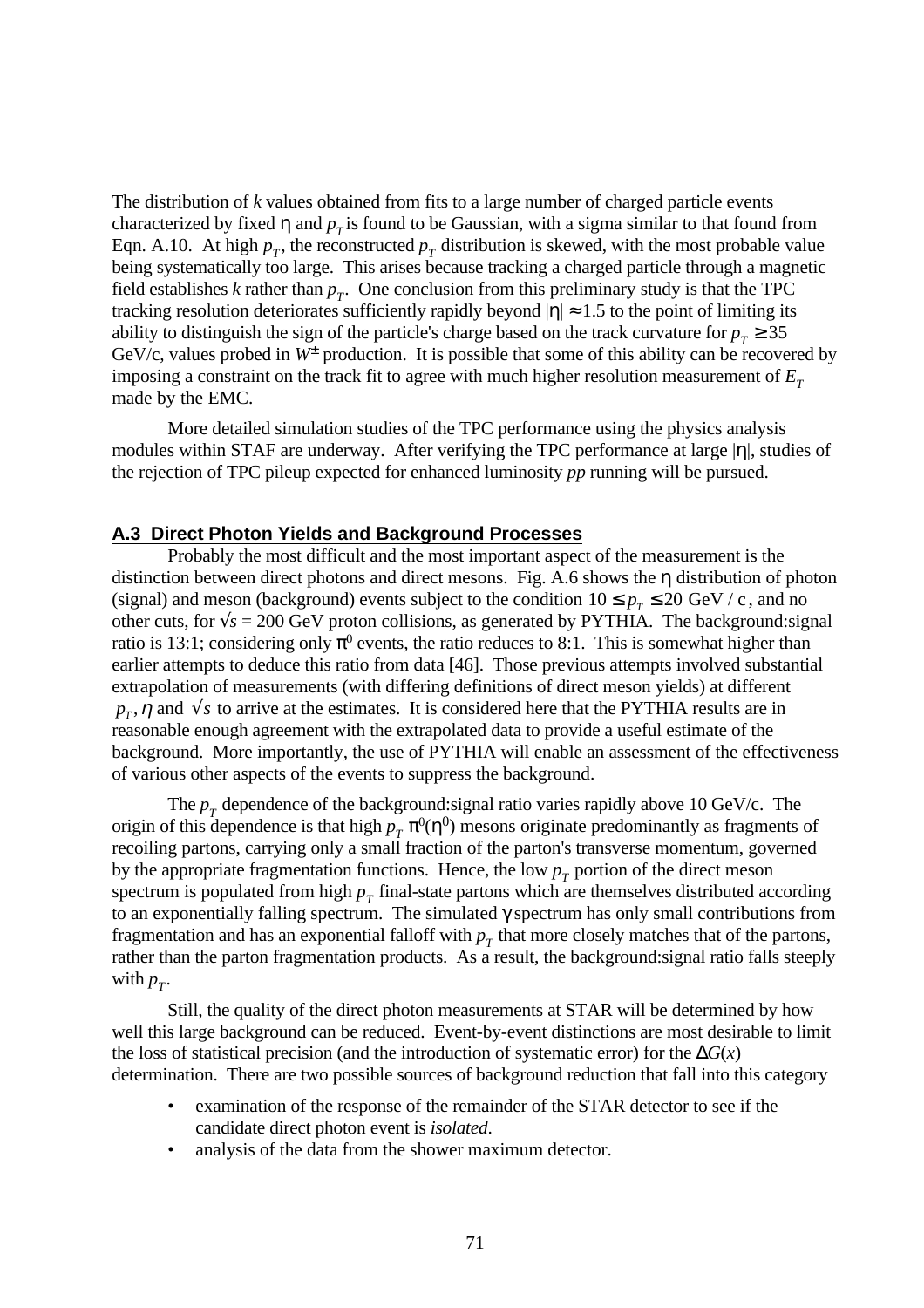The distribution of *k* values obtained from fits to a large number of charged particle events characterized by fixed  $\eta$  and  $p<sub>T</sub>$  is found to be Gaussian, with a sigma similar to that found from Eqn. A.10. At high  $p_T$ , the reconstructed  $p_T$  distribution is skewed, with the most probable value being systematically too large. This arises because tracking a charged particle through a magnetic field establishes  $k$  rather than  $p_T$ . One conclusion from this preliminary study is that the TPC tracking resolution deteriorates sufficiently rapidly beyond  $|\eta| \approx 1.5$  to the point of limiting its ability to distinguish the sign of the particle's charge based on the track curvature for  $p_T \ge 35$ GeV/c, values probed in  $W^{\pm}$  production. It is possible that some of this ability can be recovered by imposing a constraint on the track fit to agree with much higher resolution measurement of  $E<sub>T</sub>$ made by the EMC.

More detailed simulation studies of the TPC performance using the physics analysis modules within STAF are underway. After verifying the TPC performance at large |η|, studies of the rejection of TPC pileup expected for enhanced luminosity *pp* running will be pursued.

## **A.3 Direct Photon Yields and Background Processes**

Probably the most difficult and the most important aspect of the measurement is the distinction between direct photons and direct mesons. Fig. A.6 shows the η distribution of photon (signal) and meson (background) events subject to the condition  $10 \le p<sub>T</sub> \le 20$  GeV / c, and no other cuts, for  $\sqrt{s}$  = 200 GeV proton collisions, as generated by PYTHIA. The background:signal ratio is 13:1; considering only  $\pi^0$  events, the ratio reduces to 8:1. This is somewhat higher than earlier attempts to deduce this ratio from data [46]. Those previous attempts involved substantial extrapolation of measurements (with differing definitions of direct meson yields) at different  $p_T$ ,  $\eta$  and  $\sqrt{s}$  to arrive at the estimates. It is considered here that the PYTHIA results are in reasonable enough agreement with the extrapolated data to provide a useful estimate of the background. More importantly, the use of PYTHIA will enable an assessment of the effectiveness of various other aspects of the events to suppress the background.

The  $p_T$  dependence of the background: signal ratio varies rapidly above 10 GeV/c. The origin of this dependence is that high  $p_T \pi^0(\eta^0)$  mesons originate predominantly as fragments of recoiling partons, carrying only a small fraction of the parton's transverse momentum, governed by the appropriate fragmentation functions. Hence, the low  $p<sub>T</sub>$  portion of the direct meson spectrum is populated from high  $p<sub>T</sub>$  final-state partons which are themselves distributed according to an exponentially falling spectrum. The simulated γ spectrum has only small contributions from fragmentation and has an exponential falloff with  $p<sub>T</sub>$  that more closely matches that of the partons, rather than the parton fragmentation products. As a result, the background:signal ratio falls steeply with  $p_T$ .

Still, the quality of the direct photon measurements at STAR will be determined by how well this large background can be reduced. Event-by-event distinctions are most desirable to limit the loss of statistical precision (and the introduction of systematic error) for the  $\Delta G(x)$ determination. There are two possible sources of background reduction that fall into this category

- examination of the response of the remainder of the STAR detector to see if the candidate direct photon event is *isolated*.
- analysis of the data from the shower maximum detector.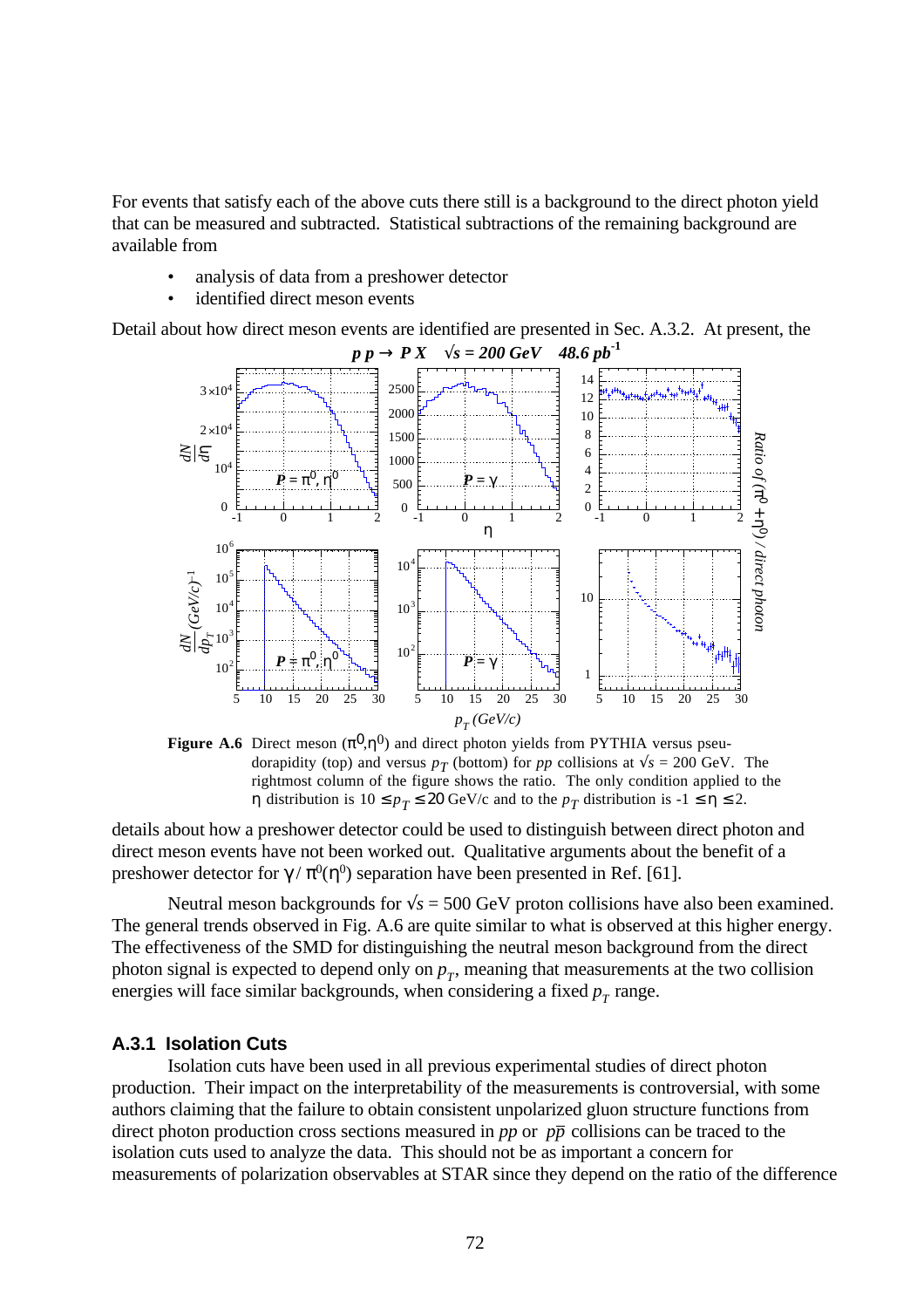For events that satisfy each of the above cuts there still is a background to the direct photon yield that can be measured and subtracted. Statistical subtractions of the remaining background are available from

- analysis of data from a preshower detector
- identified direct meson events

Detail about how direct meson events are identified are presented in Sec. A.3.2. At present, the



**Figure A.6** Direct meson  $(\pi^0, \eta^0)$  and direct photon yields from PYTHIA versus pseudorapidity (top) and versus  $p_T$  (bottom) for  $pp$  collisions at  $\sqrt{s} = 200$  GeV. The rightmost column of the figure shows the ratio. The only condition applied to the *η* distribution is  $10 ≤ p_T ≤ 20$  GeV/c and to the  $p_T$  distribution is  $-1 ≤ η ≤ 2$ .

details about how a preshower detector could be used to distinguish between direct photon and direct meson events have not been worked out. Qualitative arguments about the benefit of a preshower detector for  $\gamma / \pi^0(\eta^0)$  separation have been presented in Ref. [61].

Neutral meson backgrounds for  $\sqrt{s}$  = 500 GeV proton collisions have also been examined. The general trends observed in Fig. A.6 are quite similar to what is observed at this higher energy. The effectiveness of the SMD for distinguishing the neutral meson background from the direct photon signal is expected to depend only on  $p_T$ , meaning that measurements at the two collision energies will face similar backgrounds, when considering a fixed  $p<sub>T</sub>$  range.

## **A.3.1 Isolation Cuts**

Isolation cuts have been used in all previous experimental studies of direct photon production. Their impact on the interpretability of the measurements is controversial, with some authors claiming that the failure to obtain consistent unpolarized gluon structure functions from direct photon production cross sections measured in *pp* or  $p\bar{p}$  collisions can be traced to the isolation cuts used to analyze the data. This should not be as important a concern for measurements of polarization observables at STAR since they depend on the ratio of the difference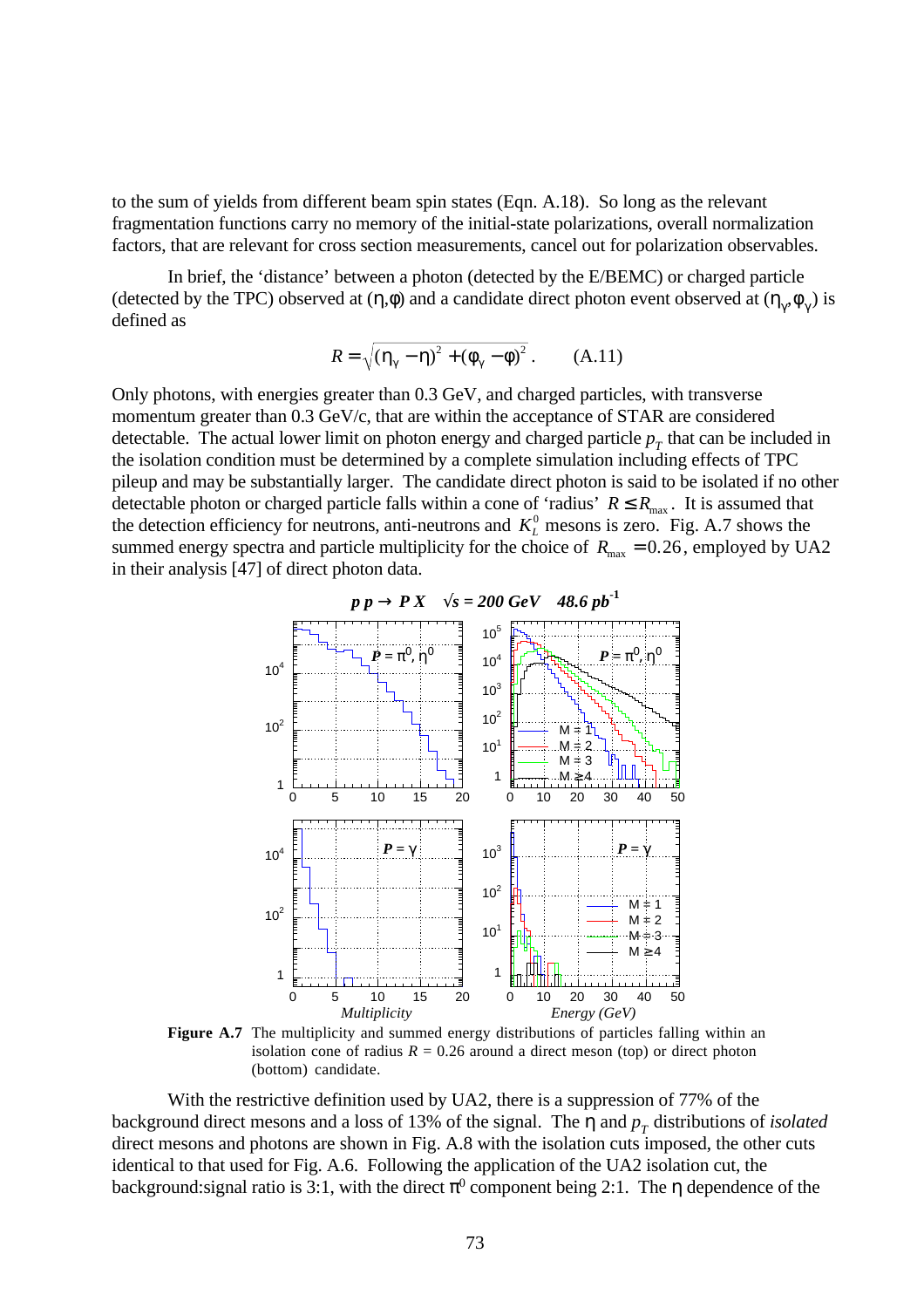to the sum of yields from different beam spin states (Eqn. A.18). So long as the relevant fragmentation functions carry no memory of the initial-state polarizations, overall normalization factors, that are relevant for cross section measurements, cancel out for polarization observables.

In brief, the 'distance' between a photon (detected by the E/BEMC) or charged particle (detected by the TPC) observed at  $(\eta, \phi)$  and a candidate direct photon event observed at  $(\eta_\gamma, \phi_\gamma)$  is defined as

$$
R = \sqrt{(\eta_{\gamma} - \eta)^2 + (\phi_{\gamma} - \phi)^2}.
$$
 (A.11)

Only photons, with energies greater than 0.3 GeV, and charged particles, with transverse momentum greater than 0.3 GeV/c, that are within the acceptance of STAR are considered detectable. The actual lower limit on photon energy and charged particle  $p<sub>T</sub>$  that can be included in the isolation condition must be determined by a complete simulation including effects of TPC pileup and may be substantially larger. The candidate direct photon is said to be isolated if no other detectable photon or charged particle falls within a cone of 'radius'  $R \le R_{\text{max}}$ . It is assumed that the detection efficiency for neutrons, anti-neutrons and  $K<sub>L</sub><sup>0</sup>$  mesons is zero. Fig. A.7 shows the summed energy spectra and particle multiplicity for the choice of  $R_{\text{max}} = 0.26$ , employed by UA2 in their analysis [47] of direct photon data.



Figure A.7 The multiplicity and summed energy distributions of particles falling within an isolation cone of radius  $R = 0.26$  around a direct meson (top) or direct photon (bottom) candidate.

With the restrictive definition used by UA2, there is a suppression of 77% of the background direct mesons and a loss of 13% of the signal. The η and *p<sub>T</sub>* distributions of *isolated* direct mesons and photons are shown in Fig. A.8 with the isolation cuts imposed, the other cuts identical to that used for Fig. A.6. Following the application of the UA2 isolation cut, the background: signal ratio is 3:1, with the direct  $\pi^0$  component being 2:1. The  $\eta$  dependence of the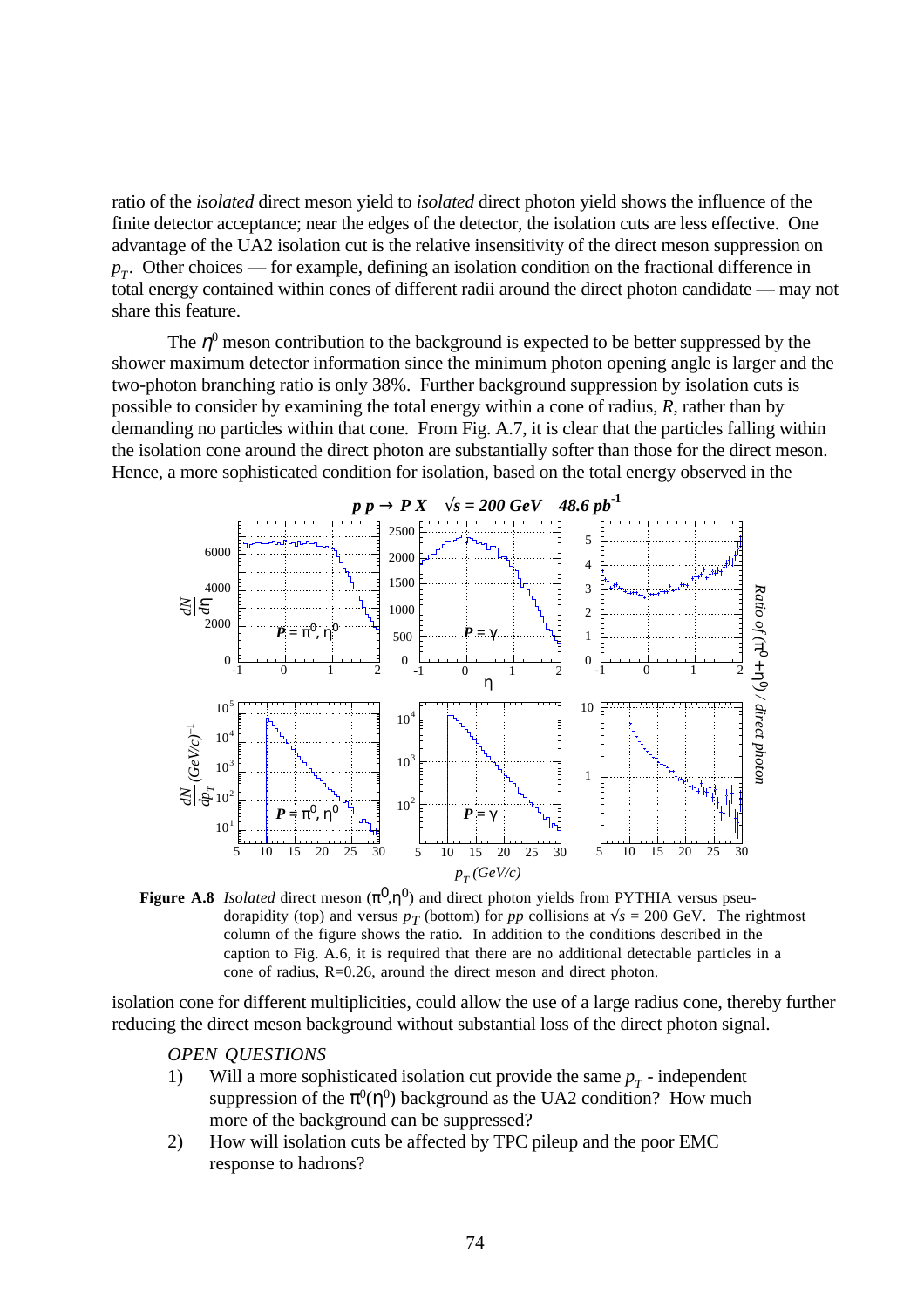ratio of the *isolated* direct meson yield to *isolated* direct photon yield shows the influence of the finite detector acceptance; near the edges of the detector, the isolation cuts are less effective. One advantage of the UA2 isolation cut is the relative insensitivity of the direct meson suppression on  $p_T$ . Other choices — for example, defining an isolation condition on the fractional difference in total energy contained within cones of different radii around the direct photon candidate — may not share this feature.

The  $\eta^0$  meson contribution to the background is expected to be better suppressed by the shower maximum detector information since the minimum photon opening angle is larger and the two-photon branching ratio is only 38%. Further background suppression by isolation cuts is possible to consider by examining the total energy within a cone of radius, *R*, rather than by demanding no particles within that cone. From Fig. A.7, it is clear that the particles falling within the isolation cone around the direct photon are substantially softer than those for the direct meson. Hence, a more sophisticated condition for isolation, based on the total energy observed in the



**Figure A.8** *Isolated* direct meson  $(\pi^0, \eta^0)$  and direct photon yields from PYTHIA versus pseudorapidity (top) and versus  $p_T$  (bottom) for  $pp$  collisions at  $\sqrt{s} = 200$  GeV. The rightmost column of the figure shows the ratio. In addition to the conditions described in the caption to Fig. A.6, it is required that there are no additional detectable particles in a cone of radius, R=0.26, around the direct meson and direct photon.

isolation cone for different multiplicities, could allow the use of a large radius cone, thereby further reducing the direct meson background without substantial loss of the direct photon signal.

*OPEN QUESTIONS*

- 1) Will a more sophisticated isolation cut provide the same  $p_T$  independent suppression of the  $\pi^0(\eta^0)$  background as the UA2 condition? How much more of the background can be suppressed?
- 2) How will isolation cuts be affected by TPC pileup and the poor EMC response to hadrons?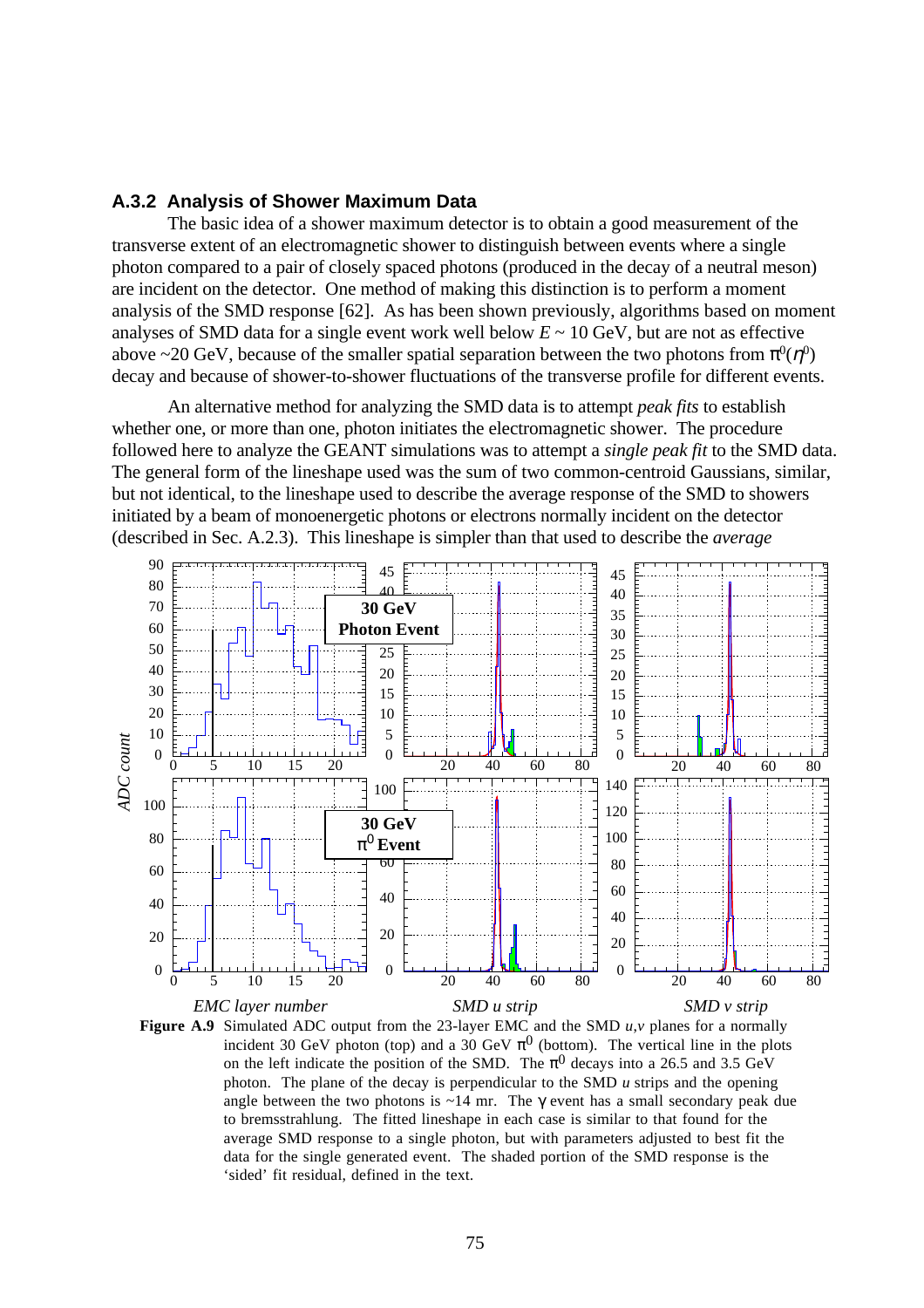## **A.3.2 Analysis of Shower Maximum Data**

The basic idea of a shower maximum detector is to obtain a good measurement of the transverse extent of an electromagnetic shower to distinguish between events where a single photon compared to a pair of closely spaced photons (produced in the decay of a neutral meson) are incident on the detector. One method of making this distinction is to perform a moment analysis of the SMD response [62]. As has been shown previously, algorithms based on moment analyses of SMD data for a single event work well below  $E \sim 10$  GeV, but are not as effective above ~20 GeV, because of the smaller spatial separation between the two photons from  $\pi^0(\eta^0)$ decay and because of shower-to-shower fluctuations of the transverse profile for different events.

An alternative method for analyzing the SMD data is to attempt *peak fits* to establish whether one, or more than one, photon initiates the electromagnetic shower. The procedure followed here to analyze the GEANT simulations was to attempt a *single peak fit* to the SMD data. The general form of the lineshape used was the sum of two common-centroid Gaussians, similar, but not identical, to the lineshape used to describe the average response of the SMD to showers initiated by a beam of monoenergetic photons or electrons normally incident on the detector (described in Sec. A.2.3). This lineshape is simpler than that used to describe the *average*



**Figure A.9** Simulated ADC output from the 23-layer EMC and the SMD *u*,*v* planes for a normally incident 30 GeV photon (top) and a 30 GeV  $\pi^0$  (bottom). The vertical line in the plots on the left indicate the position of the SMD. The  $\pi^{0}$  decays into a 26.5 and 3.5 GeV photon. The plane of the decay is perpendicular to the SMD *u* strips and the opening angle between the two photons is  $\sim$ 14 mr. The  $\gamma$  event has a small secondary peak due to bremsstrahlung. The fitted lineshape in each case is similar to that found for the average SMD response to a single photon, but with parameters adjusted to best fit the data for the single generated event. The shaded portion of the SMD response is the 'sided' fit residual, defined in the text.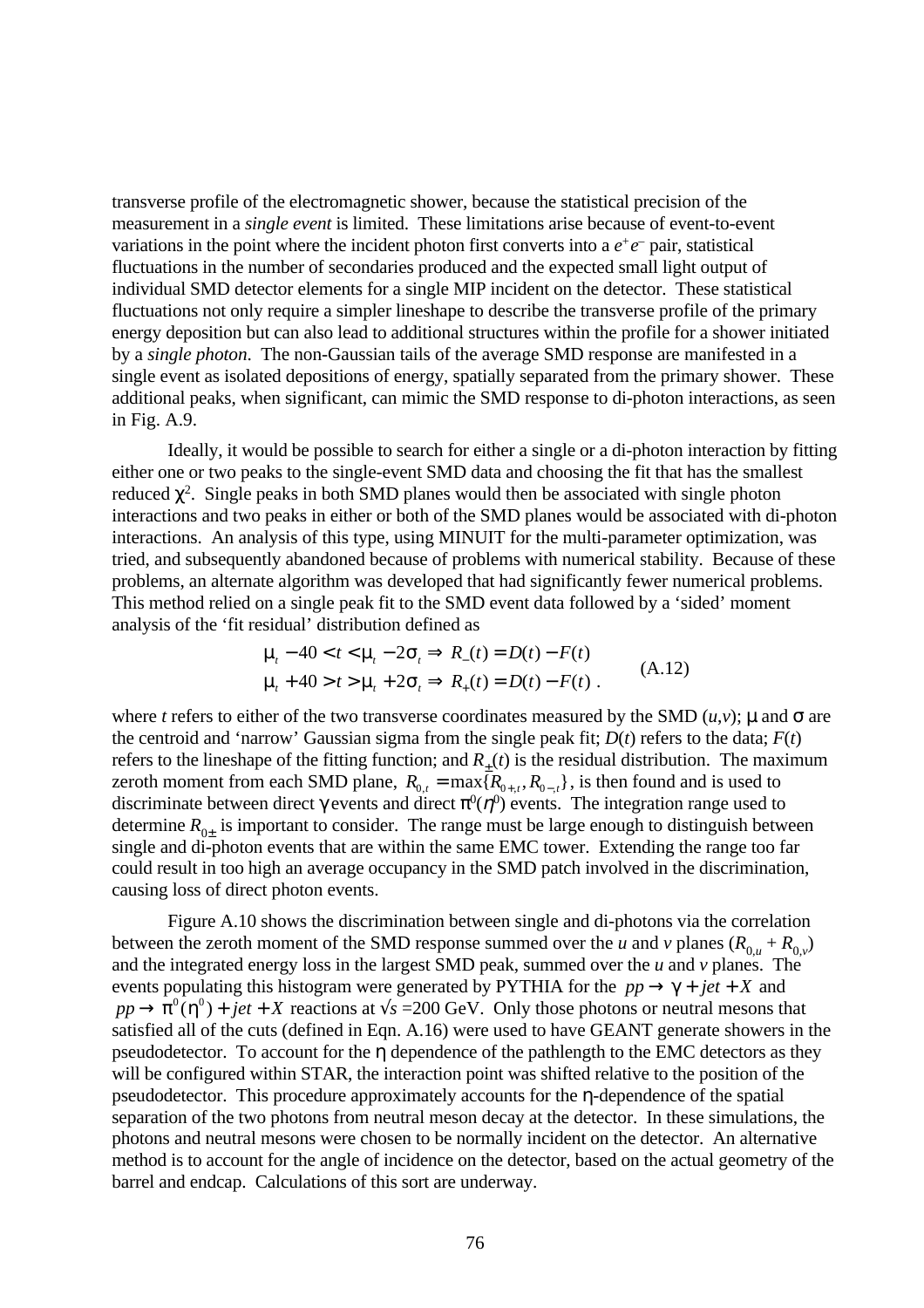transverse profile of the electromagnetic shower, because the statistical precision of the measurement in a *single event* is limited. These limitations arise because of event-to-event variations in the point where the incident photon first converts into a  $e^+e^-$  pair, statistical fluctuations in the number of secondaries produced and the expected small light output of individual SMD detector elements for a single MIP incident on the detector. These statistical fluctuations not only require a simpler lineshape to describe the transverse profile of the primary energy deposition but can also lead to additional structures within the profile for a shower initiated by a *single photon*. The non-Gaussian tails of the average SMD response are manifested in a single event as isolated depositions of energy, spatially separated from the primary shower. These additional peaks, when significant, can mimic the SMD response to di-photon interactions, as seen in Fig. A.9.

Ideally, it would be possible to search for either a single or a di-photon interaction by fitting either one or two peaks to the single-event SMD data and choosing the fit that has the smallest reduced  $\chi^2$ . Single peaks in both SMD planes would then be associated with single photon interactions and two peaks in either or both of the SMD planes would be associated with di-photon interactions. An analysis of this type, using MINUIT for the multi-parameter optimization, was tried, and subsequently abandoned because of problems with numerical stability. Because of these problems, an alternate algorithm was developed that had significantly fewer numerical problems. This method relied on a single peak fit to the SMD event data followed by a 'sided' moment analysis of the 'fit residual' distribution defined as

$$
\mu_t - 40 < t < \mu_t - 2\sigma_t \Rightarrow R_-(t) = D(t) - F(t)
$$
  
\n
$$
\mu_t + 40 > t > \mu_t + 2\sigma_t \Rightarrow R_+(t) = D(t) - F(t) .
$$
\n(A.12)

where *t* refers to either of the two transverse coordinates measured by the SMD  $(u, v)$ ;  $\mu$  and  $\sigma$  are the centroid and 'narrow' Gaussian sigma from the single peak fit;  $D(t)$  refers to the data;  $F(t)$ refers to the lineshape of the fitting function; and  $R_{\pm}(t)$  is the residual distribution. The maximum zeroth moment from each SMD plane,  $R_{0,t} = \max\{R_{0+,t}, R_{0-,t}\}\)$ , is then found and is used to discriminate between direct  $\gamma$  events and direct  $\pi^0(\eta^0)$  events. The integration range used to determine  $R_{0\pm}$  is important to consider. The range must be large enough to distinguish between single and di-photon events that are within the same EMC tower. Extending the range too far could result in too high an average occupancy in the SMD patch involved in the discrimination, causing loss of direct photon events.

Figure A.10 shows the discrimination between single and di-photons via the correlation between the zeroth moment of the SMD response summed over the *u* and *v* planes  $(R_{0,u} + R_{0,v})$ and the integrated energy loss in the largest SMD peak, summed over the *u* and *v* planes. The events populating this histogram were generated by PYTHIA for the  $pp \rightarrow \gamma + jet + X$  and  $pp \rightarrow \pi^0(\eta^0) + jet + X$  reactions at  $\sqrt{s} = 200$  GeV. Only those photons or neutral mesons that satisfied all of the cuts (defined in Eqn. A.16) were used to have GEANT generate showers in the pseudodetector. To account for the η dependence of the pathlength to the EMC detectors as they will be configured within STAR, the interaction point was shifted relative to the position of the pseudodetector. This procedure approximately accounts for the η-dependence of the spatial separation of the two photons from neutral meson decay at the detector. In these simulations, the photons and neutral mesons were chosen to be normally incident on the detector. An alternative method is to account for the angle of incidence on the detector, based on the actual geometry of the barrel and endcap. Calculations of this sort are underway.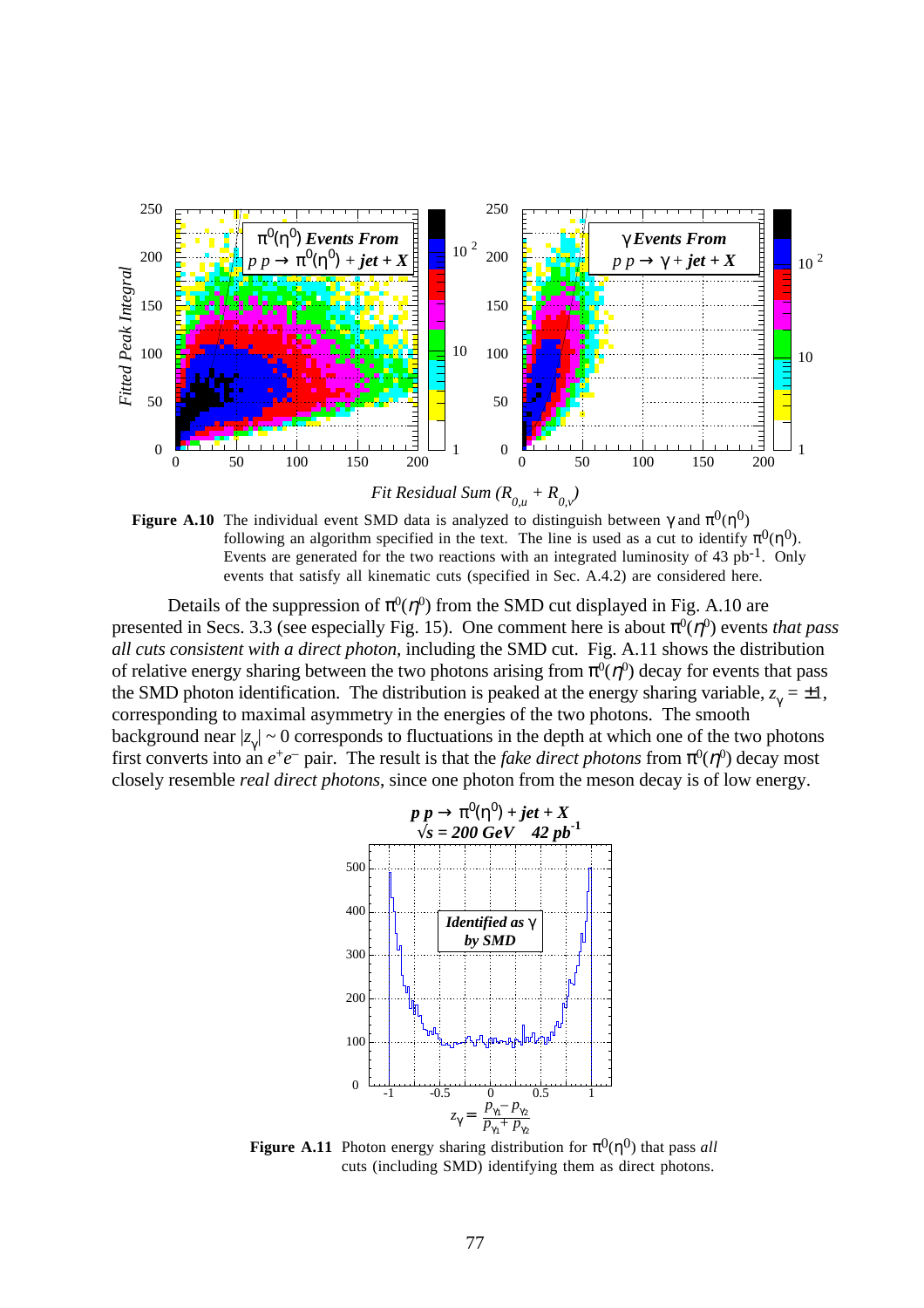





Details of the suppression of  $\pi^0(\eta^0)$  from the SMD cut displayed in Fig. A.10 are presented in Secs. 3.3 (see especially Fig. 15). One comment here is about  $\pi^0(\eta^0)$  events *that pass all cuts consistent with a direct photon,* including the SMD cut. Fig. A.11 shows the distribution of relative energy sharing between the two photons arising from  $\pi^0(\eta^0)$  decay for events that pass the SMD photon identification. The distribution is peaked at the energy sharing variable,  $z_{\gamma} = \pm 1$ , corresponding to maximal asymmetry in the energies of the two photons. The smooth background near  $|z_{\gamma}| \sim 0$  corresponds to fluctuations in the depth at which one of the two photons first converts into an  $e^+e^-$  pair. The result is that the *fake direct photons* from  $\pi^0(\eta^0)$  decay most closely resemble *real direct photons*, since one photon from the meson decay is of low energy.



**Figure A.11** Photon energy sharing distribution for  $\pi^{0}(\eta^{0})$  that pass *all* cuts (including SMD) identifying them as direct photons.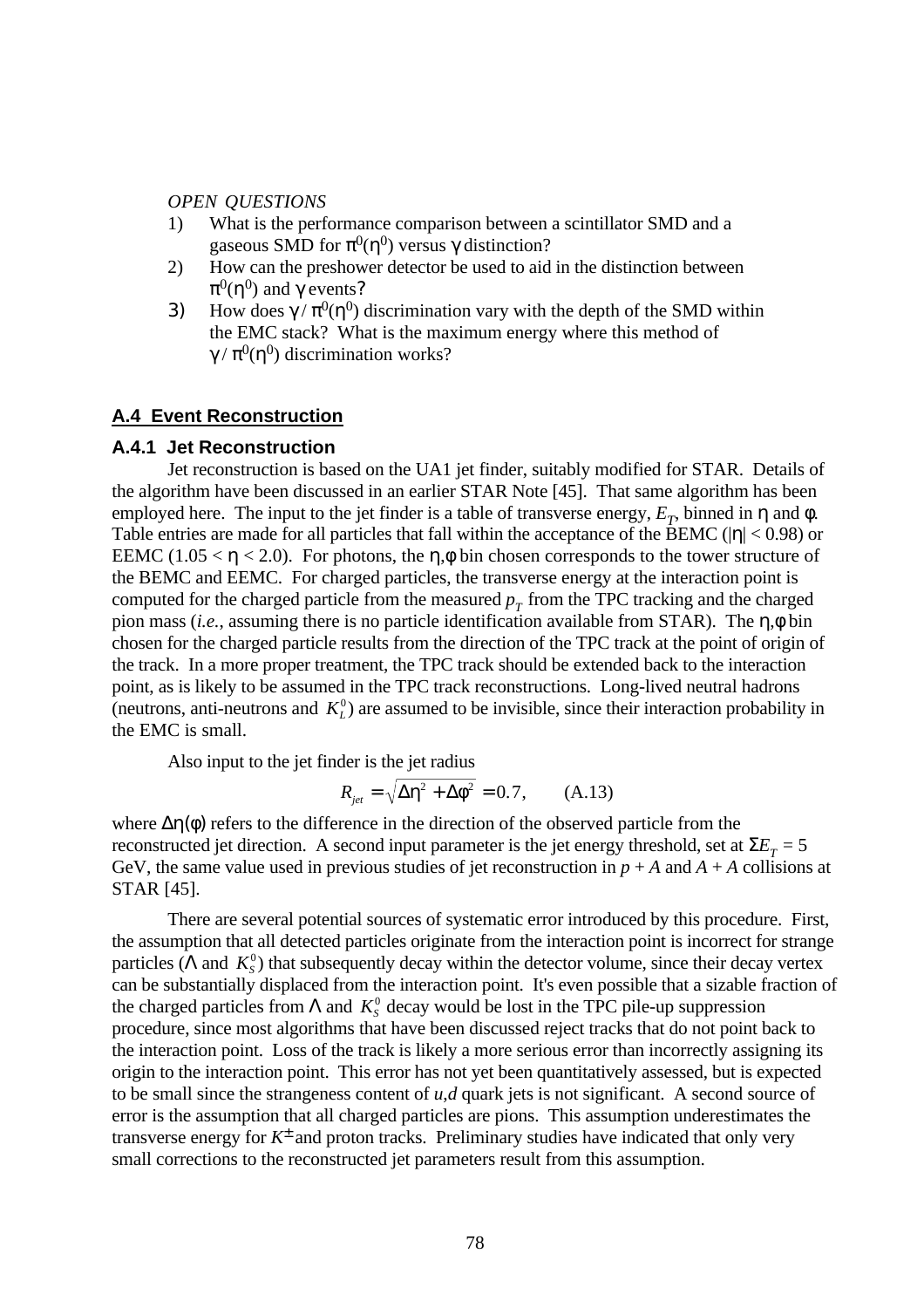#### *OPEN QUESTIONS*

- 1) What is the performance comparison between a scintillator SMD and a gaseous SMD for  $\pi^0\mathfrak{n}^0$ ) versus  $\gamma$  distinction?
- 2) How can the preshower detector be used to aid in the distinction between  $\pi^0$ (η $^0$ ) and γ events?
- 3) How does  $\gamma / \pi^0(\eta^0)$  discrimination vary with the depth of the SMD within the EMC stack? What is the maximum energy where this method of  $\gamma/\pi^0$ (η<sup>0</sup>) discrimination works?

## **A.4 Event Reconstruction**

### **A.4.1 Jet Reconstruction**

Jet reconstruction is based on the UA1 jet finder, suitably modified for STAR. Details of the algorithm have been discussed in an earlier STAR Note [45]. That same algorithm has been employed here. The input to the jet finder is a table of transverse energy,  $E_T$ , binned in  $\eta$  and  $\phi$ . Table entries are made for all particles that fall within the acceptance of the BEMC ( $|\eta|$  < 0.98) or EEMC (1.05  $\lt$   $\eta$   $\lt$  2.0). For photons, the  $\eta$ ,  $\phi$  bin chosen corresponds to the tower structure of the BEMC and EEMC. For charged particles, the transverse energy at the interaction point is computed for the charged particle from the measured  $p_T$  from the TPC tracking and the charged pion mass (*i.e.*, assuming there is no particle identification available from STAR). The η,φ bin chosen for the charged particle results from the direction of the TPC track at the point of origin of the track. In a more proper treatment, the TPC track should be extended back to the interaction point, as is likely to be assumed in the TPC track reconstructions. Long-lived neutral hadrons (neutrons, anti-neutrons and  $K_L^0$ ) are assumed to be invisible, since their interaction probability in the EMC is small.

Also input to the jet finder is the jet radius

$$
R_{jet} = \sqrt{\Delta \eta^2 + \Delta \phi^2} = 0.7, \quad (A.13)
$$

where  $\Delta \eta(\phi)$  refers to the difference in the direction of the observed particle from the reconstructed jet direction. A second input parameter is the jet energy threshold, set at  $\Sigma E_T = 5$ GeV, the same value used in previous studies of jet reconstruction in  $p + A$  and  $A + A$  collisions at STAR [45].

There are several potential sources of systematic error introduced by this procedure. First, the assumption that all detected particles originate from the interaction point is incorrect for strange particles ( $\Lambda$  and  $K_s^0$ ) that subsequently decay within the detector volume, since their decay vertex can be substantially displaced from the interaction point. It's even possible that a sizable fraction of the charged particles from  $\Lambda$  and  $K^0$ <sup>o</sup> decay would be lost in the TPC pile-up suppression procedure, since most algorithms that have been discussed reject tracks that do not point back to the interaction point. Loss of the track is likely a more serious error than incorrectly assigning its origin to the interaction point. This error has not yet been quantitatively assessed, but is expected to be small since the strangeness content of *u*,*d* quark jets is not significant. A second source of error is the assumption that all charged particles are pions. This assumption underestimates the transverse energy for *K*<sup>±</sup> and proton tracks. Preliminary studies have indicated that only very small corrections to the reconstructed jet parameters result from this assumption.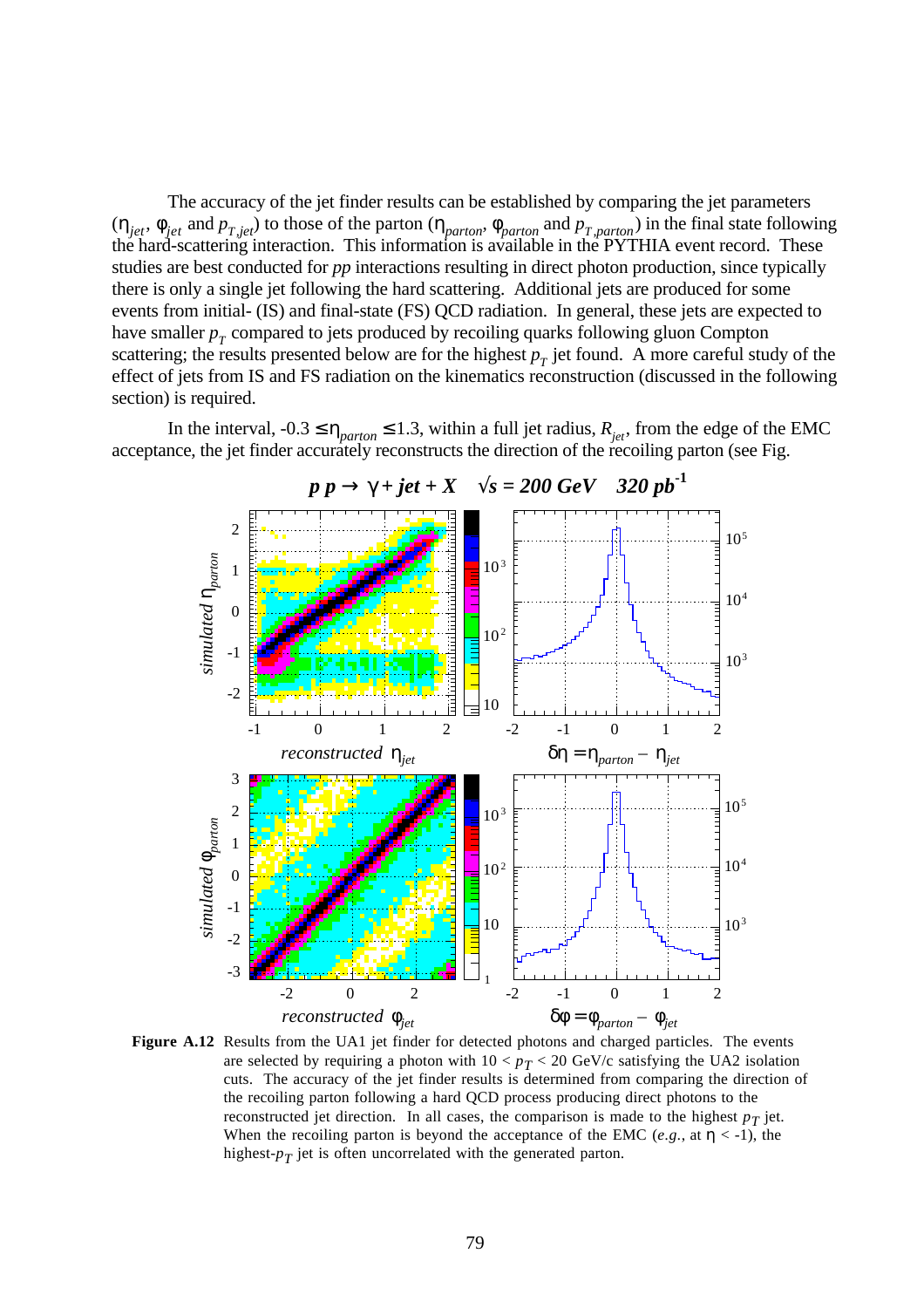The accuracy of the jet finder results can be established by comparing the jet parameters  $(\eta_{jet}, \phi_{jet}$  and  $p_{T,jet})$  to those of the parton  $(\eta_{parton}, \phi_{parton})$  and  $p_{T,parton})$  in the final state following the hard-scattering interaction. This information is available in the PYTHIA event record. These studies are best conducted for *pp* interactions resulting in direct photon production, since typically there is only a single jet following the hard scattering. Additional jets are produced for some events from initial- (IS) and final-state (FS) QCD radiation. In general, these jets are expected to have smaller  $p_T^{\uparrow}$  compared to jets produced by recoiling quarks following gluon Compton scattering; the results presented below are for the highest  $p<sub>T</sub>$  jet found. A more careful study of the effect of jets from IS and FS radiation on the kinematics reconstruction (discussed in the following section) is required.

In the interval,  $-0.3 \le \eta_{parton} \le 1.3$ , within a full jet radius,  $R_{jet}$ , from the edge of the EMC acceptance, the jet finder accurately reconstructs the direction of the recoiling parton (see Fig.



Figure A.12 Results from the UA1 jet finder for detected photons and charged particles. The events are selected by requiring a photon with  $10 < p_T < 20$  GeV/c satisfying the UA2 isolation cuts. The accuracy of the jet finder results is determined from comparing the direction of the recoiling parton following a hard QCD process producing direct photons to the reconstructed jet direction. In all cases, the comparison is made to the highest  $p<sub>T</sub>$  jet. When the recoiling parton is beyond the acceptance of the EMC (*e.g.*, at  $\eta < -1$ ), the highest-*pT* jet is often uncorrelated with the generated parton.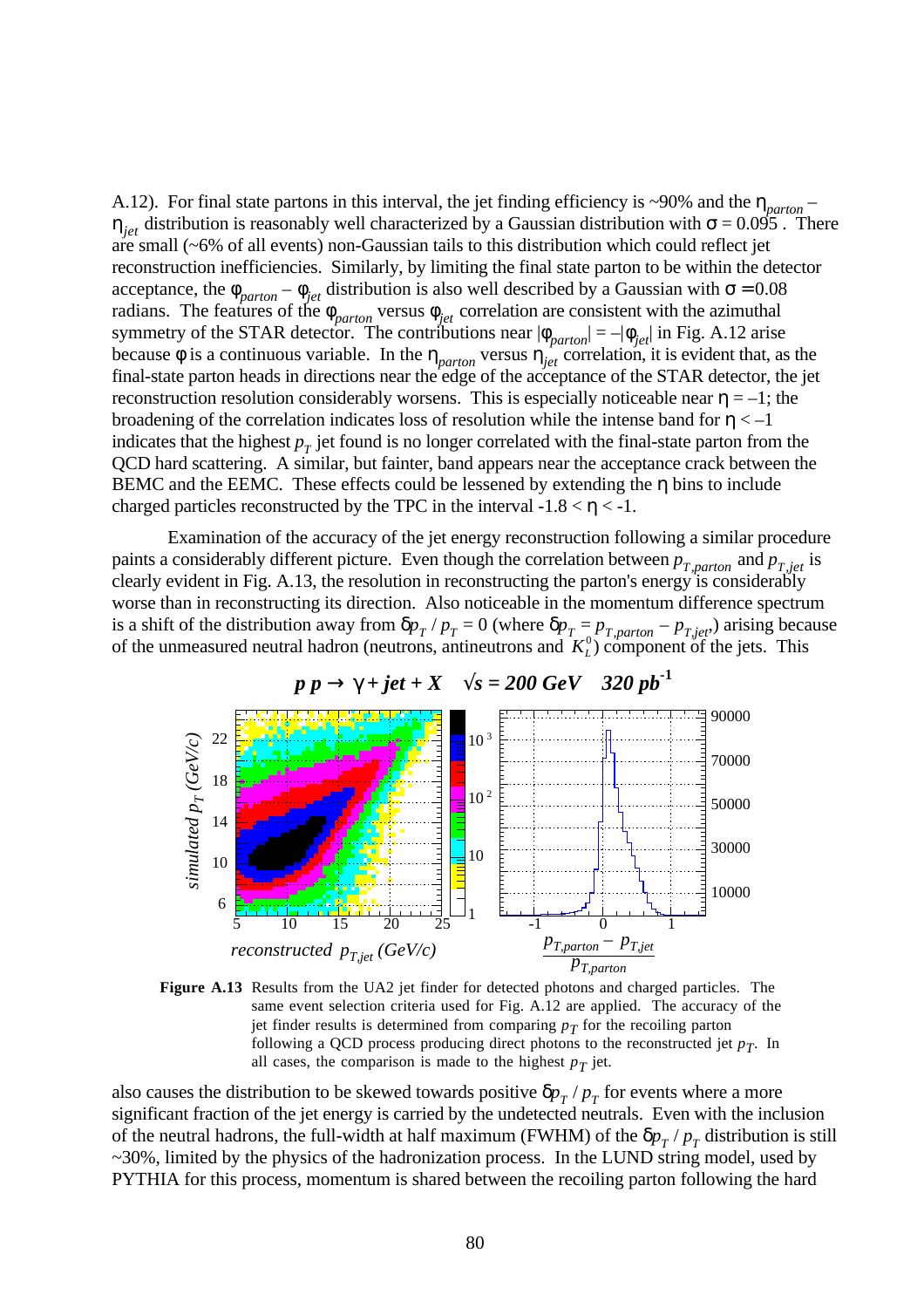A.12). For final state partons in this interval, the jet finding efficiency is ~90% and the η*parton* –  $\eta_{jet}$  distribution is reasonably well characterized by a Gaussian distribution with  $\sigma$  = 0.095 . There are small (~6% of all events) non-Gaussian tails to this distribution which could reflect jet reconstruction inefficiencies. Similarly, by limiting the final state parton to be within the detector acceptance, the  $\phi_{parton} - \phi_{jet}$  distribution is also well described by a Gaussian with  $\sigma = 0.08$ radians. The features of the  $\phi_{parton}$  versus  $\phi_{jet}$  correlation are consistent with the azimuthal symmetry of the STAR detector. The contributions near  $|\phi_{parton}| = -|\phi_{jet}|$  in Fig. A.12 arise because  $\phi$  is a continuous variable. In the  $\eta_{parton}$  versus  $\eta_{jet}^{parton}$  correlation, it is evident that, as the final-state parton heads in directions near the edge of the acceptance of the STAR detector, the jet reconstruction resolution considerably worsens. This is especially noticeable near  $\eta = -1$ ; the broadening of the correlation indicates loss of resolution while the intense band for  $\eta < -1$ indicates that the highest  $p<sub>T</sub>$  jet found is no longer correlated with the final-state parton from the QCD hard scattering. A similar, but fainter, band appears near the acceptance crack between the BEMC and the EEMC. These effects could be lessened by extending the η bins to include charged particles reconstructed by the TPC in the interval  $-1.8 < \eta < -1$ .

Examination of the accuracy of the jet energy reconstruction following a similar procedure paints a considerably different picture. Even though the correlation between  $p_{T,parton}$  and  $p_{T,jet}$  is clearly evident in Fig. A.13, the resolution in reconstructing the parton's energy is considerably worse than in reconstructing its direction. Also noticeable in the momentum difference spectrum is a shift of the distribution away from  $\delta p_T / p_T = 0$  (where  $\delta p_T = p_{T,parton} - p_{T,jet}$ ) arising because of the unmeasured neutral hadron (neutrons, antineutrons and  $K_L^0$ ) component of the jets. This





also causes the distribution to be skewed towards positive  $\delta p_{T}$  /  $p_{T}$  for events where a more significant fraction of the jet energy is carried by the undetected neutrals. Even with the inclusion of the neutral hadrons, the full-width at half maximum (FWHM) of the  $\delta p_T / p_T$  distribution is still ~30%, limited by the physics of the hadronization process. In the LUND string model, used by PYTHIA for this process, momentum is shared between the recoiling parton following the hard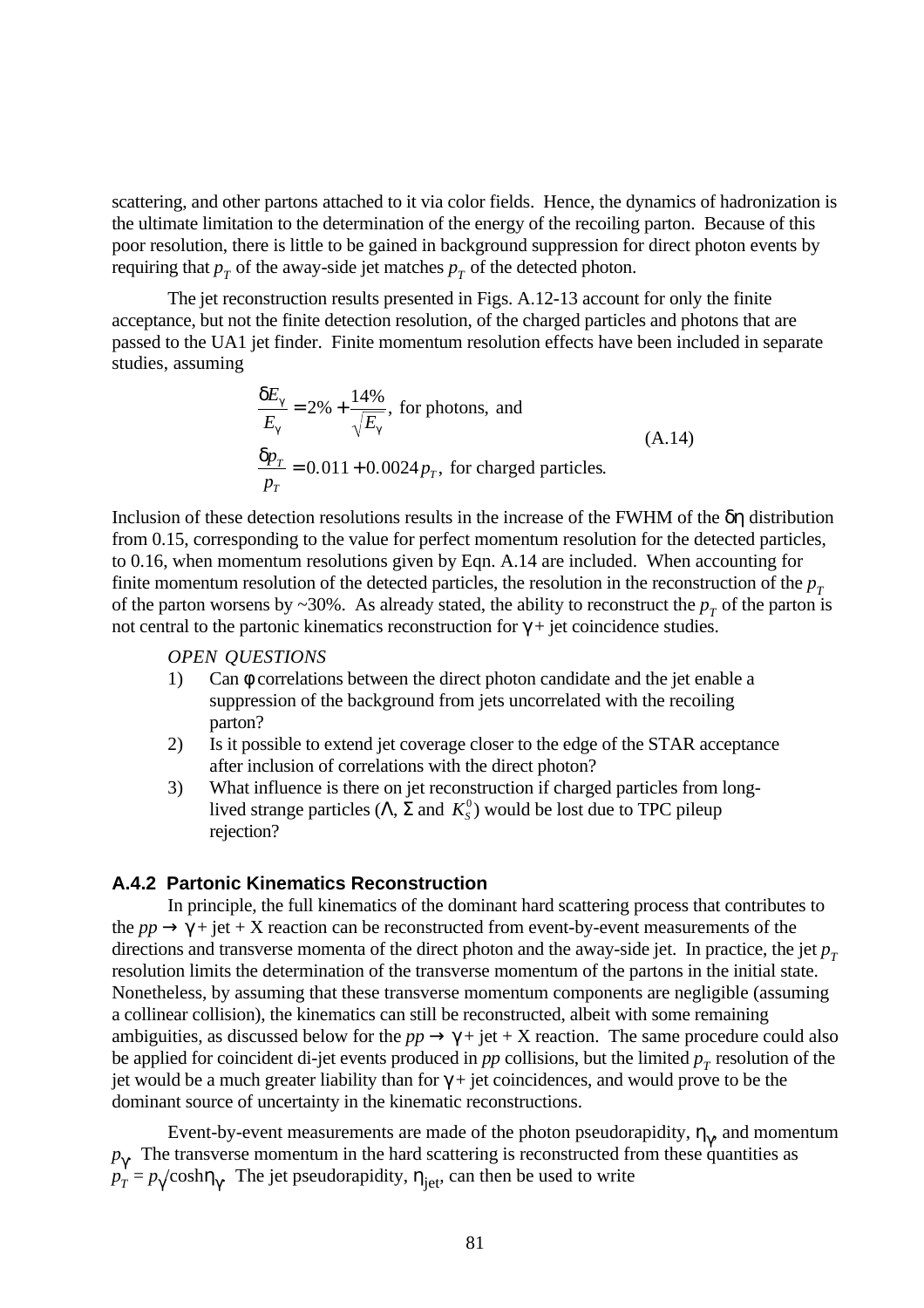scattering, and other partons attached to it via color fields. Hence, the dynamics of hadronization is the ultimate limitation to the determination of the energy of the recoiling parton. Because of this poor resolution, there is little to be gained in background suppression for direct photon events by requiring that  $p_T$  of the away-side jet matches  $p_T$  of the detected photon.

The jet reconstruction results presented in Figs. A.12-13 account for only the finite acceptance, but not the finite detection resolution, of the charged particles and photons that are passed to the UA1 jet finder. Finite momentum resolution effects have been included in separate studies, assuming

$$
\frac{\delta E_{\gamma}}{E_{\gamma}} = 2\% + \frac{14\%}{\sqrt{E_{\gamma}}}, \text{ for photons, and}
$$
\n
$$
\frac{\delta p_{T}}{p_{T}} = 0.011 + 0.0024 p_{T}, \text{ for charged particles.}
$$
\n(A.14)

Inclusion of these detection resolutions results in the increase of the FWHM of the δη distribution from 0.15, corresponding to the value for perfect momentum resolution for the detected particles, to 0.16, when momentum resolutions given by Eqn. A.14 are included. When accounting for finite momentum resolution of the detected particles, the resolution in the reconstruction of the  $p<sub>T</sub>$ of the parton worsens by  $\sim$ 30%. As already stated, the ability to reconstruct the  $p<sub>T</sub>$  of the parton is not central to the partonic kinematics reconstruction for  $γ + jet$  coincidence studies.

#### *OPEN QUESTIONS*

- 1) Can φ correlations between the direct photon candidate and the jet enable a suppression of the background from jets uncorrelated with the recoiling parton?
- 2) Is it possible to extend jet coverage closer to the edge of the STAR acceptance after inclusion of correlations with the direct photon?
- 3) What influence is there on jet reconstruction if charged particles from longlived strange particles ( $Λ$ ,  $Σ$  and  $K<sub>S</sub><sup>0</sup>$ ) would be lost due to TPC pileup rejection?

### **A.4.2 Partonic Kinematics Reconstruction**

In principle, the full kinematics of the dominant hard scattering process that contributes to the  $pp \rightarrow \gamma$  + jet + X reaction can be reconstructed from event-by-event measurements of the directions and transverse momenta of the direct photon and the away-side jet. In practice, the jet  $p_T$ resolution limits the determination of the transverse momentum of the partons in the initial state. Nonetheless, by assuming that these transverse momentum components are negligible (assuming a collinear collision), the kinematics can still be reconstructed, albeit with some remaining ambiguities, as discussed below for the  $pp \rightarrow \gamma + jet + X$  reaction. The same procedure could also be applied for coincident di-jet events produced in  $pp$  collisions, but the limited  $p<sub>T</sub>$  resolution of the jet would be a much greater liability than for  $\gamma$  + jet coincidences, and would prove to be the dominant source of uncertainty in the kinematic reconstructions.

Event-by-event measurements are made of the photon pseudorapidity,  $\eta_{\gamma}$  and momentum  $p<sub>\gamma</sub>$ . The transverse momentum in the hard scattering is reconstructed from these quantities as  $p_T^{\dagger} = p_\gamma / \cosh \eta_\gamma$ . The jet pseudorapidity,  $\eta_{\text{jet}}$ , can then be used to write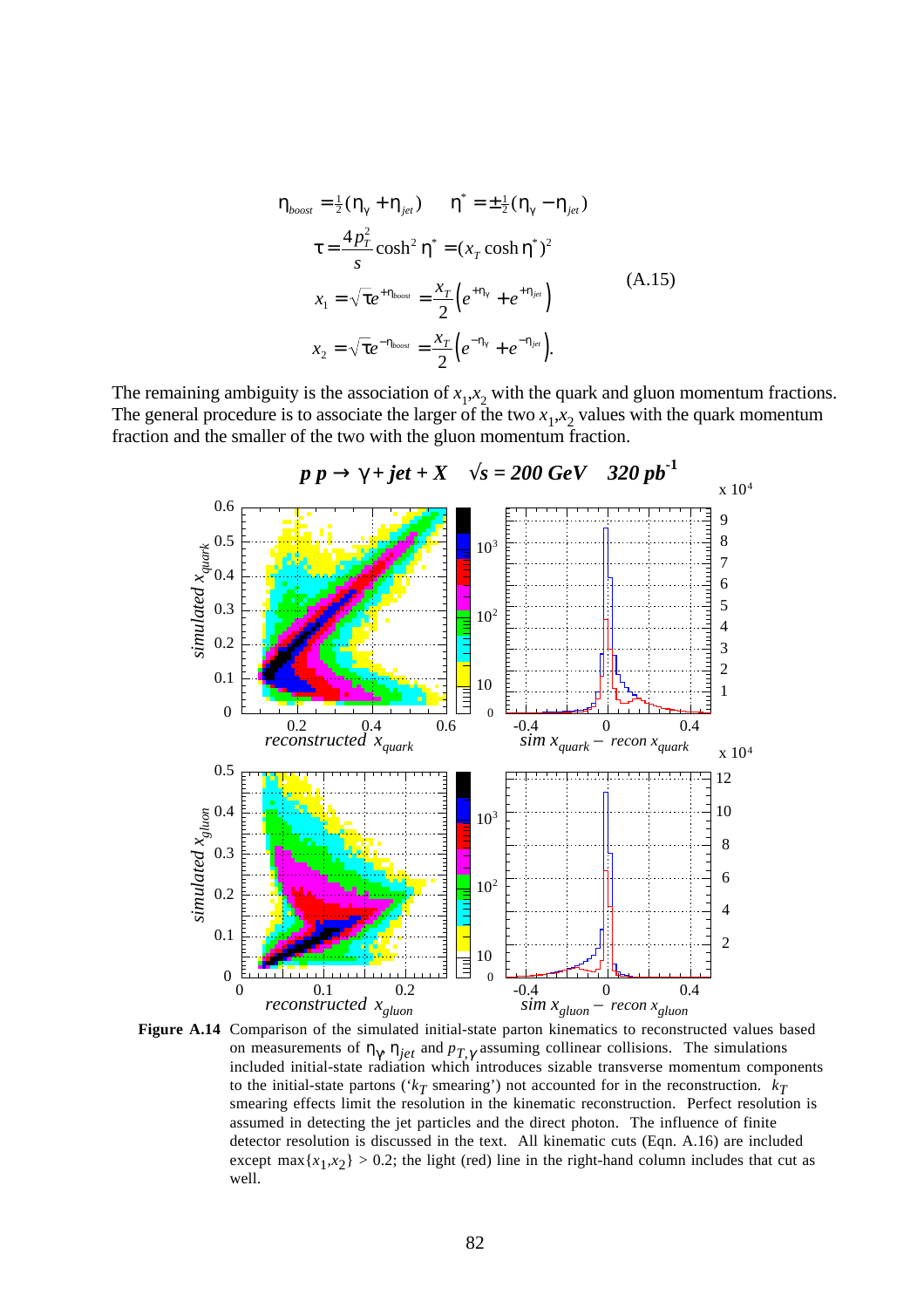$$
\eta_{boost} = \frac{1}{2}(\eta_{\gamma} + \eta_{jet}) \qquad \eta^* = \pm \frac{1}{2}(\eta_{\gamma} - \eta_{jet})
$$
\n
$$
\tau = \frac{4p_T^2}{s} \cosh^2 \eta^* = (x_T \cosh \eta^*)^2
$$
\n
$$
x_1 = \sqrt{\tau} e^{+\eta_{boost}} = \frac{x_T}{2} \left( e^{+\eta_{\gamma}} + e^{+\eta_{jet}} \right)
$$
\n
$$
x_2 = \sqrt{\tau} e^{-\eta_{boost}} = \frac{x_T}{2} \left( e^{-\eta_{\gamma}} + e^{-\eta_{jet}} \right).
$$
\n(A.15)

The remaining ambiguity is the association of  $x_1, x_2$  with the quark and gluon momentum fractions. The general procedure is to associate the larger of the two  $x_1, x_2$  values with the quark momentum fraction and the smaller of the two with the gluon momentum fraction.



**Figure A.14** Comparison of the simulated initial-state parton kinematics to reconstructed values based on measurements of  $\eta_{\gamma}$ ,  $\eta_{jet}$  and  $p_{T,\gamma}$  assuming collinear collisions. The simulations included initial-state radiation which introduces sizable transverse momentum components to the initial-state partons ( $k_T$  smearing') not accounted for in the reconstruction.  $k_T$ smearing effects limit the resolution in the kinematic reconstruction. Perfect resolution is assumed in detecting the jet particles and the direct photon. The influence of finite detector resolution is discussed in the text. All kinematic cuts (Eqn. A.16) are included except  $\max\{x_1, x_2\} > 0.2$ ; the light (red) line in the right-hand column includes that cut as well.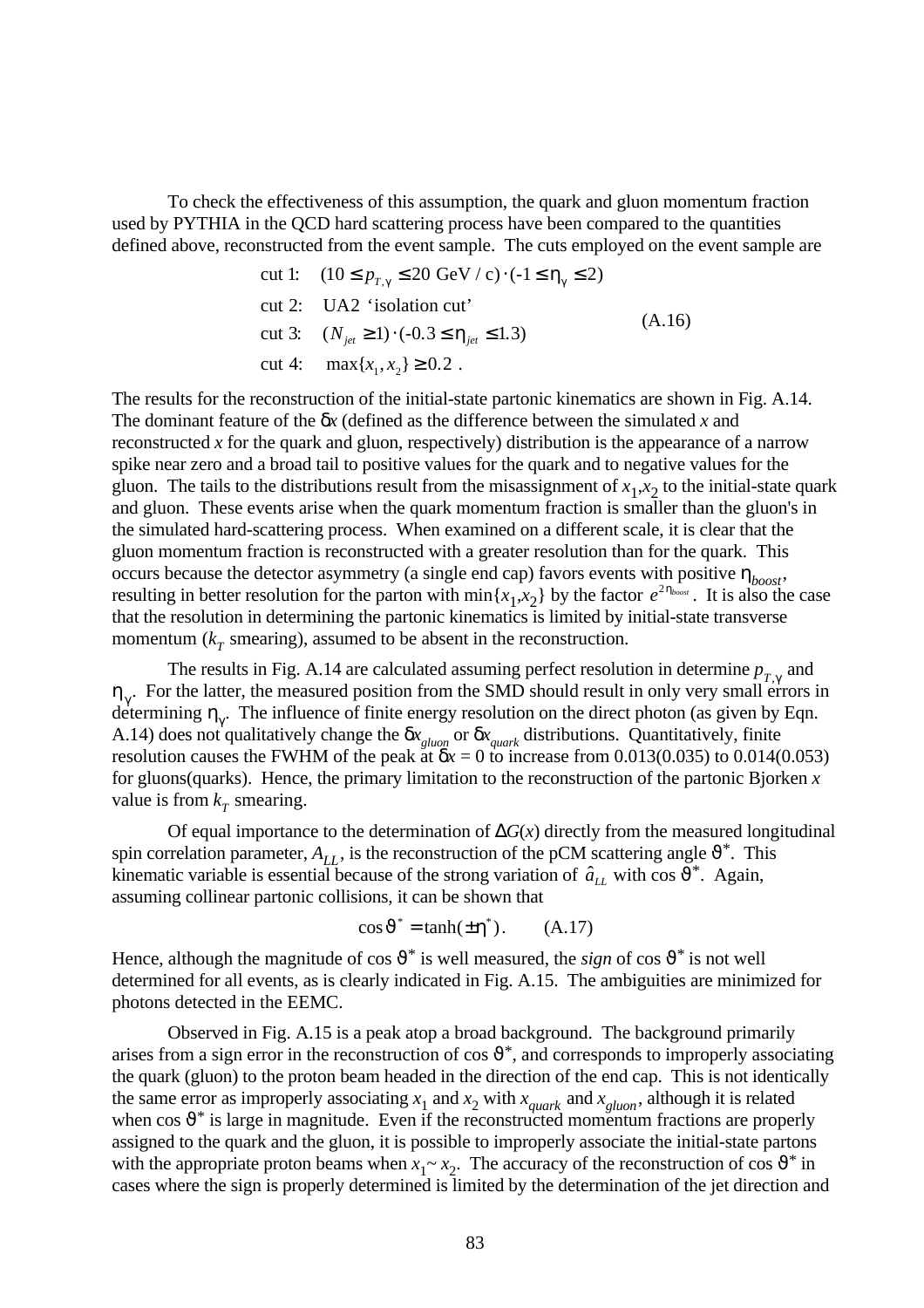To check the effectiveness of this assumption, the quark and gluon momentum fraction used by PYTHIA in the QCD hard scattering process have been compared to the quantities defined above, reconstructed from the event sample. The cuts employed on the event sample are

$$
\begin{aligned}\n\text{cut 1:} \quad & (10 \le p_{T,\gamma} \le 20 \text{ GeV} / \text{c}) \cdot (-1 \le \eta_{\gamma} \le 2) \\
\text{cut 2:} \quad & \text{UA2 'isolation cut'} \\
\text{cut 3:} \quad & (N_{jet} \ge 1) \cdot (-0.3 \le \eta_{jet} \le 1.3) \\
\text{cut 4:} \quad & \max\{x_1, x_2\} \ge 0.2 \ .\n\end{aligned}
$$
\n
$$
(A.16)
$$

The results for the reconstruction of the initial-state partonic kinematics are shown in Fig. A.14. The dominant feature of the δ*x* (defined as the difference between the simulated *x* and reconstructed *x* for the quark and gluon, respectively) distribution is the appearance of a narrow spike near zero and a broad tail to positive values for the quark and to negative values for the gluon. The tails to the distributions result from the misassignment of  $x_1, x_2$  to the initial-state quark and gluon. These events arise when the quark momentum fraction is smaller than the gluon's in the simulated hard-scattering process. When examined on a different scale, it is clear that the gluon momentum fraction is reconstructed with a greater resolution than for the quark. This occurs because the detector asymmetry (a single end cap) favors events with positive  $\eta_{boost}$ , resulting in better resolution for the parton with  $\min\{x_1, x_2\}$  by the factor  $e^{2\eta_{boost}}$ . It is also the case that the resolution in determining the partonic kinematics is limited by initial-state transverse momentum  $(k<sub>T</sub>$  smearing), assumed to be absent in the reconstruction.

The results in Fig. A.14 are calculated assuming perfect resolution in determine  $p_{T,\gamma}$  and  $\eta_{\gamma}$ . For the latter, the measured position from the SMD should result in only very small errors in determining  $\eta_{\gamma}$ . The influence of finite energy resolution on the direct photon (as given by Eqn. A.14) does not qualitatively change the δ*x gluon* or δ*x quark* distributions. Quantitatively, finite resolution causes the FWHM of the peak at  $\delta x = 0$  to increase from 0.013(0.035) to 0.014(0.053) for gluons(quarks). Hence, the primary limitation to the reconstruction of the partonic Bjorken *x* value is from  $k<sub>T</sub>$  smearing.

Of equal importance to the determination of ∆*G*(*x*) directly from the measured longitudinal spin correlation parameter,  $A_{LL}$ , is the reconstruction of the pCM scattering angle  $\vartheta^*$ . This kinematic variable is essential because of the strong variation of  $\hat{a}_{LL}$  with cos  $\vartheta^*$ . Again, assuming collinear partonic collisions, it can be shown that

$$
\cos \vartheta^* = \tanh(\pm \eta^*). \qquad (A.17)
$$

Hence, although the magnitude of cos  $\vartheta^*$  is well measured, the *sign* of cos  $\vartheta^*$  is not well determined for all events, as is clearly indicated in Fig. A.15. The ambiguities are minimized for photons detected in the EEMC.

Observed in Fig. A.15 is a peak atop a broad background. The background primarily arises from a sign error in the reconstruction of cos  $\vartheta^*$ , and corresponds to improperly associating the quark (gluon) to the proton beam headed in the direction of the end cap. This is not identically the same error as improperly associating  $x_1$  and  $x_2$  with  $x_{quark}$  and  $x_{gluon}$ , although it is related when  $\cos \theta^*$  is large in magnitude. Even if the reconstructed momentum fractions are properly assigned to the quark and the gluon, it is possible to improperly associate the initial-state partons with the appropriate proton beams when  $x_1 \sim x_2$ . The accuracy of the reconstruction of cos  $\vartheta^*$  in cases where the sign is properly determined is limited by the determination of the jet direction and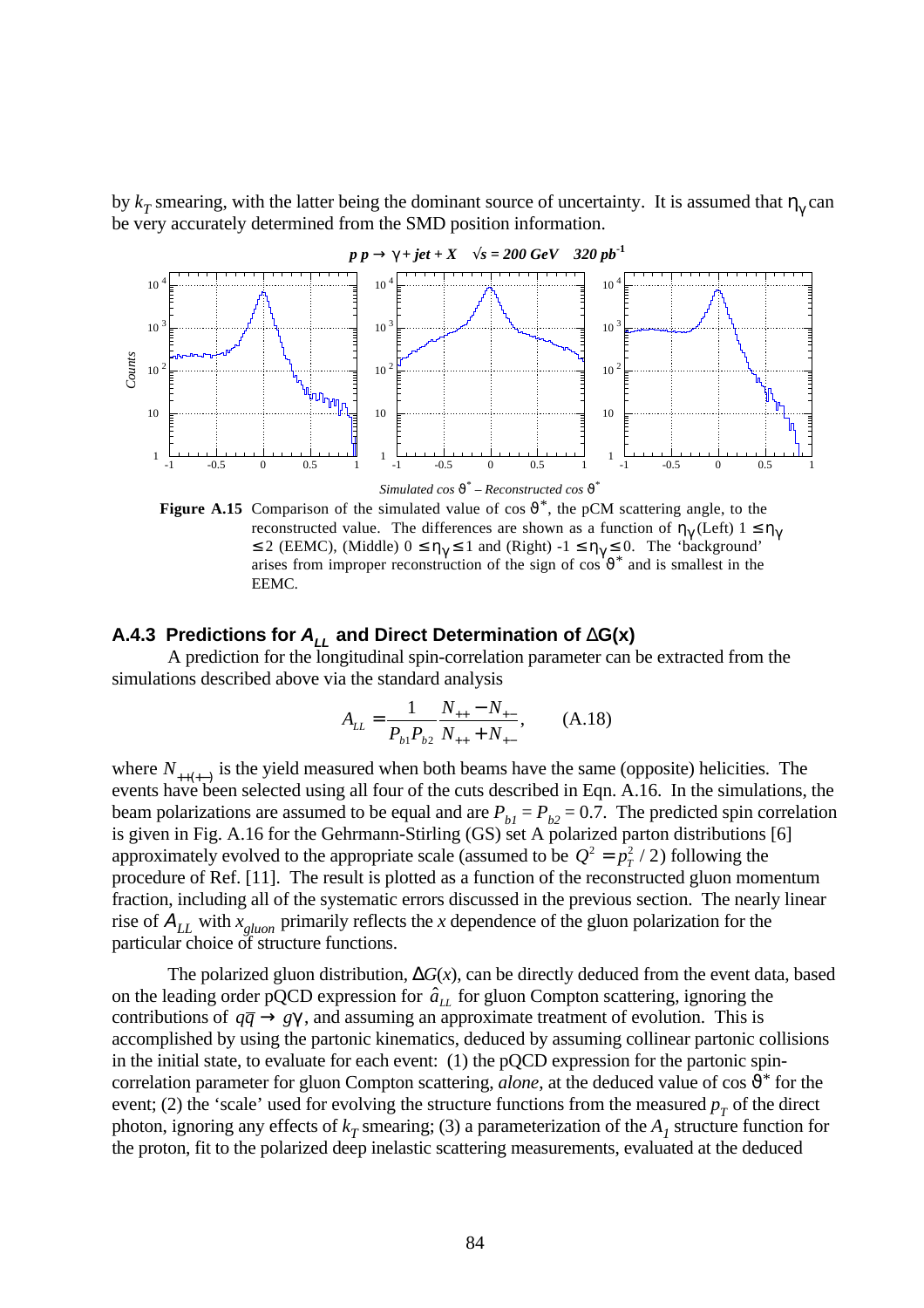by  $k_T$  smearing, with the latter being the dominant source of uncertainty. It is assumed that  $\eta_\gamma$  can be very accurately determined from the SMD position information.



Simulated cos  $\mathfrak{G}^*$  – Reconstructed cos  $\mathfrak{G}^*$ 

**Figure A.15** Comparison of the simulated value of cos  $\vartheta^*$ , the pCM scattering angle, to the reconstructed value. The differences are shown as a function of  $\eta_{\gamma}$  (Left)  $1 \leq \eta_{\gamma}$  $\leq 2$  (EEMC), (Middle)  $0 \leq \eta_{\gamma} \leq 1$  and (Right)  $-1 \leq \eta_{\gamma} \leq 0$ . The 'background' arises from improper reconstruction of the sign of  $\cos^4 \theta^*$  and is smallest in the EEMC.

# **A.4.3 Predictions for ALL and Direct Determination of** ∆**G(x)**

A prediction for the longitudinal spin-correlation parameter can be extracted from the simulations described above via the standard analysis

$$
A_{LL} = \frac{1}{P_{b1}P_{b2}} \frac{N_{++} - N_{+-}}{N_{++} + N_{+-}}, \qquad (A.18)
$$

where  $N_{++(+)}$  is the yield measured when both beams have the same (opposite) helicities. The events have been selected using all four of the cuts described in Eqn. A.16. In the simulations, the beam polarizations are assumed to be equal and are  $P_{b1} = P_{b2} = 0.7$ . The predicted spin correlation is given in Fig. A.16 for the Gehrmann-Stirling (GS) set A polarized parton distributions [6] approximately evolved to the appropriate scale (assumed to be  $Q^2 = p_T^2 / 2$ ) following the procedure of Ref. [11]. The result is plotted as a function of the reconstructed gluon momentum fraction, including all of the systematic errors discussed in the previous section. The nearly linear rise of <sup>Α</sup>*LL* with *x gluon* primarily reflects the *x* dependence of the gluon polarization for the particular choice of structure functions.

The polarized gluon distribution, ∆*G*(*x*), can be directly deduced from the event data, based on the leading order pQCD expression for  $\hat{a}_{LL}$  for gluon Compton scattering, ignoring the contributions of  $q\bar{q} \rightarrow g\gamma$ , and assuming an approximate treatment of evolution. This is accomplished by using the partonic kinematics, deduced by assuming collinear partonic collisions in the initial state, to evaluate for each event: (1) the pQCD expression for the partonic spincorrelation parameter for gluon Compton scattering, *alone*, at the deduced value of  $\cos \theta^*$  for the event; (2) the 'scale' used for evolving the structure functions from the measured  $p<sub>T</sub>$  of the direct photon, ignoring any effects of  $k<sub>T</sub>$  smearing; (3) a parameterization of the  $A<sub>I</sub>$  structure function for the proton, fit to the polarized deep inelastic scattering measurements, evaluated at the deduced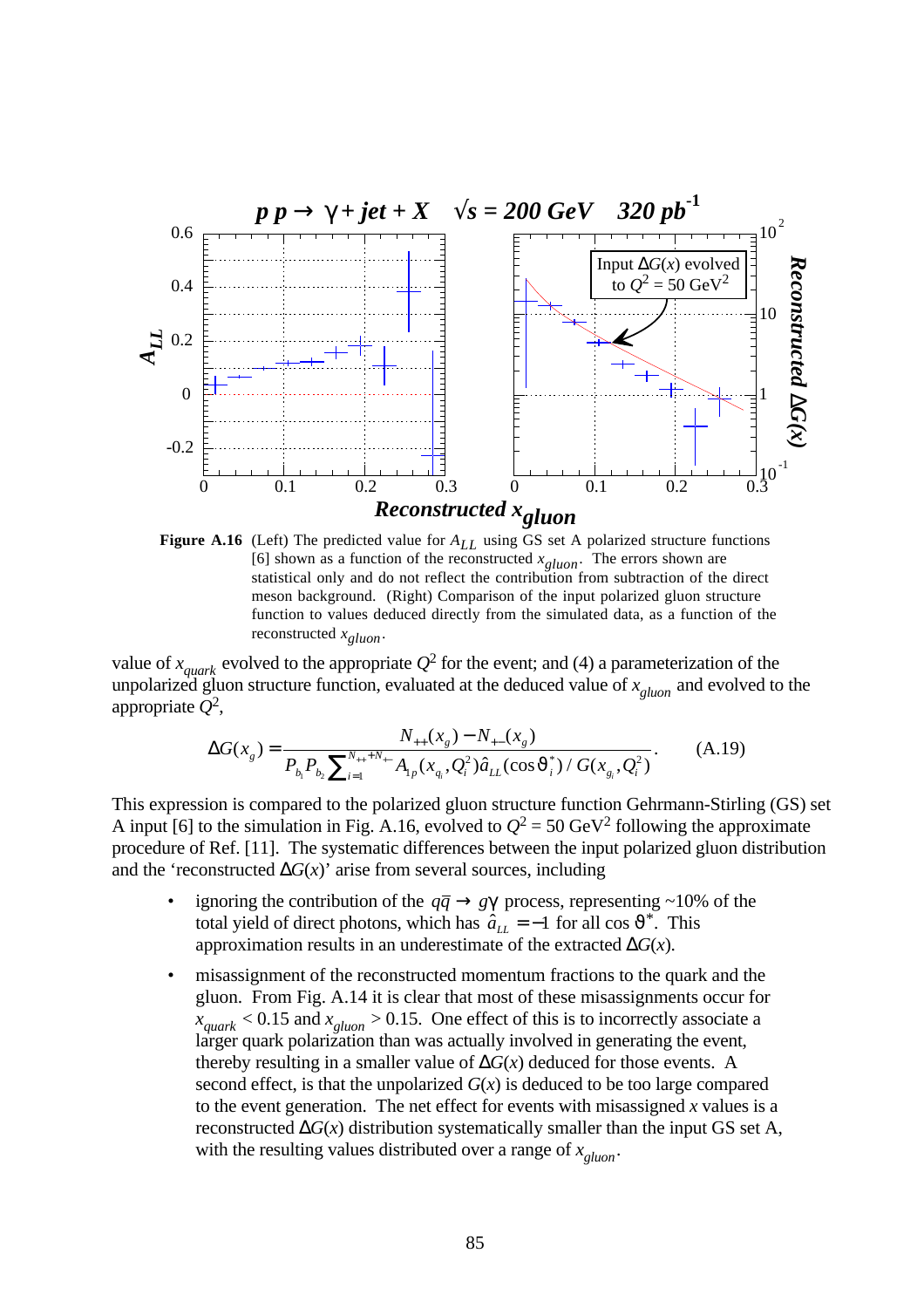



value of  $x_{quark}$  evolved to the appropriate  $Q^2$  for the event; and (4) a parameterization of the unpolarized gluon structure function, evaluated at the deduced value of *x gluon* and evolved to the appropriate *Q*<sup>2</sup> ,

$$
\Delta G(x_g) = \frac{N_{++}(x_g) - N_{+-}(x_g)}{P_{b_1} P_{b_2} \sum_{i=1}^{N_{++}+N_{+-}} A_{1p}(x_{q_i}, Q_i^2) \hat{a}_{LL}(\cos \vartheta_i^*) / G(x_{g_i}, Q_i^2)}.
$$
(A.19)

This expression is compared to the polarized gluon structure function Gehrmann-Stirling (GS) set A input [6] to the simulation in Fig. A.16, evolved to  $Q^2 = 50 \text{ GeV}^2$  following the approximate procedure of Ref. [11]. The systematic differences between the input polarized gluon distribution and the 'reconstructed  $\Delta G(x)$ ' arise from several sources, including

- ignoring the contribution of the  $q\bar{q} \rightarrow g\gamma$  process, representing ~10% of the total yield of direct photons, which has  $\hat{a}_{LL} = -1$  for all cos  $\vartheta^*$ . This approximation results in an underestimate of the extracted ∆*G*(*x*).
- misassignment of the reconstructed momentum fractions to the quark and the gluon. From Fig. A.14 it is clear that most of these misassignments occur for  $x_{quark}$  < 0.15 and  $x_{gluon}$  > 0.15. One effect of this is to incorrectly associate a larger quark polarization than was actually involved in generating the event, thereby resulting in a smaller value of ∆*G*(*x*) deduced for those events. A second effect, is that the unpolarized  $G(x)$  is deduced to be too large compared to the event generation. The net effect for events with misassigned *x* values is a reconstructed  $\Delta G(x)$  distribution systematically smaller than the input GS set A, with the resulting values distributed over a range of *x gluon*.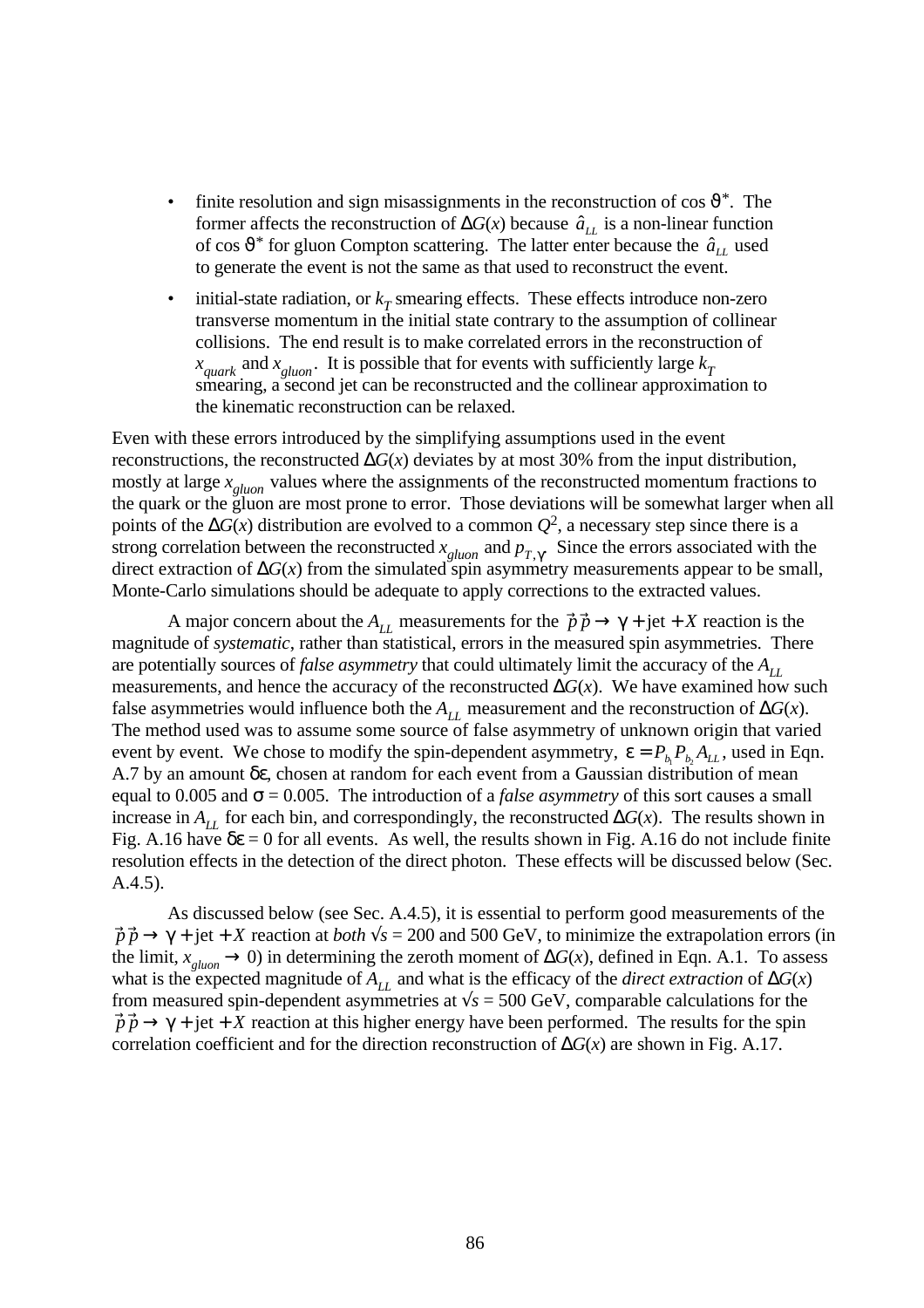- finite resolution and sign misassignments in the reconstruction of cos  $\vartheta^*$ . The former affects the reconstruction of  $\Delta G(x)$  because  $\hat{a}_{LL}$  is a non-linear function of cos  $\mathfrak{v}^*$  for gluon Compton scattering. The latter enter because the  $\hat{a}_{LL}$  used to generate the event is not the same as that used to reconstruct the event.
- $\cdot$  initial-state radiation, or  $k<sub>T</sub>$  smearing effects. These effects introduce non-zero transverse momentum in the initial state contrary to the assumption of collinear collisions. The end result is to make correlated errors in the reconstruction of  $x_{quark}$  and  $x_{gluon}$ . It is possible that for events with sufficiently large  $k_T$  smearing, a second jet can be reconstructed and the collinear approximation to the kinematic reconstruction can be relaxed.

Even with these errors introduced by the simplifying assumptions used in the event reconstructions, the reconstructed ∆*G*(*x*) deviates by at most 30% from the input distribution, mostly at large *x gluon* values where the assignments of the reconstructed momentum fractions to the quark or the gluon are most prone to error. Those deviations will be somewhat larger when all points of the ∆*G*(*x*) distribution are evolved to a common *Q*<sup>2</sup> , a necessary step since there is a strong correlation between the reconstructed  $x_{\text{gluon}}$  and  $p_{T,\gamma}$ . Since the errors associated with the direct extraction of ∆*G*(*x*) from the simulated spin asymmetry measurements appear to be small, Monte-Carlo simulations should be adequate to apply corrections to the extracted values.

A major concern about the  $A_{LL}$  measurements for the  $\vec{p} \cdot \vec{p} \rightarrow \gamma + \text{jet} + X$  reaction is the magnitude of *systematic*, rather than statistical, errors in the measured spin asymmetries. There are potentially sources of *false asymmetry* that could ultimately limit the accuracy of the  $A_{LL}$ measurements, and hence the accuracy of the reconstructed ∆*G*(*x*). We have examined how such false asymmetries would influence both the  $A_{LL}$  measurement and the reconstruction of  $\Delta G(x)$ . The method used was to assume some source of false asymmetry of unknown origin that varied event by event. We chose to modify the spin-dependent asymmetry,  $\varepsilon = P_{b_1} P_{b_2} A_{LL}$ , used in Eqn. A.7 by an amount δε, chosen at random for each event from a Gaussian distribution of mean equal to 0.005 and  $\sigma$  = 0.005. The introduction of a *false asymmetry* of this sort causes a small increase in  $A_{LL}$  for each bin, and correspondingly, the reconstructed  $\Delta G(x)$ . The results shown in Fig. A.16 have  $\delta \epsilon = 0$  for all events. As well, the results shown in Fig. A.16 do not include finite resolution effects in the detection of the direct photon. These effects will be discussed below (Sec. A.4.5).

As discussed below (see Sec. A.4.5), it is essential to perform good measurements of the  $\vec{p}$   $\vec{p}$   $\rightarrow$   $\gamma$  + jet + *X* reaction at *both*  $\sqrt{s}$  = 200 and 500 GeV, to minimize the extrapolation errors (in the limit,  $x_{\text{gluon}} \to 0$ ) in determining the zeroth moment of  $\Delta G(x)$ , defined in Eqn. A.1. To assess what is the expected magnitude of  $A_{LL}$  and what is the efficacy of the *direct extraction* of  $\Delta G(x)$ from measured spin-dependent asymmetries at  $\sqrt{s}$  = 500 GeV, comparable calculations for the  $\vec{p}$   $\vec{p}$   $\rightarrow$   $\gamma$  + jet + *X* reaction at this higher energy have been performed. The results for the spin correlation coefficient and for the direction reconstruction of ∆*G*(*x*) are shown in Fig. A.17.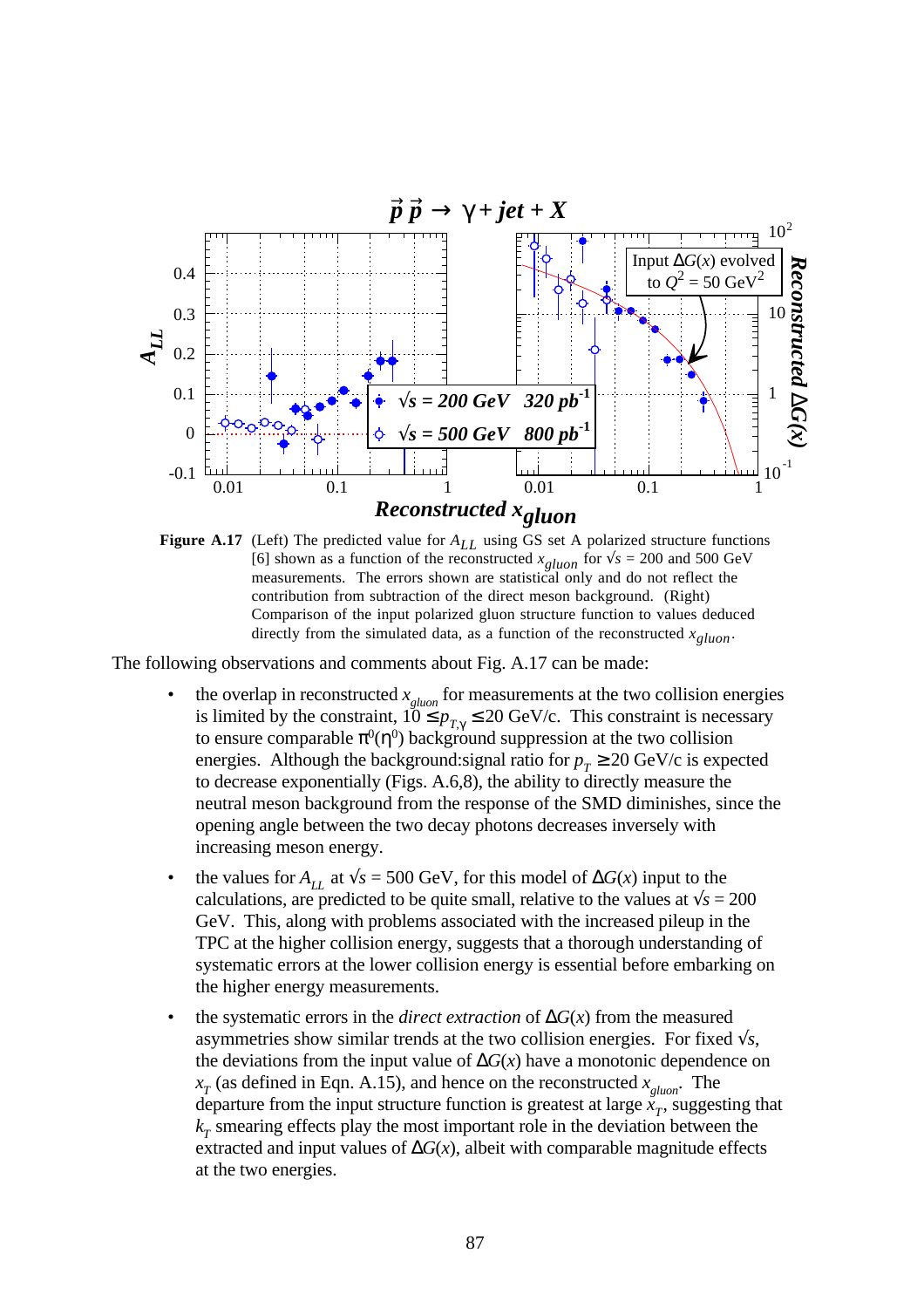

**Figure A.17** (Left) The predicted value for *ALL* using GS set A polarized structure functions [6] shown as a function of the reconstructed  $x_{gluon}$  for  $\sqrt{s} = 200$  and 500 GeV measurements. The errors shown are statistical only and do not reflect the contribution from subtraction of the direct meson background. (Right) Comparison of the input polarized gluon structure function to values deduced directly from the simulated data, as a function of the reconstructed *xgluon*.

The following observations and comments about Fig. A.17 can be made:

- the overlap in reconstructed  $x_{\text{gluon}}$  for measurements at the two collision energies is limited by the constraint,  $10 \le p_{T,\gamma} \le 20 \text{ GeV/c}$ . This constraint is necessary to ensure comparable  $\pi^0(\eta^0)$  background suppression at the two collision energies. Although the background:signal ratio for  $p_T \ge 20$  GeV/c is expected to decrease exponentially (Figs. A.6,8), the ability to directly measure the neutral meson background from the response of the SMD diminishes, since the opening angle between the two decay photons decreases inversely with increasing meson energy.
- the values for  $A_{LL}$  at  $\sqrt{s} = 500$  GeV, for this model of  $\Delta G(x)$  input to the calculations, are predicted to be quite small, relative to the values at  $\sqrt{s} = 200$ GeV. This, along with problems associated with the increased pileup in the TPC at the higher collision energy, suggests that a thorough understanding of systematic errors at the lower collision energy is essential before embarking on the higher energy measurements.
- the systematic errors in the *direct extraction* of  $\Delta G(x)$  from the measured asymmetries show similar trends at the two collision energies. For fixed √*s*, the deviations from the input value of  $\Delta G(x)$  have a monotonic dependence on *x T* (as defined in Eqn. A.15), and hence on the reconstructed *x gluon*. The departure from the input structure function is greatest at large  $\ddot{x}_T$ , suggesting that  $k_T$  smearing effects play the most important role in the deviation between the extracted and input values of  $\Delta G(x)$ , albeit with comparable magnitude effects at the two energies.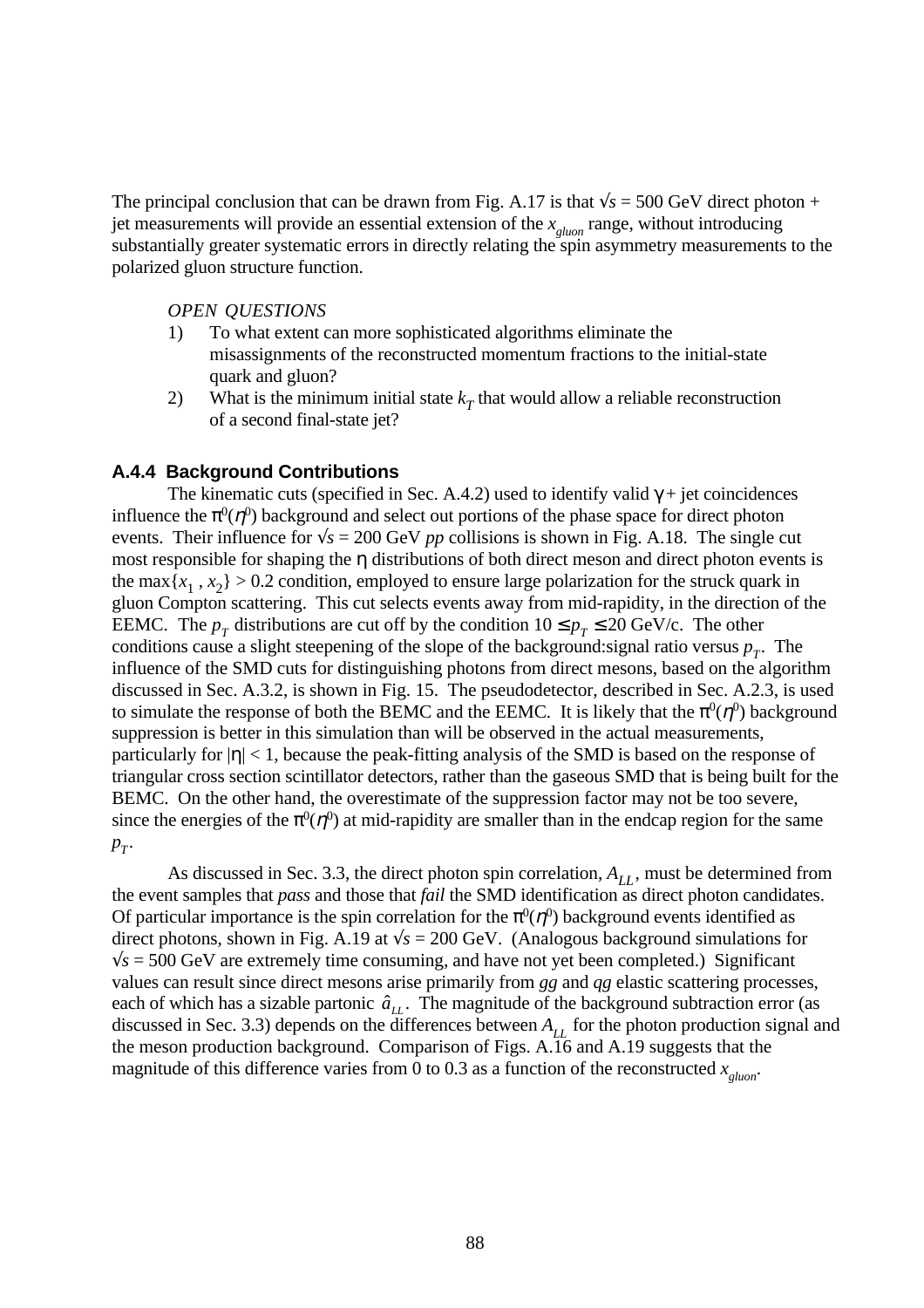The principal conclusion that can be drawn from Fig. A.17 is that  $\sqrt{s} = 500$  GeV direct photon + jet measurements will provide an essential extension of the *x gluon* range, without introducing substantially greater systematic errors in directly relating the spin asymmetry measurements to the polarized gluon structure function.

### *OPEN QUESTIONS*

- 1) To what extent can more sophisticated algorithms eliminate the misassignments of the reconstructed momentum fractions to the initial-state quark and gluon?
- 2) What is the minimum initial state  $k<sub>T</sub>$  that would allow a reliable reconstruction of a second final-state jet?

### **A.4.4 Background Contributions**

The kinematic cuts (specified in Sec. A.4.2) used to identify valid  $\gamma$  + jet coincidences influence the  $\pi^0(\eta^0)$  background and select out portions of the phase space for direct photon events. Their influence for  $\sqrt{s} = 200$  GeV *pp* collisions is shown in Fig. A.18. The single cut most responsible for shaping the η distributions of both direct meson and direct photon events is the max  $\{x_1, x_2\} > 0.2$  condition, employed to ensure large polarization for the struck quark in gluon Compton scattering. This cut selects events away from mid-rapidity, in the direction of the EEMC. The  $p_T$  distributions are cut off by the condition  $10 \le p_T \le 20$  GeV/c. The other conditions cause a slight steepening of the slope of the background: signal ratio versus  $p_T$ . The influence of the SMD cuts for distinguishing photons from direct mesons, based on the algorithm discussed in Sec. A.3.2, is shown in Fig. 15. The pseudodetector, described in Sec. A.2.3, is used to simulate the response of both the BEMC and the EEMC. It is likely that the  $\pi^0(\eta^0)$  background suppression is better in this simulation than will be observed in the actual measurements, particularly for  $|\eta|$  < 1, because the peak-fitting analysis of the SMD is based on the response of triangular cross section scintillator detectors, rather than the gaseous SMD that is being built for the BEMC. On the other hand, the overestimate of the suppression factor may not be too severe, since the energies of the  $\pi^0(\eta^0)$  at mid-rapidity are smaller than in the endcap region for the same  $p_T$ .

As discussed in Sec. 3.3, the direct photon spin correlation,  $A_{LL}$ , must be determined from the event samples that *pass* and those that *fail* the SMD identification as direct photon candidates. Of particular importance is the spin correlation for the  $\pi^0(\eta^0)$  background events identified as direct photons, shown in Fig. A.19 at  $\sqrt{s} = 200$  GeV. (Analogous background simulations for  $\sqrt{s}$  = 500 GeV are extremely time consuming, and have not yet been completed.) Significant values can result since direct mesons arise primarily from *gg* and *qg* elastic scattering processes, each of which has a sizable partonic  $\hat{a}_{LL}$ . The magnitude of the background subtraction error (as discussed in Sec. 3.3) depends on the differences between  $A_{11}$  for the photon production signal and the meson production background. Comparison of Figs. A.16 and A.19 suggests that the magnitude of this difference varies from 0 to 0.3 as a function of the reconstructed *x gluon*.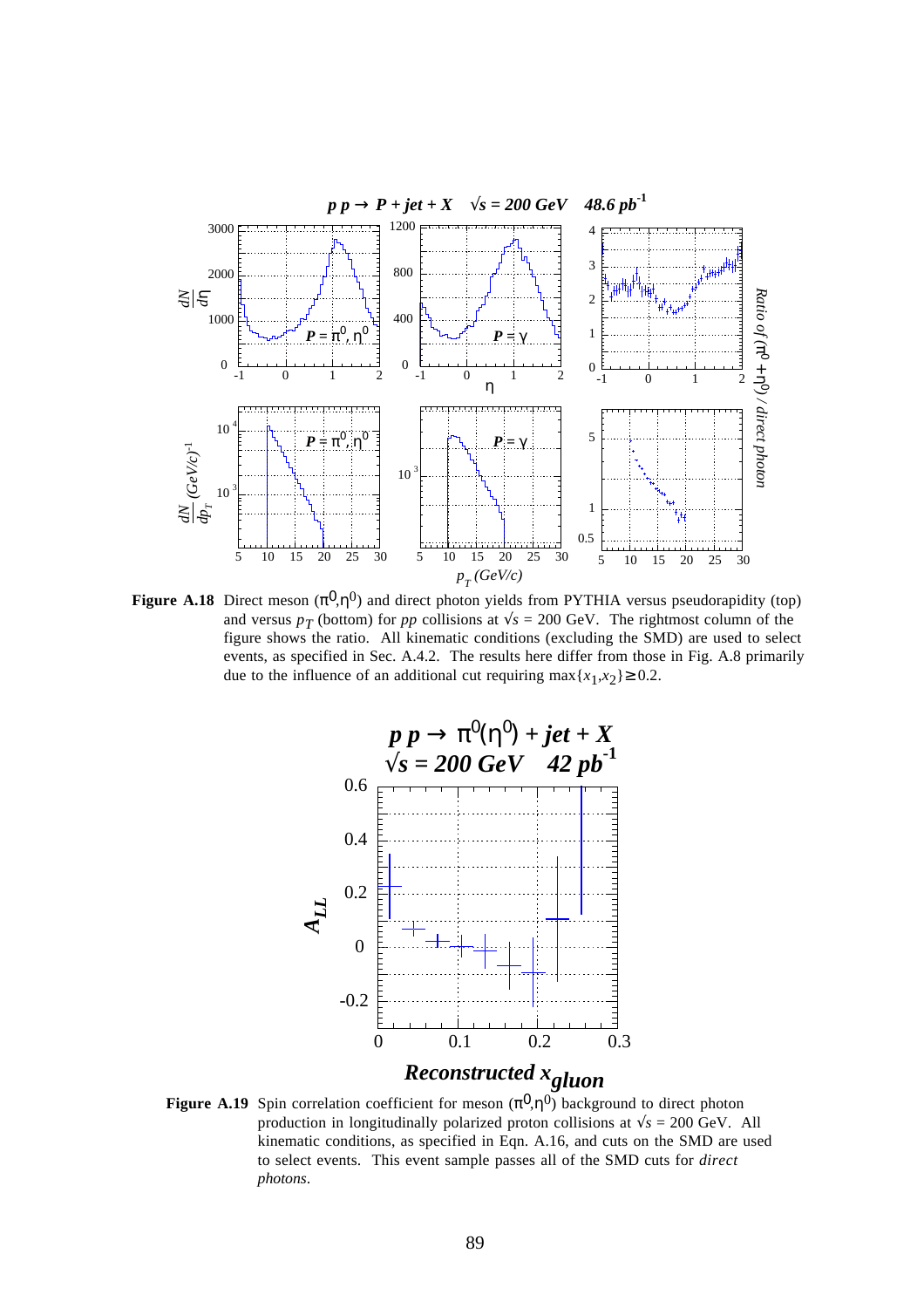

**Figure A.18** Direct meson  $(\pi^0, \eta^0)$  and direct photon yields from PYTHIA versus pseudorapidity (top) and versus  $p_T$  (bottom) for  $pp$  collisions at  $\sqrt{s} = 200 \text{ GeV}$ . The rightmost column of the figure shows the ratio. All kinematic conditions (excluding the SMD) are used to select events, as specified in Sec. A.4.2. The results here differ from those in Fig. A.8 primarily due to the influence of an additional cut requiring  $\max\{x_1, x_2\} \ge 0.2$ .



**Figure A.19** Spin correlation coefficient for meson  $(\pi^0, \eta^0)$  background to direct photon production in longitudinally polarized proton collisions at  $\sqrt{s}$  = 200 GeV. All kinematic conditions, as specified in Eqn. A.16, and cuts on the SMD are used to select events. This event sample passes all of the SMD cuts for *direct photons*.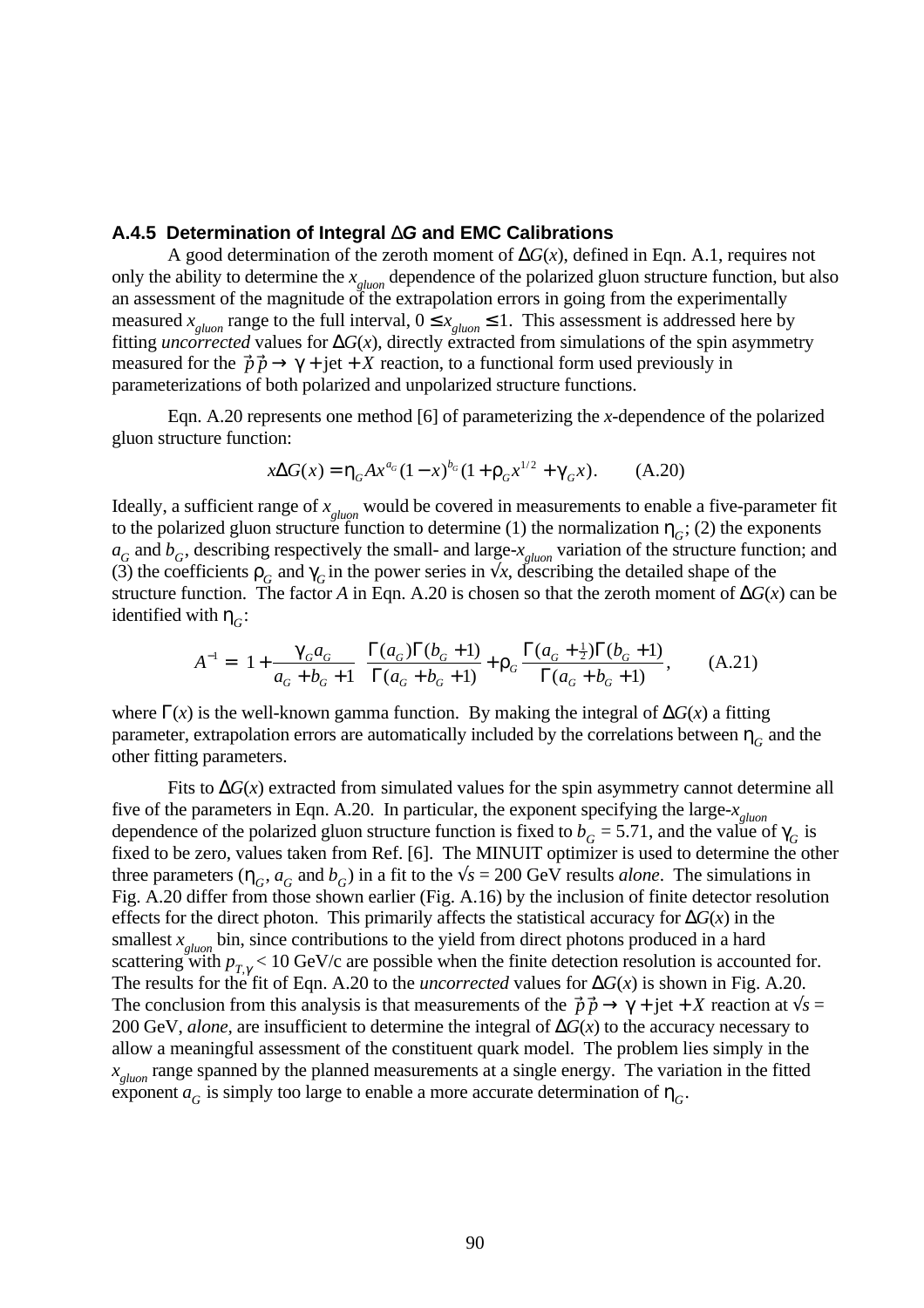### **A.4.5 Determination of Integral** ∆**G and EMC Calibrations**

A good determination of the zeroth moment of ∆*G*(*x*), defined in Eqn. A.1, requires not only the ability to determine the *x gluon* dependence of the polarized gluon structure function, but also an assessment of the magnitude of the extrapolation errors in going from the experimentally measured  $x_{\text{gluon}}$  range to the full interval,  $0 \le x_{\text{gluon}} \le 1$ . This assessment is addressed here by fitting *uncorrected* values for ∆*G*(*x*), directly extracted from simulations of the spin asymmetry measured for the  $\vec{p} \cdot \vec{p} \rightarrow \gamma + \text{jet} + X$  reaction, to a functional form used previously in parameterizations of both polarized and unpolarized structure functions.

Eqn. A.20 represents one method [6] of parameterizing the *x*-dependence of the polarized gluon structure function:

$$
x\Delta G(x) = \eta_G A x^{a_G} (1 - x)^{b_G} (1 + \rho_G x^{1/2} + \gamma_G x). \tag{A.20}
$$

Ideally, a sufficient range of *x gluon* would be covered in measurements to enable a five-parameter fit to the polarized gluon structure function to determine (1) the normalization  $\eta_G$ ; (2) the exponents  $a_G$  and  $b_G$ , describing respectively the small- and large- $x_{\text{gluon}}$  variation of the structure function; and (3) the coefficients  $\rho_G$  and  $\gamma_G$  in the power series in  $\forall x$ , describing the detailed shape of the structure function. The factor *A* in Eqn. A.20 is chosen so that the zeroth moment of  $\Delta G(x)$  can be identified with  $\eta_G$ :

$$
A^{-1} = \left(1 + \frac{\gamma_G a_G}{a_G + b_G + 1}\right) \frac{\Gamma(a_G)\Gamma(b_G + 1)}{\Gamma(a_G + b_G + 1)} + \rho_G \frac{\Gamma(a_G + \frac{1}{2})\Gamma(b_G + 1)}{\Gamma(a_G + b_G + 1)},\tag{A.21}
$$

where  $\Gamma(x)$  is the well-known gamma function. By making the integral of  $\Delta G(x)$  a fitting parameter, extrapolation errors are automatically included by the correlations between  $\eta_{\overline{G}}$  and the other fitting parameters.

Fits to ∆*G*(*x*) extracted from simulated values for the spin asymmetry cannot determine all five of the parameters in Eqn. A.20. In particular, the exponent specifying the large-*x gluon* dependence of the polarized gluon structure function is fixed to  $b<sub>G</sub> = 5.71$ , and the value of  $\gamma<sub>G</sub>$  is fixed to be zero, values taken from Ref. [6]. The MINUIT optimizer is used to determine the other three parameters  $(\eta_G, a_G$  and  $b_G)$  in a fit to the  $\sqrt{s} = 200$  GeV results *alone*. The simulations in Fig. A.20 differ from those shown earlier (Fig. A.16) by the inclusion of finite detector resolution effects for the direct photon. This primarily affects the statistical accuracy for  $\Delta G(x)$  in the smallest  $x_{\text{gluon}}$  bin, since contributions to the yield from direct photons produced in a hard scattering with  $p_{T,\gamma}$  < 10 GeV/c are possible when the finite detection resolution is accounted for. The results for the fit of Eqn. A.20 to the *uncorrected* values for  $\Delta G(x)$  is shown in Fig. A.20. The conclusion from this analysis is that measurements of the  $\vec{p} \cdot \vec{p} \rightarrow \gamma + \text{jet} + X$  reaction at  $\sqrt{s} =$ 200 GeV, *alone,* are insufficient to determine the integral of ∆*G*(*x*) to the accuracy necessary to allow a meaningful assessment of the constituent quark model. The problem lies simply in the *x gluon* range spanned by the planned measurements at a single energy. The variation in the fitted exponent  $a_G$  is simply too large to enable a more accurate determination of  $\eta_G^{\vphantom{\dagger}}$ .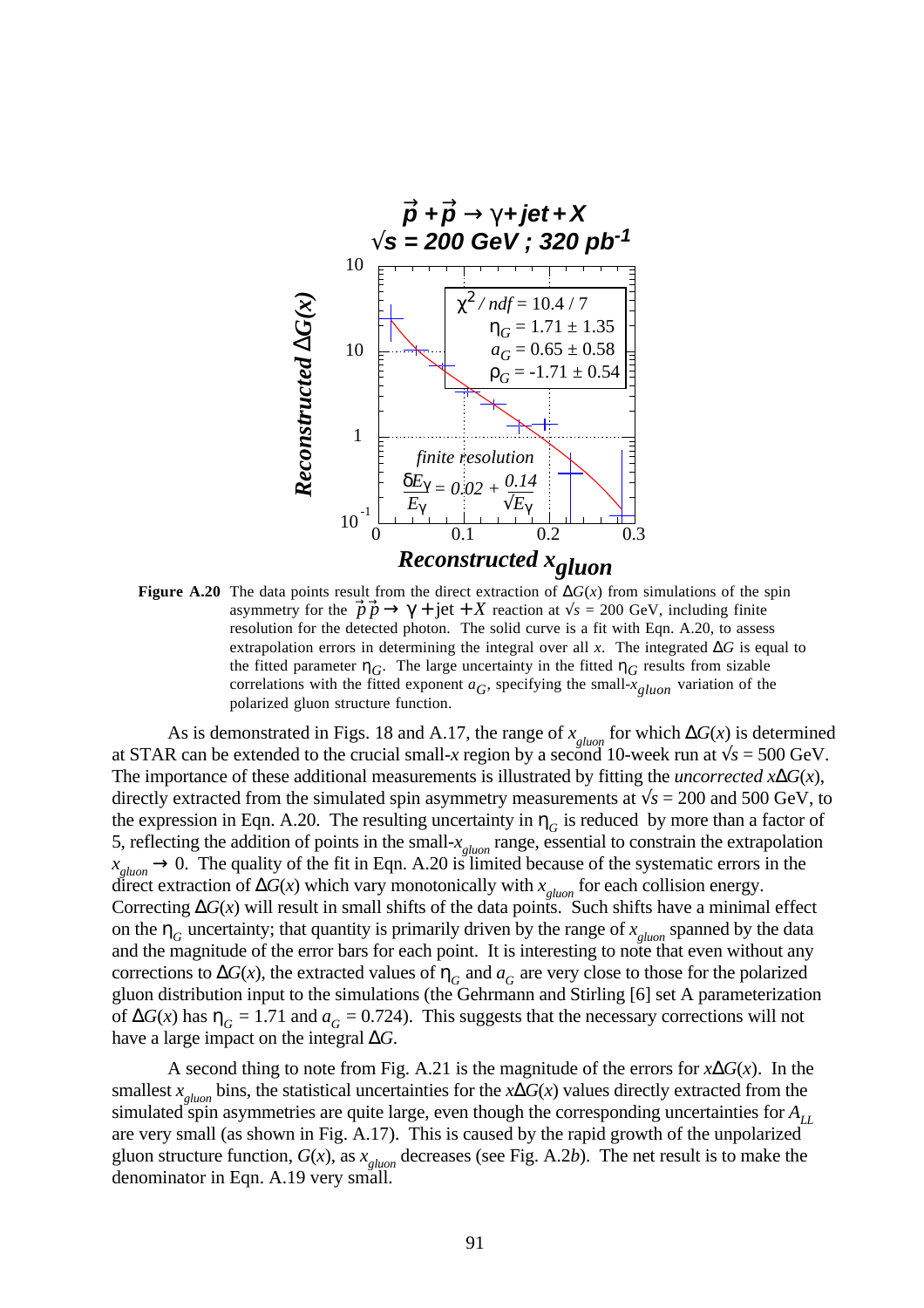

**Figure A.20** The data points result from the direct extraction of  $\Delta G(x)$  from simulations of the spin asymmetry for the  $\vec{p} \cdot \vec{p} \rightarrow \gamma + \text{jet} + X$  reaction at  $\sqrt{s} = 200$  GeV, including finite resolution for the detected photon. The solid curve is a fit with Eqn. A.20, to assess extrapolation errors in determining the integral over all *x*. The integrated ∆*G* is equal to the fitted parameter  $\eta_G$ . The large uncertainty in the fitted  $\eta_G$  results from sizable correlations with the fitted exponent  $a_G$ , specifying the small- $x_{gluon}$  variation of the polarized gluon structure function.

As is demonstrated in Figs. 18 and A.17, the range of  $x_{\text{gluon}}$  for which  $\Delta G(x)$  is determined at STAR can be extended to the crucial small-*x* region by a second 10-week run at  $\sqrt{s} = 500 \text{ GeV}$ . The importance of these additional measurements is illustrated by fitting the *uncorrected x*∆*G*(*x*), directly extracted from the simulated spin asymmetry measurements at  $\sqrt{s} = 200$  and 500 GeV, to the expression in Eqn. A.20. The resulting uncertainty in  $\eta_G$  is reduced by more than a factor of 5, reflecting the addition of points in the small-*x gluon* range, essential to constrain the extrapolation  $x_{\text{gluon}} \rightarrow 0$ . The quality of the fit in Eqn. A.20 is limited because of the systematic errors in the direct extraction of ∆*G*(*x*) which vary monotonically with *x gluon* for each collision energy. Correcting  $\Delta G(x)$  will result in small shifts of the data points. Such shifts have a minimal effect on the  $\eta_G$  uncertainty; that quantity is primarily driven by the range of  $x_{\text{gluon}}$  spanned by the data and the magnitude of the error bars for each point. It is interesting to note that even without any corrections to  $\Delta G(x)$ , the extracted values of  $\eta_G$  and  $a_G$  are very close to those for the polarized gluon distribution input to the simulations (the Gehrmann and Stirling [6] set A parameterization of  $\Delta G(x)$  has  $\eta_G = 1.71$  and  $a_G = 0.724$ ). This suggests that the necessary corrections will not have a large impact on the integral ∆*G*.

A second thing to note from Fig. A.21 is the magnitude of the errors for *x*∆*G*(*x*). In the smallest *x gluon* bins, the statistical uncertainties for the *x*∆*G*(*x*) values directly extracted from the simulated spin asymmetries are quite large, even though the corresponding uncertainties for  $A_{LL}$ are very small (as shown in Fig. A.17). This is caused by the rapid growth of the unpolarized gluon structure function, *G*(*x*), as *x gluon* decreases (see Fig. A.2*b*). The net result is to make the denominator in Eqn. A.19 very small.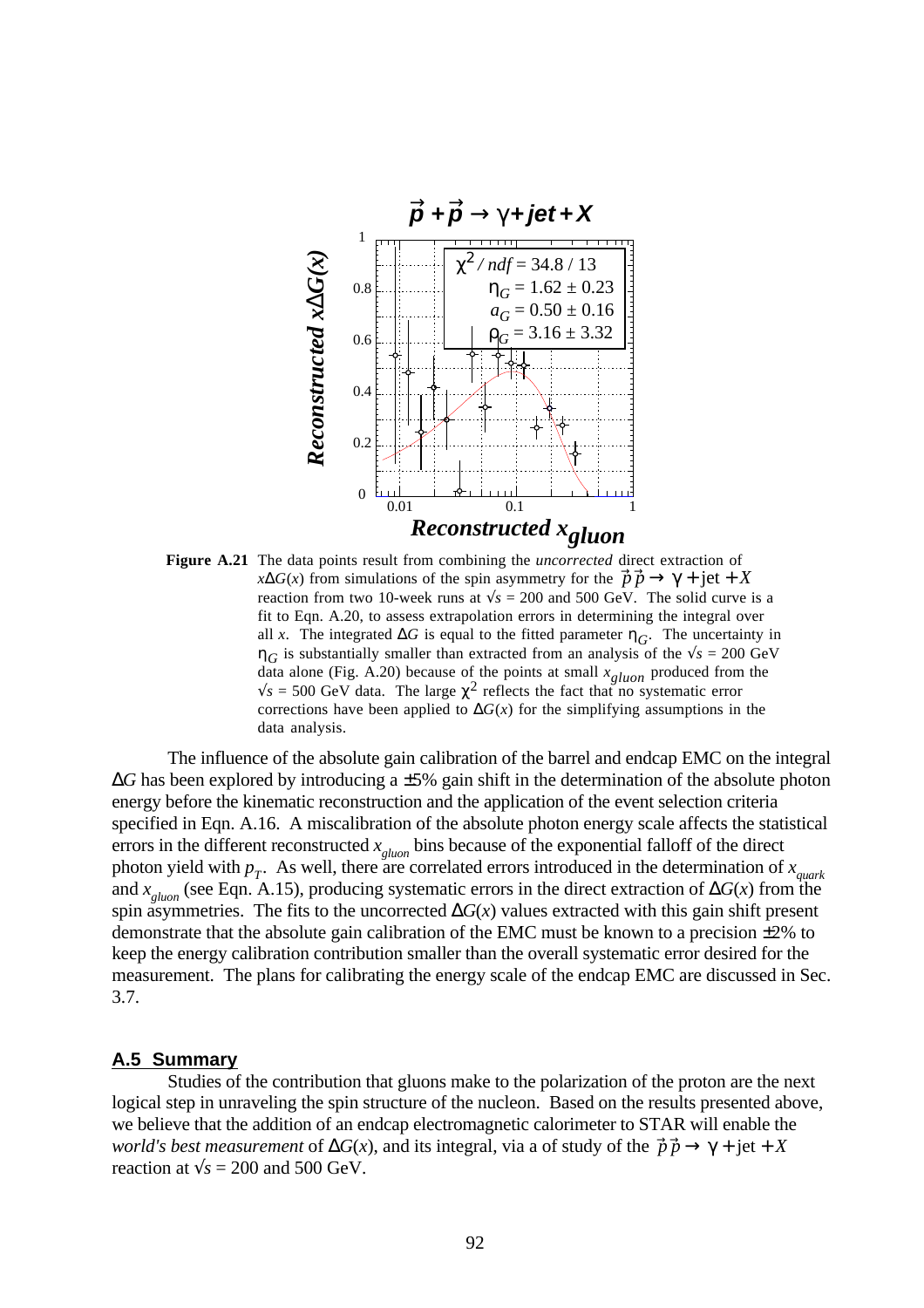

**Figure A.21** The data points result from combining the *uncorrected* direct extraction of  $x\Delta G(x)$  from simulations of the spin asymmetry for the  $\vec{p} \vec{p} \rightarrow \gamma + \text{jet} + X$ reaction from two 10-week runs at  $\sqrt{s}$  = 200 and 500 GeV. The solid curve is a fit to Eqn. A.20, to assess extrapolation errors in determining the integral over all *x*. The integrated  $\Delta G$  is equal to the fitted parameter  $\eta_G$ . The uncertainty in  $\eta_G$  is substantially smaller than extracted from an analysis of the  $\sqrt{s} = 200 \text{ GeV}$ data alone (Fig. A.20) because of the points at small *xgluon* produced from the  $\sqrt{s}$  = 500 GeV data. The large  $\chi^2$  reflects the fact that no systematic error corrections have been applied to  $\Delta G(x)$  for the simplifying assumptions in the data analysis.

The influence of the absolute gain calibration of the barrel and endcap EMC on the integral ∆*G* has been explored by introducing a ±5% gain shift in the determination of the absolute photon energy before the kinematic reconstruction and the application of the event selection criteria specified in Eqn. A.16. A miscalibration of the absolute photon energy scale affects the statistical errors in the different reconstructed *x gluon* bins because of the exponential falloff of the direct photon yield with  $p_T$ . As well, there are correlated errors introduced in the determination of  $x_{quark}$ <br>and  $x_{gluon}$  (see Eqn. A.15), producing systematic errors in the direct extraction of  $\Delta G(x)$  from the spin asymmetries. The fits to the uncorrected  $\Delta G(x)$  values extracted with this gain shift present demonstrate that the absolute gain calibration of the EMC must be known to a precision ±2% to keep the energy calibration contribution smaller than the overall systematic error desired for the measurement. The plans for calibrating the energy scale of the endcap EMC are discussed in Sec. 3.7.

### **A.5 Summary**

Studies of the contribution that gluons make to the polarization of the proton are the next logical step in unraveling the spin structure of the nucleon. Based on the results presented above, we believe that the addition of an endcap electromagnetic calorimeter to STAR will enable the *world's best measurement* of  $\Delta G(x)$ , and its integral, via a of study of the  $\vec{p} \cdot \vec{p} \rightarrow \gamma + \text{jet} + X$ reaction at  $\sqrt{s}$  = 200 and 500 GeV.